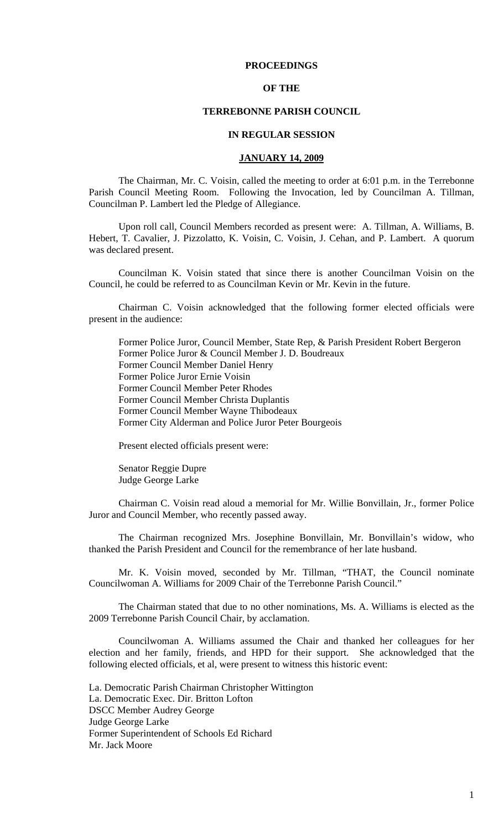# **PROCEEDINGS**

## **OF THE**

# **TERREBONNE PARISH COUNCIL**

### **IN REGULAR SESSION**

### **JANUARY 14, 2009**

 The Chairman, Mr. C. Voisin, called the meeting to order at 6:01 p.m. in the Terrebonne Parish Council Meeting Room. Following the Invocation, led by Councilman A. Tillman, Councilman P. Lambert led the Pledge of Allegiance.

Upon roll call, Council Members recorded as present were: A. Tillman, A. Williams, B. Hebert, T. Cavalier, J. Pizzolatto, K. Voisin, C. Voisin, J. Cehan, and P. Lambert. A quorum was declared present.

Councilman K. Voisin stated that since there is another Councilman Voisin on the Council, he could be referred to as Councilman Kevin or Mr. Kevin in the future.

Chairman C. Voisin acknowledged that the following former elected officials were present in the audience:

Former Police Juror, Council Member, State Rep, & Parish President Robert Bergeron Former Police Juror & Council Member J. D. Boudreaux Former Council Member Daniel Henry Former Police Juror Ernie Voisin Former Council Member Peter Rhodes Former Council Member Christa Duplantis Former Council Member Wayne Thibodeaux Former City Alderman and Police Juror Peter Bourgeois

Present elected officials present were:

Senator Reggie Dupre Judge George Larke

Chairman C. Voisin read aloud a memorial for Mr. Willie Bonvillain, Jr., former Police Juror and Council Member, who recently passed away.

The Chairman recognized Mrs. Josephine Bonvillain, Mr. Bonvillain's widow, who thanked the Parish President and Council for the remembrance of her late husband.

Mr. K. Voisin moved, seconded by Mr. Tillman, "THAT, the Council nominate Councilwoman A. Williams for 2009 Chair of the Terrebonne Parish Council."

The Chairman stated that due to no other nominations, Ms. A. Williams is elected as the 2009 Terrebonne Parish Council Chair, by acclamation.

Councilwoman A. Williams assumed the Chair and thanked her colleagues for her election and her family, friends, and HPD for their support. She acknowledged that the following elected officials, et al, were present to witness this historic event:

La. Democratic Parish Chairman Christopher Wittington La. Democratic Exec. Dir. Britton Lofton DSCC Member Audrey George Judge George Larke Former Superintendent of Schools Ed Richard Mr. Jack Moore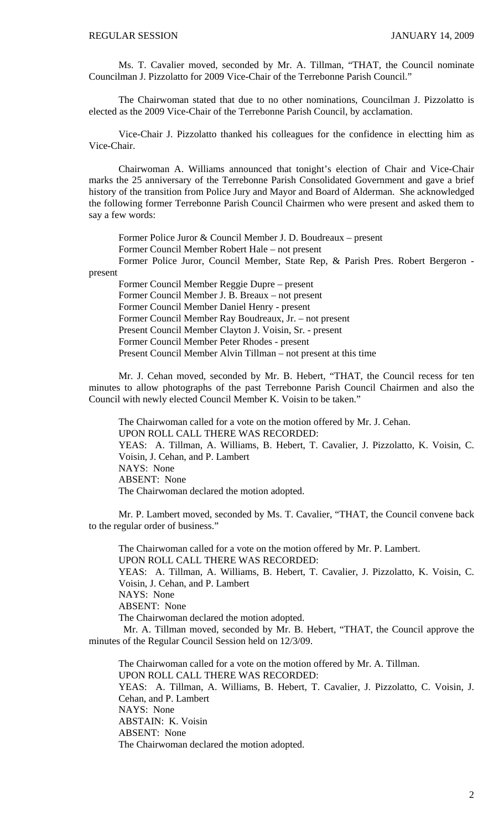Ms. T. Cavalier moved, seconded by Mr. A. Tillman, "THAT, the Council nominate Councilman J. Pizzolatto for 2009 Vice-Chair of the Terrebonne Parish Council."

The Chairwoman stated that due to no other nominations, Councilman J. Pizzolatto is elected as the 2009 Vice-Chair of the Terrebonne Parish Council, by acclamation.

Vice-Chair J. Pizzolatto thanked his colleagues for the confidence in electting him as Vice-Chair.

Chairwoman A. Williams announced that tonight's election of Chair and Vice-Chair marks the 25 anniversary of the Terrebonne Parish Consolidated Government and gave a brief history of the transition from Police Jury and Mayor and Board of Alderman. She acknowledged the following former Terrebonne Parish Council Chairmen who were present and asked them to say a few words:

Former Police Juror & Council Member J. D. Boudreaux – present Former Council Member Robert Hale – not present

Former Police Juror, Council Member, State Rep, & Parish Pres. Robert Bergeron present

Former Council Member Reggie Dupre – present Former Council Member J. B. Breaux – not present Former Council Member Daniel Henry - present Former Council Member Ray Boudreaux, Jr. – not present Present Council Member Clayton J. Voisin, Sr. - present Former Council Member Peter Rhodes - present

Present Council Member Alvin Tillman – not present at this time

Mr. J. Cehan moved, seconded by Mr. B. Hebert, "THAT, the Council recess for ten minutes to allow photographs of the past Terrebonne Parish Council Chairmen and also the Council with newly elected Council Member K. Voisin to be taken."

The Chairwoman called for a vote on the motion offered by Mr. J. Cehan. UPON ROLL CALL THERE WAS RECORDED: YEAS: A. Tillman, A. Williams, B. Hebert, T. Cavalier, J. Pizzolatto, K. Voisin, C. Voisin, J. Cehan, and P. Lambert NAYS: None ABSENT: None The Chairwoman declared the motion adopted.

Mr. P. Lambert moved, seconded by Ms. T. Cavalier, "THAT, the Council convene back to the regular order of business."

The Chairwoman called for a vote on the motion offered by Mr. P. Lambert. UPON ROLL CALL THERE WAS RECORDED: YEAS: A. Tillman, A. Williams, B. Hebert, T. Cavalier, J. Pizzolatto, K. Voisin, C. Voisin, J. Cehan, and P. Lambert NAYS: None ABSENT: None The Chairwoman declared the motion adopted. Mr. A. Tillman moved, seconded by Mr. B. Hebert, "THAT, the Council approve the minutes of the Regular Council Session held on 12/3/09.

The Chairwoman called for a vote on the motion offered by Mr. A. Tillman. UPON ROLL CALL THERE WAS RECORDED: YEAS: A. Tillman, A. Williams, B. Hebert, T. Cavalier, J. Pizzolatto, C. Voisin, J. Cehan, and P. Lambert NAYS: None ABSTAIN: K. Voisin ABSENT: None The Chairwoman declared the motion adopted.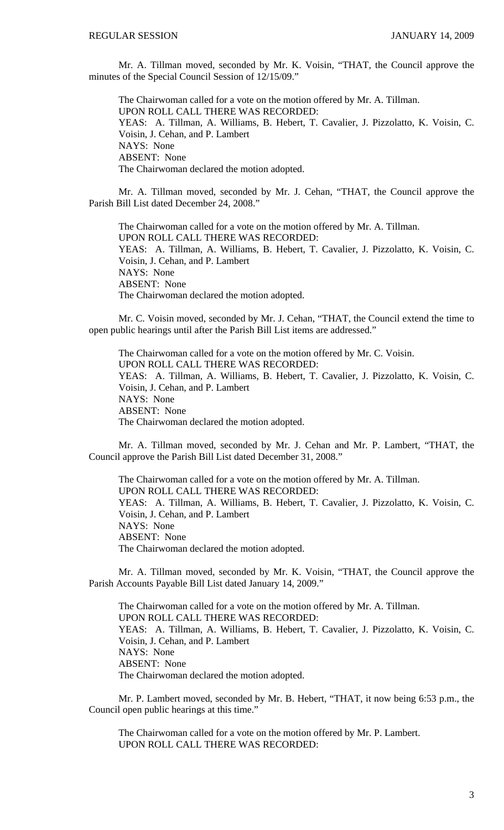Mr. A. Tillman moved, seconded by Mr. K. Voisin, "THAT, the Council approve the minutes of the Special Council Session of 12/15/09."

The Chairwoman called for a vote on the motion offered by Mr. A. Tillman. UPON ROLL CALL THERE WAS RECORDED: YEAS: A. Tillman, A. Williams, B. Hebert, T. Cavalier, J. Pizzolatto, K. Voisin, C. Voisin, J. Cehan, and P. Lambert NAYS: None ABSENT: None The Chairwoman declared the motion adopted.

Mr. A. Tillman moved, seconded by Mr. J. Cehan, "THAT, the Council approve the Parish Bill List dated December 24, 2008."

The Chairwoman called for a vote on the motion offered by Mr. A. Tillman. UPON ROLL CALL THERE WAS RECORDED: YEAS: A. Tillman, A. Williams, B. Hebert, T. Cavalier, J. Pizzolatto, K. Voisin, C. Voisin, J. Cehan, and P. Lambert NAYS: None ABSENT: None The Chairwoman declared the motion adopted.

Mr. C. Voisin moved, seconded by Mr. J. Cehan, "THAT, the Council extend the time to open public hearings until after the Parish Bill List items are addressed."

The Chairwoman called for a vote on the motion offered by Mr. C. Voisin. UPON ROLL CALL THERE WAS RECORDED: YEAS: A. Tillman, A. Williams, B. Hebert, T. Cavalier, J. Pizzolatto, K. Voisin, C. Voisin, J. Cehan, and P. Lambert NAYS: None ABSENT: None The Chairwoman declared the motion adopted.

Mr. A. Tillman moved, seconded by Mr. J. Cehan and Mr. P. Lambert, "THAT, the Council approve the Parish Bill List dated December 31, 2008."

The Chairwoman called for a vote on the motion offered by Mr. A. Tillman. UPON ROLL CALL THERE WAS RECORDED: YEAS: A. Tillman, A. Williams, B. Hebert, T. Cavalier, J. Pizzolatto, K. Voisin, C. Voisin, J. Cehan, and P. Lambert NAYS: None ABSENT: None The Chairwoman declared the motion adopted.

Mr. A. Tillman moved, seconded by Mr. K. Voisin, "THAT, the Council approve the Parish Accounts Payable Bill List dated January 14, 2009."

The Chairwoman called for a vote on the motion offered by Mr. A. Tillman. UPON ROLL CALL THERE WAS RECORDED: YEAS: A. Tillman, A. Williams, B. Hebert, T. Cavalier, J. Pizzolatto, K. Voisin, C. Voisin, J. Cehan, and P. Lambert NAYS: None ABSENT: None The Chairwoman declared the motion adopted.

 Mr. P. Lambert moved, seconded by Mr. B. Hebert, "THAT, it now being 6:53 p.m., the Council open public hearings at this time."

 The Chairwoman called for a vote on the motion offered by Mr. P. Lambert. UPON ROLL CALL THERE WAS RECORDED: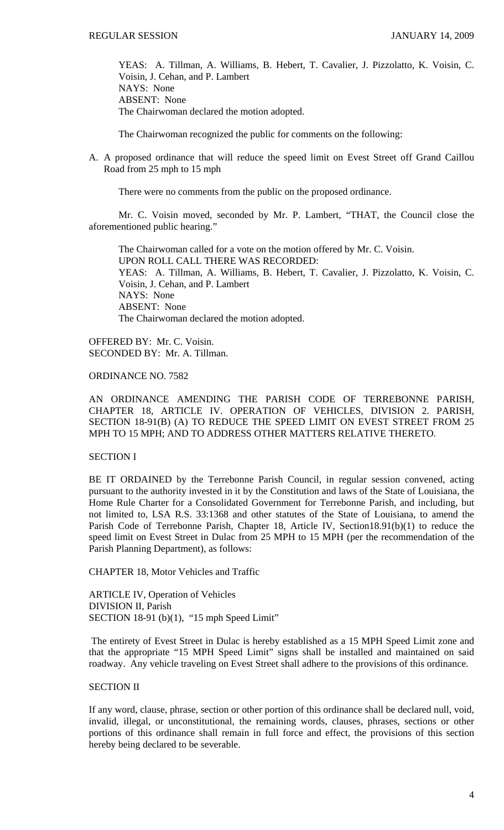YEAS: A. Tillman, A. Williams, B. Hebert, T. Cavalier, J. Pizzolatto, K. Voisin, C. Voisin, J. Cehan, and P. Lambert NAYS: None ABSENT: None The Chairwoman declared the motion adopted.

The Chairwoman recognized the public for comments on the following:

A. A proposed ordinance that will reduce the speed limit on Evest Street off Grand Caillou Road from 25 mph to 15 mph

There were no comments from the public on the proposed ordinance.

 Mr. C. Voisin moved, seconded by Mr. P. Lambert, "THAT, the Council close the aforementioned public hearing."

 The Chairwoman called for a vote on the motion offered by Mr. C. Voisin. UPON ROLL CALL THERE WAS RECORDED: YEAS: A. Tillman, A. Williams, B. Hebert, T. Cavalier, J. Pizzolatto, K. Voisin, C. Voisin, J. Cehan, and P. Lambert NAYS: None ABSENT: None The Chairwoman declared the motion adopted.

OFFERED BY: Mr. C. Voisin. SECONDED BY: Mr. A. Tillman.

ORDINANCE NO. 7582

AN ORDINANCE AMENDING THE PARISH CODE OF TERREBONNE PARISH, CHAPTER 18, ARTICLE IV. OPERATION OF VEHICLES, DIVISION 2. PARISH, SECTION 18-91(B) (A) TO REDUCE THE SPEED LIMIT ON EVEST STREET FROM 25 MPH TO 15 MPH; AND TO ADDRESS OTHER MATTERS RELATIVE THERETO.

# SECTION I

BE IT ORDAINED by the Terrebonne Parish Council, in regular session convened, acting pursuant to the authority invested in it by the Constitution and laws of the State of Louisiana, the Home Rule Charter for a Consolidated Government for Terrebonne Parish, and including, but not limited to, LSA R.S. 33:1368 and other statutes of the State of Louisiana, to amend the Parish Code of Terrebonne Parish, Chapter 18, Article IV, Section18.91(b)(1) to reduce the speed limit on Evest Street in Dulac from 25 MPH to 15 MPH (per the recommendation of the Parish Planning Department), as follows:

CHAPTER 18, Motor Vehicles and Traffic

ARTICLE IV, Operation of Vehicles DIVISION II, Parish SECTION 18-91 (b)(1), "15 mph Speed Limit"

 The entirety of Evest Street in Dulac is hereby established as a 15 MPH Speed Limit zone and that the appropriate "15 MPH Speed Limit" signs shall be installed and maintained on said roadway. Any vehicle traveling on Evest Street shall adhere to the provisions of this ordinance.

# SECTION II

If any word, clause, phrase, section or other portion of this ordinance shall be declared null, void, invalid, illegal, or unconstitutional, the remaining words, clauses, phrases, sections or other portions of this ordinance shall remain in full force and effect, the provisions of this section hereby being declared to be severable.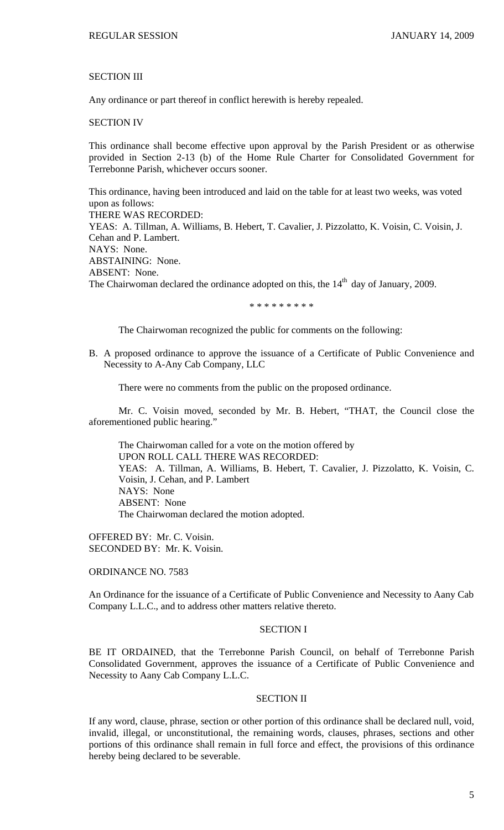### SECTION III

Any ordinance or part thereof in conflict herewith is hereby repealed.

# SECTION IV

This ordinance shall become effective upon approval by the Parish President or as otherwise provided in Section 2-13 (b) of the Home Rule Charter for Consolidated Government for Terrebonne Parish, whichever occurs sooner.

This ordinance, having been introduced and laid on the table for at least two weeks, was voted upon as follows: THERE WAS RECORDED: YEAS: A. Tillman, A. Williams, B. Hebert, T. Cavalier, J. Pizzolatto, K. Voisin, C. Voisin, J. Cehan and P. Lambert. NAYS: None. ABSTAINING: None. ABSENT: None. The Chairwoman declared the ordinance adopted on this, the  $14<sup>th</sup>$  day of January, 2009.

\* \* \* \* \* \* \* \* \*

The Chairwoman recognized the public for comments on the following:

B. A proposed ordinance to approve the issuance of a Certificate of Public Convenience and Necessity to A-Any Cab Company, LLC

There were no comments from the public on the proposed ordinance.

 Mr. C. Voisin moved, seconded by Mr. B. Hebert, "THAT, the Council close the aforementioned public hearing."

 The Chairwoman called for a vote on the motion offered by UPON ROLL CALL THERE WAS RECORDED: YEAS: A. Tillman, A. Williams, B. Hebert, T. Cavalier, J. Pizzolatto, K. Voisin, C. Voisin, J. Cehan, and P. Lambert NAYS: None ABSENT: None The Chairwoman declared the motion adopted.

OFFERED BY: Mr. C. Voisin. SECONDED BY: Mr. K. Voisin.

### ORDINANCE NO. 7583

An Ordinance for the issuance of a Certificate of Public Convenience and Necessity to Aany Cab Company L.L.C., and to address other matters relative thereto.

#### SECTION I

BE IT ORDAINED, that the Terrebonne Parish Council, on behalf of Terrebonne Parish Consolidated Government, approves the issuance of a Certificate of Public Convenience and Necessity to Aany Cab Company L.L.C.

#### SECTION II

If any word, clause, phrase, section or other portion of this ordinance shall be declared null, void, invalid, illegal, or unconstitutional, the remaining words, clauses, phrases, sections and other portions of this ordinance shall remain in full force and effect, the provisions of this ordinance hereby being declared to be severable.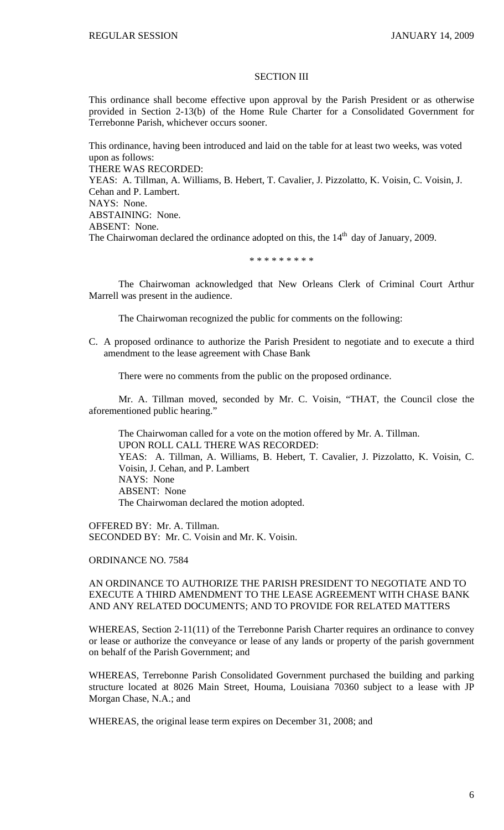#### SECTION III

This ordinance shall become effective upon approval by the Parish President or as otherwise provided in Section 2-13(b) of the Home Rule Charter for a Consolidated Government for Terrebonne Parish, whichever occurs sooner.

This ordinance, having been introduced and laid on the table for at least two weeks, was voted upon as follows: THERE WAS RECORDED: YEAS: A. Tillman, A. Williams, B. Hebert, T. Cavalier, J. Pizzolatto, K. Voisin, C. Voisin, J. Cehan and P. Lambert. NAYS: None. ABSTAINING: None. ABSENT: None. The Chairwoman declared the ordinance adopted on this, the  $14<sup>th</sup>$  day of January, 2009.

#### \* \* \* \* \* \* \* \* \*

 The Chairwoman acknowledged that New Orleans Clerk of Criminal Court Arthur Marrell was present in the audience.

The Chairwoman recognized the public for comments on the following:

C. A proposed ordinance to authorize the Parish President to negotiate and to execute a third amendment to the lease agreement with Chase Bank

There were no comments from the public on the proposed ordinance.

 Mr. A. Tillman moved, seconded by Mr. C. Voisin, "THAT, the Council close the aforementioned public hearing."

 The Chairwoman called for a vote on the motion offered by Mr. A. Tillman. UPON ROLL CALL THERE WAS RECORDED: YEAS: A. Tillman, A. Williams, B. Hebert, T. Cavalier, J. Pizzolatto, K. Voisin, C. Voisin, J. Cehan, and P. Lambert NAYS: None ABSENT: None The Chairwoman declared the motion adopted.

OFFERED BY: Mr. A. Tillman. SECONDED BY: Mr. C. Voisin and Mr. K. Voisin.

ORDINANCE NO. 7584

# AN ORDINANCE TO AUTHORIZE THE PARISH PRESIDENT TO NEGOTIATE AND TO EXECUTE A THIRD AMENDMENT TO THE LEASE AGREEMENT WITH CHASE BANK AND ANY RELATED DOCUMENTS; AND TO PROVIDE FOR RELATED MATTERS

WHEREAS, Section 2-11(11) of the Terrebonne Parish Charter requires an ordinance to convey or lease or authorize the conveyance or lease of any lands or property of the parish government on behalf of the Parish Government; and

WHEREAS, Terrebonne Parish Consolidated Government purchased the building and parking structure located at 8026 Main Street, Houma, Louisiana 70360 subject to a lease with JP Morgan Chase, N.A.; and

WHEREAS, the original lease term expires on December 31, 2008; and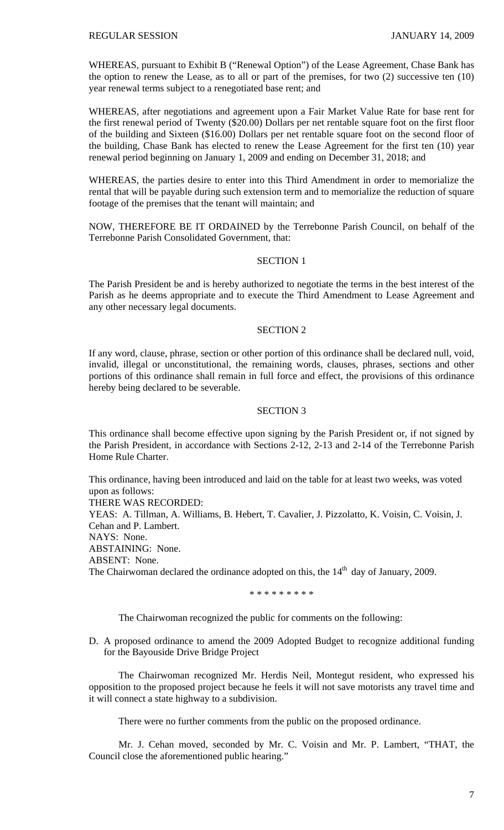WHEREAS, pursuant to Exhibit B ("Renewal Option") of the Lease Agreement, Chase Bank has the option to renew the Lease, as to all or part of the premises, for two (2) successive ten (10) year renewal terms subject to a renegotiated base rent; and

WHEREAS, after negotiations and agreement upon a Fair Market Value Rate for base rent for the first renewal period of Twenty (\$20.00) Dollars per net rentable square foot on the first floor of the building and Sixteen (\$16.00) Dollars per net rentable square foot on the second floor of the building, Chase Bank has elected to renew the Lease Agreement for the first ten (10) year renewal period beginning on January 1, 2009 and ending on December 31, 2018; and

WHEREAS, the parties desire to enter into this Third Amendment in order to memorialize the rental that will be payable during such extension term and to memorialize the reduction of square footage of the premises that the tenant will maintain; and

NOW, THEREFORE BE IT ORDAINED by the Terrebonne Parish Council, on behalf of the Terrebonne Parish Consolidated Government, that:

## SECTION 1

The Parish President be and is hereby authorized to negotiate the terms in the best interest of the Parish as he deems appropriate and to execute the Third Amendment to Lease Agreement and any other necessary legal documents.

# SECTION 2

If any word, clause, phrase, section or other portion of this ordinance shall be declared null, void, invalid, illegal or unconstitutional, the remaining words, clauses, phrases, sections and other portions of this ordinance shall remain in full force and effect, the provisions of this ordinance hereby being declared to be severable.

### SECTION 3

This ordinance shall become effective upon signing by the Parish President or, if not signed by the Parish President, in accordance with Sections 2-12, 2-13 and 2-14 of the Terrebonne Parish Home Rule Charter.

This ordinance, having been introduced and laid on the table for at least two weeks, was voted upon as follows: THERE WAS RECORDED: YEAS: A. Tillman, A. Williams, B. Hebert, T. Cavalier, J. Pizzolatto, K. Voisin, C. Voisin, J. Cehan and P. Lambert. NAYS: None. ABSTAINING: None. ABSENT: None. The Chairwoman declared the ordinance adopted on this, the  $14<sup>th</sup>$  day of January, 2009.

\* \* \* \* \* \* \* \* \*

The Chairwoman recognized the public for comments on the following:

D. A proposed ordinance to amend the 2009 Adopted Budget to recognize additional funding for the Bayouside Drive Bridge Project

 The Chairwoman recognized Mr. Herdis Neil, Montegut resident, who expressed his opposition to the proposed project because he feels it will not save motorists any travel time and it will connect a state highway to a subdivision.

There were no further comments from the public on the proposed ordinance.

 Mr. J. Cehan moved, seconded by Mr. C. Voisin and Mr. P. Lambert, "THAT, the Council close the aforementioned public hearing."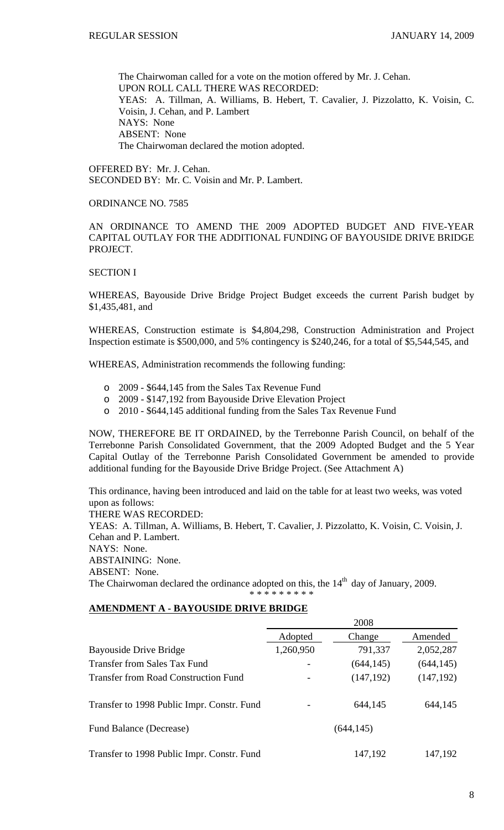The Chairwoman called for a vote on the motion offered by Mr. J. Cehan. UPON ROLL CALL THERE WAS RECORDED: YEAS: A. Tillman, A. Williams, B. Hebert, T. Cavalier, J. Pizzolatto, K. Voisin, C. Voisin, J. Cehan, and P. Lambert NAYS: None ABSENT: None The Chairwoman declared the motion adopted.

OFFERED BY: Mr. J. Cehan. SECONDED BY: Mr. C. Voisin and Mr. P. Lambert.

## ORDINANCE NO. 7585

AN ORDINANCE TO AMEND THE 2009 ADOPTED BUDGET AND FIVE-YEAR CAPITAL OUTLAY FOR THE ADDITIONAL FUNDING OF BAYOUSIDE DRIVE BRIDGE PROJECT.

### SECTION I

WHEREAS, Bayouside Drive Bridge Project Budget exceeds the current Parish budget by \$1,435,481, and

WHEREAS, Construction estimate is \$4,804,298, Construction Administration and Project Inspection estimate is \$500,000, and 5% contingency is \$240,246, for a total of \$5,544,545, and

WHEREAS, Administration recommends the following funding:

- o 2009 \$644,145 from the Sales Tax Revenue Fund
- o 2009 \$147,192 from Bayouside Drive Elevation Project
- o 2010 \$644,145 additional funding from the Sales Tax Revenue Fund

NOW, THEREFORE BE IT ORDAINED, by the Terrebonne Parish Council, on behalf of the Terrebonne Parish Consolidated Government, that the 2009 Adopted Budget and the 5 Year Capital Outlay of the Terrebonne Parish Consolidated Government be amended to provide additional funding for the Bayouside Drive Bridge Project. (See Attachment A)

This ordinance, having been introduced and laid on the table for at least two weeks, was voted upon as follows: THERE WAS RECORDED: YEAS: A. Tillman, A. Williams, B. Hebert, T. Cavalier, J. Pizzolatto, K. Voisin, C. Voisin, J. Cehan and P. Lambert. NAYS: None. ABSTAINING: None. ABSENT: None. The Chairwoman declared the ordinance adopted on this, the  $14<sup>th</sup>$  day of January, 2009. \* \* \* \* \* \* \* \* \*

# **AMENDMENT A - BAYOUSIDE DRIVE BRIDGE**

|                                             | 2008       |            |            |
|---------------------------------------------|------------|------------|------------|
|                                             | Adopted    | Change     | Amended    |
| <b>Bayouside Drive Bridge</b>               | 1,260,950  | 791,337    | 2,052,287  |
| <b>Transfer from Sales Tax Fund</b>         |            | (644, 145) | (644, 145) |
| <b>Transfer from Road Construction Fund</b> |            | (147, 192) | (147, 192) |
| Transfer to 1998 Public Impr. Constr. Fund  |            | 644,145    | 644,145    |
| Fund Balance (Decrease)                     | (644, 145) |            |            |
| Transfer to 1998 Public Impr. Constr. Fund  |            | 147,192    | 147,192    |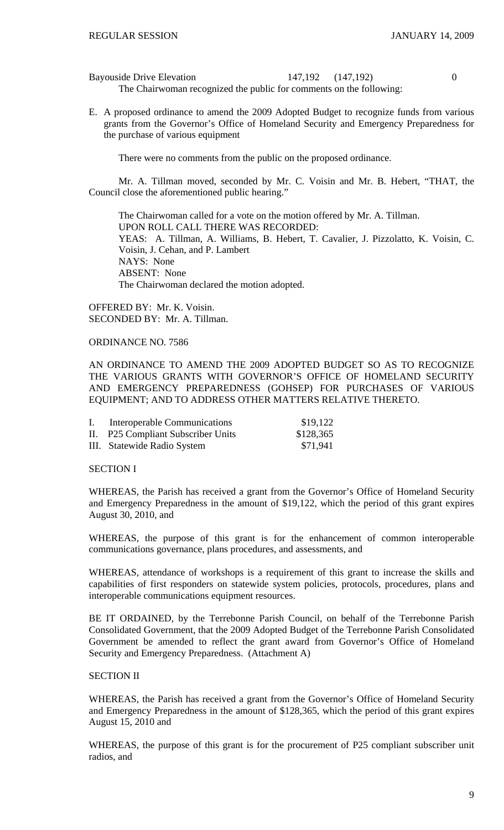Bayouside Drive Elevation 147,192  $(147,192)$  0 The Chairwoman recognized the public for comments on the following:

E. A proposed ordinance to amend the 2009 Adopted Budget to recognize funds from various grants from the Governor's Office of Homeland Security and Emergency Preparedness for the purchase of various equipment

There were no comments from the public on the proposed ordinance.

 Mr. A. Tillman moved, seconded by Mr. C. Voisin and Mr. B. Hebert, "THAT, the Council close the aforementioned public hearing."

 The Chairwoman called for a vote on the motion offered by Mr. A. Tillman. UPON ROLL CALL THERE WAS RECORDED: YEAS: A. Tillman, A. Williams, B. Hebert, T. Cavalier, J. Pizzolatto, K. Voisin, C. Voisin, J. Cehan, and P. Lambert NAYS: None ABSENT: None The Chairwoman declared the motion adopted.

OFFERED BY: Mr. K. Voisin. SECONDED BY: Mr. A. Tillman.

# ORDINANCE NO. 7586

AN ORDINANCE TO AMEND THE 2009 ADOPTED BUDGET SO AS TO RECOGNIZE THE VARIOUS GRANTS WITH GOVERNOR'S OFFICE OF HOMELAND SECURITY AND EMERGENCY PREPAREDNESS (GOHSEP) FOR PURCHASES OF VARIOUS EQUIPMENT; AND TO ADDRESS OTHER MATTERS RELATIVE THERETO.

| $\mathbf{I}$ . | Interoperable Communications       | \$19,122  |
|----------------|------------------------------------|-----------|
|                | II. P25 Compliant Subscriber Units | \$128,365 |
|                | III. Statewide Radio System        | \$71,941  |

# SECTION I

WHEREAS, the Parish has received a grant from the Governor's Office of Homeland Security and Emergency Preparedness in the amount of \$19,122, which the period of this grant expires August 30, 2010, and

WHEREAS, the purpose of this grant is for the enhancement of common interoperable communications governance, plans procedures, and assessments, and

WHEREAS, attendance of workshops is a requirement of this grant to increase the skills and capabilities of first responders on statewide system policies, protocols, procedures, plans and interoperable communications equipment resources.

BE IT ORDAINED, by the Terrebonne Parish Council, on behalf of the Terrebonne Parish Consolidated Government, that the 2009 Adopted Budget of the Terrebonne Parish Consolidated Government be amended to reflect the grant award from Governor's Office of Homeland Security and Emergency Preparedness. (Attachment A)

# SECTION II

WHEREAS, the Parish has received a grant from the Governor's Office of Homeland Security and Emergency Preparedness in the amount of \$128,365, which the period of this grant expires August 15, 2010 and

WHEREAS, the purpose of this grant is for the procurement of P25 compliant subscriber unit radios, and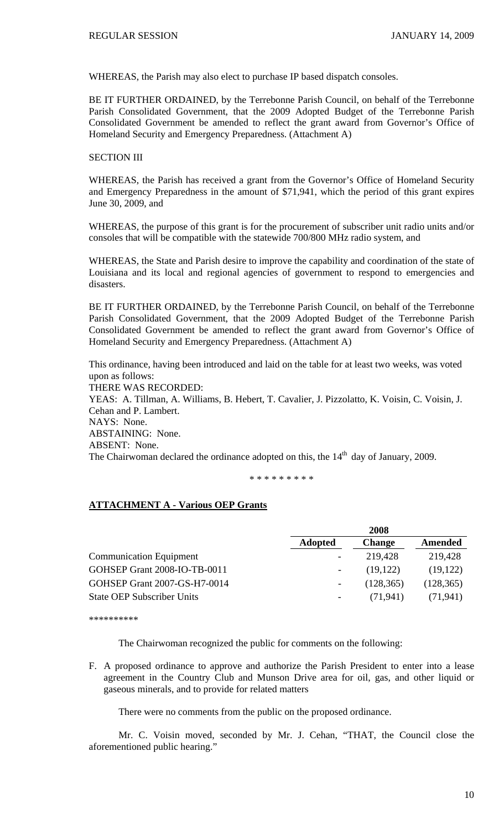WHEREAS, the Parish may also elect to purchase IP based dispatch consoles.

BE IT FURTHER ORDAINED, by the Terrebonne Parish Council, on behalf of the Terrebonne Parish Consolidated Government, that the 2009 Adopted Budget of the Terrebonne Parish Consolidated Government be amended to reflect the grant award from Governor's Office of Homeland Security and Emergency Preparedness. (Attachment A)

# SECTION III

WHEREAS, the Parish has received a grant from the Governor's Office of Homeland Security and Emergency Preparedness in the amount of \$71,941, which the period of this grant expires June 30, 2009, and

WHEREAS, the purpose of this grant is for the procurement of subscriber unit radio units and/or consoles that will be compatible with the statewide 700/800 MHz radio system, and

WHEREAS, the State and Parish desire to improve the capability and coordination of the state of Louisiana and its local and regional agencies of government to respond to emergencies and disasters.

BE IT FURTHER ORDAINED, by the Terrebonne Parish Council, on behalf of the Terrebonne Parish Consolidated Government, that the 2009 Adopted Budget of the Terrebonne Parish Consolidated Government be amended to reflect the grant award from Governor's Office of Homeland Security and Emergency Preparedness. (Attachment A)

This ordinance, having been introduced and laid on the table for at least two weeks, was voted upon as follows: THERE WAS RECORDED: YEAS: A. Tillman, A. Williams, B. Hebert, T. Cavalier, J. Pizzolatto, K. Voisin, C. Voisin, J. Cehan and P. Lambert.

NAYS: None.

ABSTAINING: None.

ABSENT: None.

The Chairwoman declared the ordinance adopted on this, the  $14<sup>th</sup>$  day of January, 2009.

\* \* \* \* \* \* \* \* \*

# **ATTACHMENT A - Various OEP Grants**

|                                   |                | 2008          |            |
|-----------------------------------|----------------|---------------|------------|
|                                   | <b>Adopted</b> | <b>Change</b> | Amended    |
| <b>Communication Equipment</b>    |                | 219,428       | 219,428    |
| GOHSEP Grant 2008-IO-TB-0011      |                | (19, 122)     | (19, 122)  |
| GOHSEP Grant 2007-GS-H7-0014      |                | (128, 365)    | (128, 365) |
| <b>State OEP Subscriber Units</b> |                | (71.941)      | (71, 941)  |

\*\*\*\*\*\*\*\*\*\*

The Chairwoman recognized the public for comments on the following:

F. A proposed ordinance to approve and authorize the Parish President to enter into a lease agreement in the Country Club and Munson Drive area for oil, gas, and other liquid or gaseous minerals, and to provide for related matters

There were no comments from the public on the proposed ordinance.

 Mr. C. Voisin moved, seconded by Mr. J. Cehan, "THAT, the Council close the aforementioned public hearing."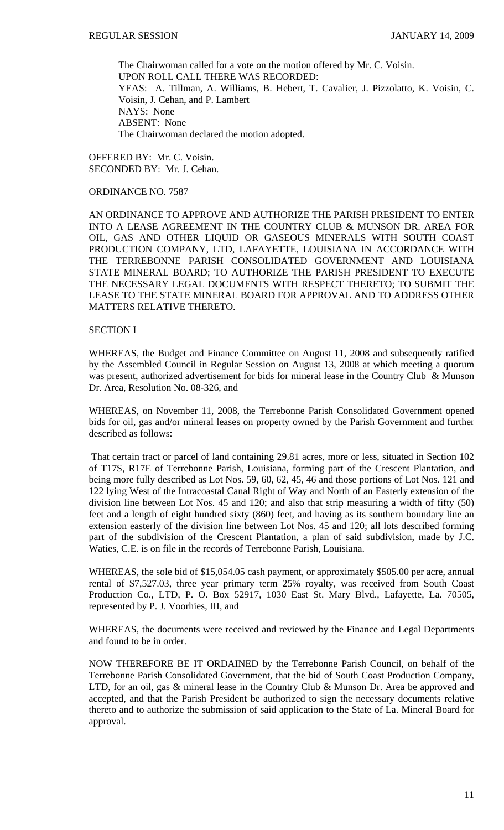The Chairwoman called for a vote on the motion offered by Mr. C. Voisin. UPON ROLL CALL THERE WAS RECORDED: YEAS: A. Tillman, A. Williams, B. Hebert, T. Cavalier, J. Pizzolatto, K. Voisin, C. Voisin, J. Cehan, and P. Lambert NAYS: None ABSENT: None The Chairwoman declared the motion adopted.

OFFERED BY: Mr. C. Voisin. SECONDED BY: Mr. J. Cehan.

### ORDINANCE NO. 7587

AN ORDINANCE TO APPROVE AND AUTHORIZE THE PARISH PRESIDENT TO ENTER INTO A LEASE AGREEMENT IN THE COUNTRY CLUB & MUNSON DR. AREA FOR OIL, GAS AND OTHER LIQUID OR GASEOUS MINERALS WITH SOUTH COAST PRODUCTION COMPANY, LTD, LAFAYETTE, LOUISIANA IN ACCORDANCE WITH THE TERREBONNE PARISH CONSOLIDATED GOVERNMENT AND LOUISIANA STATE MINERAL BOARD; TO AUTHORIZE THE PARISH PRESIDENT TO EXECUTE THE NECESSARY LEGAL DOCUMENTS WITH RESPECT THERETO; TO SUBMIT THE LEASE TO THE STATE MINERAL BOARD FOR APPROVAL AND TO ADDRESS OTHER MATTERS RELATIVE THERETO.

### SECTION I

WHEREAS, the Budget and Finance Committee on August 11, 2008 and subsequently ratified by the Assembled Council in Regular Session on August 13, 2008 at which meeting a quorum was present, authorized advertisement for bids for mineral lease in the Country Club & Munson Dr. Area, Resolution No. 08-326, and

WHEREAS, on November 11, 2008, the Terrebonne Parish Consolidated Government opened bids for oil, gas and/or mineral leases on property owned by the Parish Government and further described as follows:

 That certain tract or parcel of land containing 29.81 acres, more or less, situated in Section 102 of T17S, R17E of Terrebonne Parish, Louisiana, forming part of the Crescent Plantation, and being more fully described as Lot Nos. 59, 60, 62, 45, 46 and those portions of Lot Nos. 121 and 122 lying West of the Intracoastal Canal Right of Way and North of an Easterly extension of the division line between Lot Nos. 45 and 120; and also that strip measuring a width of fifty (50) feet and a length of eight hundred sixty (860) feet, and having as its southern boundary line an extension easterly of the division line between Lot Nos. 45 and 120; all lots described forming part of the subdivision of the Crescent Plantation, a plan of said subdivision, made by J.C. Waties, C.E. is on file in the records of Terrebonne Parish, Louisiana.

WHEREAS, the sole bid of \$15,054.05 cash payment, or approximately \$505.00 per acre, annual rental of \$7,527.03, three year primary term 25% royalty, was received from South Coast Production Co., LTD, P. O. Box 52917, 1030 East St. Mary Blvd., Lafayette, La. 70505, represented by P. J. Voorhies, III, and

WHEREAS, the documents were received and reviewed by the Finance and Legal Departments and found to be in order.

NOW THEREFORE BE IT ORDAINED by the Terrebonne Parish Council, on behalf of the Terrebonne Parish Consolidated Government, that the bid of South Coast Production Company, LTD, for an oil, gas & mineral lease in the Country Club & Munson Dr. Area be approved and accepted, and that the Parish President be authorized to sign the necessary documents relative thereto and to authorize the submission of said application to the State of La. Mineral Board for approval.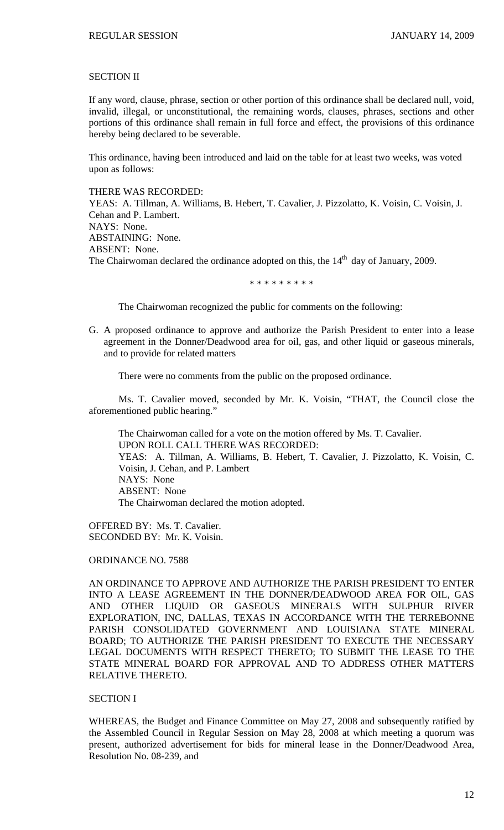### SECTION II

If any word, clause, phrase, section or other portion of this ordinance shall be declared null, void, invalid, illegal, or unconstitutional, the remaining words, clauses, phrases, sections and other portions of this ordinance shall remain in full force and effect, the provisions of this ordinance hereby being declared to be severable.

This ordinance, having been introduced and laid on the table for at least two weeks, was voted upon as follows:

### THERE WAS RECORDED:

YEAS: A. Tillman, A. Williams, B. Hebert, T. Cavalier, J. Pizzolatto, K. Voisin, C. Voisin, J. Cehan and P. Lambert. NAYS: None. ABSTAINING: None. ABSENT: None. The Chairwoman declared the ordinance adopted on this, the  $14<sup>th</sup>$  day of January, 2009.

\* \* \* \* \* \* \* \* \*

The Chairwoman recognized the public for comments on the following:

G. A proposed ordinance to approve and authorize the Parish President to enter into a lease agreement in the Donner/Deadwood area for oil, gas, and other liquid or gaseous minerals, and to provide for related matters

There were no comments from the public on the proposed ordinance.

 Ms. T. Cavalier moved, seconded by Mr. K. Voisin, "THAT, the Council close the aforementioned public hearing."

 The Chairwoman called for a vote on the motion offered by Ms. T. Cavalier. UPON ROLL CALL THERE WAS RECORDED: YEAS: A. Tillman, A. Williams, B. Hebert, T. Cavalier, J. Pizzolatto, K. Voisin, C. Voisin, J. Cehan, and P. Lambert NAYS: None ABSENT: None The Chairwoman declared the motion adopted.

OFFERED BY: Ms. T. Cavalier. SECONDED BY: Mr. K. Voisin.

### ORDINANCE NO. 7588

AN ORDINANCE TO APPROVE AND AUTHORIZE THE PARISH PRESIDENT TO ENTER INTO A LEASE AGREEMENT IN THE DONNER/DEADWOOD AREA FOR OIL, GAS AND OTHER LIQUID OR GASEOUS MINERALS WITH SULPHUR RIVER EXPLORATION, INC, DALLAS, TEXAS IN ACCORDANCE WITH THE TERREBONNE PARISH CONSOLIDATED GOVERNMENT AND LOUISIANA STATE MINERAL BOARD; TO AUTHORIZE THE PARISH PRESIDENT TO EXECUTE THE NECESSARY LEGAL DOCUMENTS WITH RESPECT THERETO; TO SUBMIT THE LEASE TO THE STATE MINERAL BOARD FOR APPROVAL AND TO ADDRESS OTHER MATTERS RELATIVE THERETO.

### SECTION I

WHEREAS, the Budget and Finance Committee on May 27, 2008 and subsequently ratified by the Assembled Council in Regular Session on May 28, 2008 at which meeting a quorum was present, authorized advertisement for bids for mineral lease in the Donner/Deadwood Area, Resolution No. 08-239, and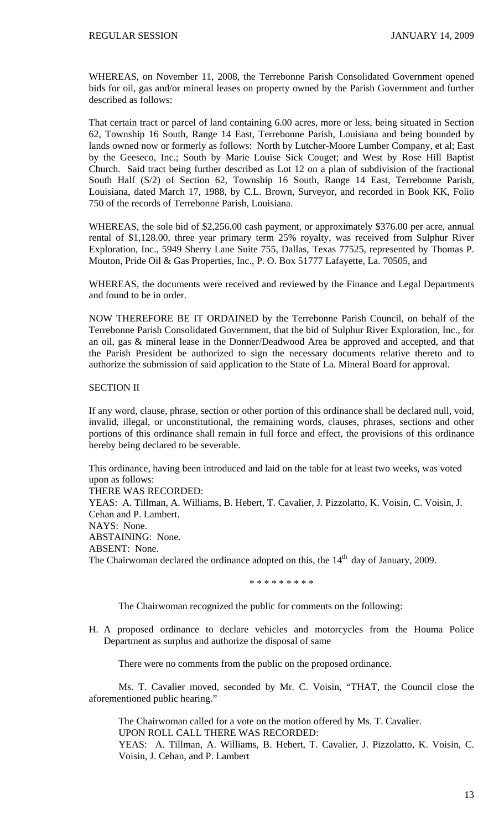WHEREAS, on November 11, 2008, the Terrebonne Parish Consolidated Government opened bids for oil, gas and/or mineral leases on property owned by the Parish Government and further described as follows:

That certain tract or parcel of land containing 6.00 acres, more or less, being situated in Section 62, Township 16 South, Range 14 East, Terrebonne Parish, Louisiana and being bounded by lands owned now or formerly as follows: North by Lutcher-Moore Lumber Company, et al; East by the Geeseco, Inc.; South by Marie Louise Sick Couget; and West by Rose Hill Baptist Church. Said tract being further described as Lot 12 on a plan of subdivision of the fractional South Half (S/2) of Section 62, Township 16 South, Range 14 East, Terrebonne Parish, Louisiana, dated March 17, 1988, by C.L. Brown, Surveyor, and recorded in Book KK, Folio 750 of the records of Terrebonne Parish, Louisiana.

WHEREAS, the sole bid of \$2,256.00 cash payment, or approximately \$376.00 per acre, annual rental of \$1,128.00, three year primary term 25% royalty, was received from Sulphur River Exploration, Inc., 5949 Sherry Lane Suite 755, Dallas, Texas 77525, represented by Thomas P. Mouton, Pride Oil & Gas Properties, Inc., P. O. Box 51777 Lafayette, La. 70505, and

WHEREAS, the documents were received and reviewed by the Finance and Legal Departments and found to be in order.

NOW THEREFORE BE IT ORDAINED by the Terrebonne Parish Council, on behalf of the Terrebonne Parish Consolidated Government, that the bid of Sulphur River Exploration, Inc., for an oil, gas & mineral lease in the Donner/Deadwood Area be approved and accepted, and that the Parish President be authorized to sign the necessary documents relative thereto and to authorize the submission of said application to the State of La. Mineral Board for approval.

## SECTION II

If any word, clause, phrase, section or other portion of this ordinance shall be declared null, void, invalid, illegal, or unconstitutional, the remaining words, clauses, phrases, sections and other portions of this ordinance shall remain in full force and effect, the provisions of this ordinance hereby being declared to be severable.

This ordinance, having been introduced and laid on the table for at least two weeks, was voted upon as follows:

THERE WAS RECORDED:

YEAS: A. Tillman, A. Williams, B. Hebert, T. Cavalier, J. Pizzolatto, K. Voisin, C. Voisin, J. Cehan and P. Lambert. NAYS: None. ABSTAINING: None. ABSENT: None. The Chairwoman declared the ordinance adopted on this, the  $14<sup>th</sup>$  day of January, 2009.

\* \* \* \* \* \* \* \* \*

The Chairwoman recognized the public for comments on the following:

H. A proposed ordinance to declare vehicles and motorcycles from the Houma Police Department as surplus and authorize the disposal of same

There were no comments from the public on the proposed ordinance.

 Ms. T. Cavalier moved, seconded by Mr. C. Voisin, "THAT, the Council close the aforementioned public hearing."

 The Chairwoman called for a vote on the motion offered by Ms. T. Cavalier. UPON ROLL CALL THERE WAS RECORDED:

YEAS: A. Tillman, A. Williams, B. Hebert, T. Cavalier, J. Pizzolatto, K. Voisin, C. Voisin, J. Cehan, and P. Lambert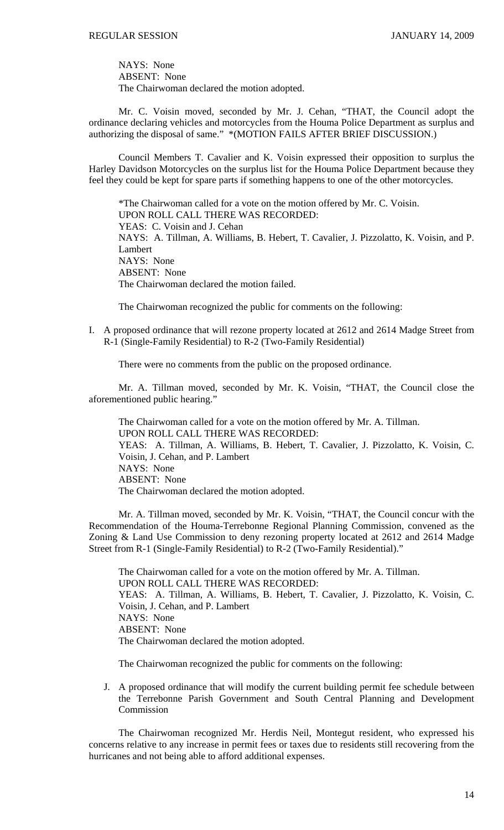NAYS: None ABSENT: None The Chairwoman declared the motion adopted.

 Mr. C. Voisin moved, seconded by Mr. J. Cehan, "THAT, the Council adopt the ordinance declaring vehicles and motorcycles from the Houma Police Department as surplus and authorizing the disposal of same." \*(MOTION FAILS AFTER BRIEF DISCUSSION.)

 Council Members T. Cavalier and K. Voisin expressed their opposition to surplus the Harley Davidson Motorcycles on the surplus list for the Houma Police Department because they feel they could be kept for spare parts if something happens to one of the other motorcycles.

 \*The Chairwoman called for a vote on the motion offered by Mr. C. Voisin. UPON ROLL CALL THERE WAS RECORDED: YEAS: C. Voisin and J. Cehan NAYS: A. Tillman, A. Williams, B. Hebert, T. Cavalier, J. Pizzolatto, K. Voisin, and P. Lambert NAYS: None ABSENT: None The Chairwoman declared the motion failed.

The Chairwoman recognized the public for comments on the following:

I. A proposed ordinance that will rezone property located at 2612 and 2614 Madge Street from R-1 (Single-Family Residential) to R-2 (Two-Family Residential)

There were no comments from the public on the proposed ordinance.

 Mr. A. Tillman moved, seconded by Mr. K. Voisin, "THAT, the Council close the aforementioned public hearing."

 The Chairwoman called for a vote on the motion offered by Mr. A. Tillman. UPON ROLL CALL THERE WAS RECORDED: YEAS: A. Tillman, A. Williams, B. Hebert, T. Cavalier, J. Pizzolatto, K. Voisin, C. Voisin, J. Cehan, and P. Lambert NAYS: None ABSENT: None The Chairwoman declared the motion adopted.

 Mr. A. Tillman moved, seconded by Mr. K. Voisin, "THAT, the Council concur with the Recommendation of the Houma-Terrebonne Regional Planning Commission, convened as the Zoning & Land Use Commission to deny rezoning property located at 2612 and 2614 Madge Street from R-1 (Single-Family Residential) to R-2 (Two-Family Residential)."

 The Chairwoman called for a vote on the motion offered by Mr. A. Tillman. UPON ROLL CALL THERE WAS RECORDED: YEAS: A. Tillman, A. Williams, B. Hebert, T. Cavalier, J. Pizzolatto, K. Voisin, C. Voisin, J. Cehan, and P. Lambert NAYS: None ABSENT: None The Chairwoman declared the motion adopted.

The Chairwoman recognized the public for comments on the following:

J. A proposed ordinance that will modify the current building permit fee schedule between the Terrebonne Parish Government and South Central Planning and Development **Commission** 

 The Chairwoman recognized Mr. Herdis Neil, Montegut resident, who expressed his concerns relative to any increase in permit fees or taxes due to residents still recovering from the hurricanes and not being able to afford additional expenses.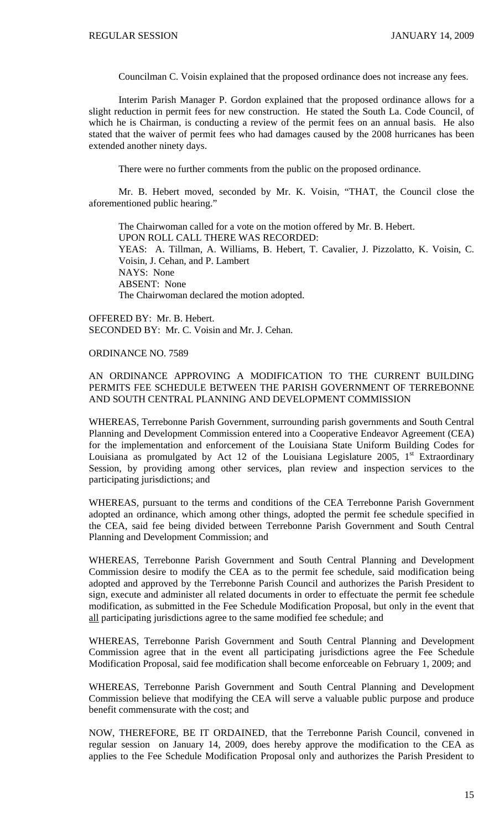Councilman C. Voisin explained that the proposed ordinance does not increase any fees.

 Interim Parish Manager P. Gordon explained that the proposed ordinance allows for a slight reduction in permit fees for new construction. He stated the South La. Code Council, of which he is Chairman, is conducting a review of the permit fees on an annual basis. He also stated that the waiver of permit fees who had damages caused by the 2008 hurricanes has been extended another ninety days.

There were no further comments from the public on the proposed ordinance.

 Mr. B. Hebert moved, seconded by Mr. K. Voisin, "THAT, the Council close the aforementioned public hearing."

The Chairwoman called for a vote on the motion offered by Mr. B. Hebert. UPON ROLL CALL THERE WAS RECORDED: YEAS: A. Tillman, A. Williams, B. Hebert, T. Cavalier, J. Pizzolatto, K. Voisin, C. Voisin, J. Cehan, and P. Lambert NAYS: None ABSENT: None The Chairwoman declared the motion adopted.

OFFERED BY: Mr. B. Hebert. SECONDED BY: Mr. C. Voisin and Mr. J. Cehan.

### ORDINANCE NO. 7589

# AN ORDINANCE APPROVING A MODIFICATION TO THE CURRENT BUILDING PERMITS FEE SCHEDULE BETWEEN THE PARISH GOVERNMENT OF TERREBONNE AND SOUTH CENTRAL PLANNING AND DEVELOPMENT COMMISSION

WHEREAS, Terrebonne Parish Government, surrounding parish governments and South Central Planning and Development Commission entered into a Cooperative Endeavor Agreement (CEA) for the implementation and enforcement of the Louisiana State Uniform Building Codes for Louisiana as promulgated by Act 12 of the Louisiana Legislature 2005,  $1<sup>st</sup>$  Extraordinary Session, by providing among other services, plan review and inspection services to the participating jurisdictions; and

WHEREAS, pursuant to the terms and conditions of the CEA Terrebonne Parish Government adopted an ordinance, which among other things, adopted the permit fee schedule specified in the CEA, said fee being divided between Terrebonne Parish Government and South Central Planning and Development Commission; and

WHEREAS, Terrebonne Parish Government and South Central Planning and Development Commission desire to modify the CEA as to the permit fee schedule, said modification being adopted and approved by the Terrebonne Parish Council and authorizes the Parish President to sign, execute and administer all related documents in order to effectuate the permit fee schedule modification, as submitted in the Fee Schedule Modification Proposal, but only in the event that all participating jurisdictions agree to the same modified fee schedule; and

WHEREAS, Terrebonne Parish Government and South Central Planning and Development Commission agree that in the event all participating jurisdictions agree the Fee Schedule Modification Proposal, said fee modification shall become enforceable on February 1, 2009; and

WHEREAS, Terrebonne Parish Government and South Central Planning and Development Commission believe that modifying the CEA will serve a valuable public purpose and produce benefit commensurate with the cost; and

NOW, THEREFORE, BE IT ORDAINED, that the Terrebonne Parish Council, convened in regular session on January 14, 2009, does hereby approve the modification to the CEA as applies to the Fee Schedule Modification Proposal only and authorizes the Parish President to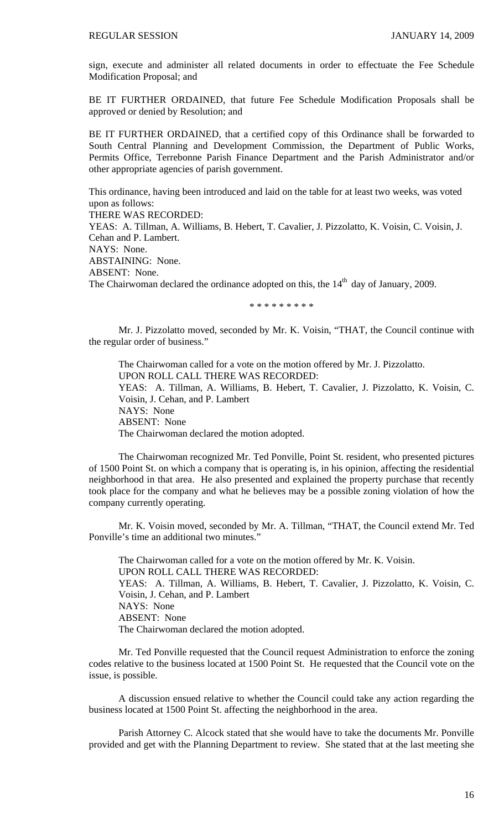sign, execute and administer all related documents in order to effectuate the Fee Schedule Modification Proposal; and

BE IT FURTHER ORDAINED, that future Fee Schedule Modification Proposals shall be approved or denied by Resolution; and

BE IT FURTHER ORDAINED, that a certified copy of this Ordinance shall be forwarded to South Central Planning and Development Commission, the Department of Public Works, Permits Office, Terrebonne Parish Finance Department and the Parish Administrator and/or other appropriate agencies of parish government.

This ordinance, having been introduced and laid on the table for at least two weeks, was voted upon as follows:

THERE WAS RECORDED:

YEAS: A. Tillman, A. Williams, B. Hebert, T. Cavalier, J. Pizzolatto, K. Voisin, C. Voisin, J. Cehan and P. Lambert. NAYS: None. ABSTAINING: None. ABSENT: None. The Chairwoman declared the ordinance adopted on this, the  $14<sup>th</sup>$  day of January, 2009.

\* \* \* \* \* \* \* \* \*

Mr. J. Pizzolatto moved, seconded by Mr. K. Voisin, "THAT, the Council continue with the regular order of business."

 The Chairwoman called for a vote on the motion offered by Mr. J. Pizzolatto. UPON ROLL CALL THERE WAS RECORDED: YEAS: A. Tillman, A. Williams, B. Hebert, T. Cavalier, J. Pizzolatto, K. Voisin, C. Voisin, J. Cehan, and P. Lambert NAYS: None ABSENT: None The Chairwoman declared the motion adopted.

 The Chairwoman recognized Mr. Ted Ponville, Point St. resident, who presented pictures of 1500 Point St. on which a company that is operating is, in his opinion, affecting the residential neighborhood in that area. He also presented and explained the property purchase that recently took place for the company and what he believes may be a possible zoning violation of how the company currently operating.

 Mr. K. Voisin moved, seconded by Mr. A. Tillman, "THAT, the Council extend Mr. Ted Ponville's time an additional two minutes."

 The Chairwoman called for a vote on the motion offered by Mr. K. Voisin. UPON ROLL CALL THERE WAS RECORDED: YEAS: A. Tillman, A. Williams, B. Hebert, T. Cavalier, J. Pizzolatto, K. Voisin, C. Voisin, J. Cehan, and P. Lambert NAYS: None ABSENT: None The Chairwoman declared the motion adopted.

 Mr. Ted Ponville requested that the Council request Administration to enforce the zoning codes relative to the business located at 1500 Point St. He requested that the Council vote on the issue, is possible.

 A discussion ensued relative to whether the Council could take any action regarding the business located at 1500 Point St. affecting the neighborhood in the area.

 Parish Attorney C. Alcock stated that she would have to take the documents Mr. Ponville provided and get with the Planning Department to review. She stated that at the last meeting she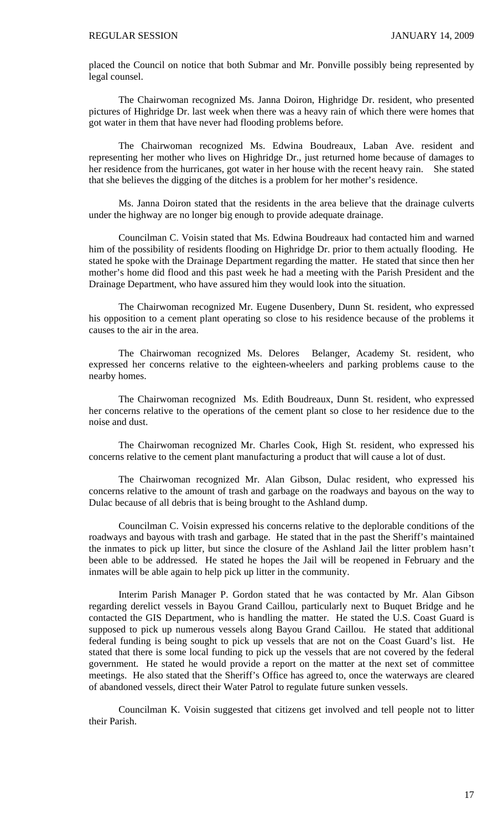placed the Council on notice that both Submar and Mr. Ponville possibly being represented by legal counsel.

 The Chairwoman recognized Ms. Janna Doiron, Highridge Dr. resident, who presented pictures of Highridge Dr. last week when there was a heavy rain of which there were homes that got water in them that have never had flooding problems before.

 The Chairwoman recognized Ms. Edwina Boudreaux, Laban Ave. resident and representing her mother who lives on Highridge Dr., just returned home because of damages to her residence from the hurricanes, got water in her house with the recent heavy rain. She stated that she believes the digging of the ditches is a problem for her mother's residence.

 Ms. Janna Doiron stated that the residents in the area believe that the drainage culverts under the highway are no longer big enough to provide adequate drainage.

 Councilman C. Voisin stated that Ms. Edwina Boudreaux had contacted him and warned him of the possibility of residents flooding on Highridge Dr. prior to them actually flooding. He stated he spoke with the Drainage Department regarding the matter. He stated that since then her mother's home did flood and this past week he had a meeting with the Parish President and the Drainage Department, who have assured him they would look into the situation.

 The Chairwoman recognized Mr. Eugene Dusenbery, Dunn St. resident, who expressed his opposition to a cement plant operating so close to his residence because of the problems it causes to the air in the area.

 The Chairwoman recognized Ms. Delores Belanger, Academy St. resident, who expressed her concerns relative to the eighteen-wheelers and parking problems cause to the nearby homes.

 The Chairwoman recognized Ms. Edith Boudreaux, Dunn St. resident, who expressed her concerns relative to the operations of the cement plant so close to her residence due to the noise and dust.

 The Chairwoman recognized Mr. Charles Cook, High St. resident, who expressed his concerns relative to the cement plant manufacturing a product that will cause a lot of dust.

 The Chairwoman recognized Mr. Alan Gibson, Dulac resident, who expressed his concerns relative to the amount of trash and garbage on the roadways and bayous on the way to Dulac because of all debris that is being brought to the Ashland dump.

 Councilman C. Voisin expressed his concerns relative to the deplorable conditions of the roadways and bayous with trash and garbage. He stated that in the past the Sheriff's maintained the inmates to pick up litter, but since the closure of the Ashland Jail the litter problem hasn't been able to be addressed. He stated he hopes the Jail will be reopened in February and the inmates will be able again to help pick up litter in the community.

 Interim Parish Manager P. Gordon stated that he was contacted by Mr. Alan Gibson regarding derelict vessels in Bayou Grand Caillou, particularly next to Buquet Bridge and he contacted the GIS Department, who is handling the matter. He stated the U.S. Coast Guard is supposed to pick up numerous vessels along Bayou Grand Caillou. He stated that additional federal funding is being sought to pick up vessels that are not on the Coast Guard's list. He stated that there is some local funding to pick up the vessels that are not covered by the federal government. He stated he would provide a report on the matter at the next set of committee meetings. He also stated that the Sheriff's Office has agreed to, once the waterways are cleared of abandoned vessels, direct their Water Patrol to regulate future sunken vessels.

 Councilman K. Voisin suggested that citizens get involved and tell people not to litter their Parish.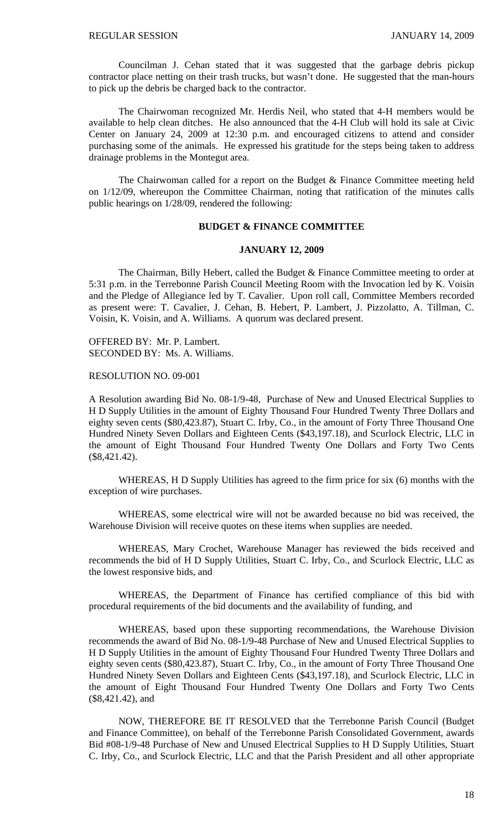Councilman J. Cehan stated that it was suggested that the garbage debris pickup contractor place netting on their trash trucks, but wasn't done. He suggested that the man-hours to pick up the debris be charged back to the contractor.

 The Chairwoman recognized Mr. Herdis Neil, who stated that 4-H members would be available to help clean ditches. He also announced that the 4-H Club will hold its sale at Civic Center on January 24, 2009 at 12:30 p.m. and encouraged citizens to attend and consider purchasing some of the animals. He expressed his gratitude for the steps being taken to address drainage problems in the Montegut area.

 The Chairwoman called for a report on the Budget & Finance Committee meeting held on 1/12/09, whereupon the Committee Chairman, noting that ratification of the minutes calls public hearings on 1/28/09, rendered the following:

# **BUDGET & FINANCE COMMITTEE**

### **JANUARY 12, 2009**

 The Chairman, Billy Hebert, called the Budget & Finance Committee meeting to order at 5:31 p.m. in the Terrebonne Parish Council Meeting Room with the Invocation led by K. Voisin and the Pledge of Allegiance led by T. Cavalier. Upon roll call, Committee Members recorded as present were: T. Cavalier, J. Cehan, B. Hebert, P. Lambert, J. Pizzolatto, A. Tillman, C. Voisin, K. Voisin, and A. Williams. A quorum was declared present.

OFFERED BY: Mr. P. Lambert. SECONDED BY: Ms. A. Williams.

RESOLUTION NO. 09-001

A Resolution awarding Bid No. 08-1/9-48, Purchase of New and Unused Electrical Supplies to H D Supply Utilities in the amount of Eighty Thousand Four Hundred Twenty Three Dollars and eighty seven cents (\$80,423.87), Stuart C. Irby, Co., in the amount of Forty Three Thousand One Hundred Ninety Seven Dollars and Eighteen Cents (\$43,197.18), and Scurlock Electric, LLC in the amount of Eight Thousand Four Hundred Twenty One Dollars and Forty Two Cents (\$8,421.42).

 WHEREAS, H D Supply Utilities has agreed to the firm price for six (6) months with the exception of wire purchases.

 WHEREAS, some electrical wire will not be awarded because no bid was received, the Warehouse Division will receive quotes on these items when supplies are needed.

 WHEREAS, Mary Crochet, Warehouse Manager has reviewed the bids received and recommends the bid of H D Supply Utilities, Stuart C. Irby, Co., and Scurlock Electric, LLC as the lowest responsive bids, and

 WHEREAS, the Department of Finance has certified compliance of this bid with procedural requirements of the bid documents and the availability of funding, and

 WHEREAS, based upon these supporting recommendations, the Warehouse Division recommends the award of Bid No. 08-1/9-48 Purchase of New and Unused Electrical Supplies to H D Supply Utilities in the amount of Eighty Thousand Four Hundred Twenty Three Dollars and eighty seven cents (\$80,423.87), Stuart C. Irby, Co., in the amount of Forty Three Thousand One Hundred Ninety Seven Dollars and Eighteen Cents (\$43,197.18), and Scurlock Electric, LLC in the amount of Eight Thousand Four Hundred Twenty One Dollars and Forty Two Cents (\$8,421.42), and

 NOW, THEREFORE BE IT RESOLVED that the Terrebonne Parish Council (Budget and Finance Committee), on behalf of the Terrebonne Parish Consolidated Government, awards Bid #08-1/9-48 Purchase of New and Unused Electrical Supplies to H D Supply Utilities, Stuart C. Irby, Co., and Scurlock Electric, LLC and that the Parish President and all other appropriate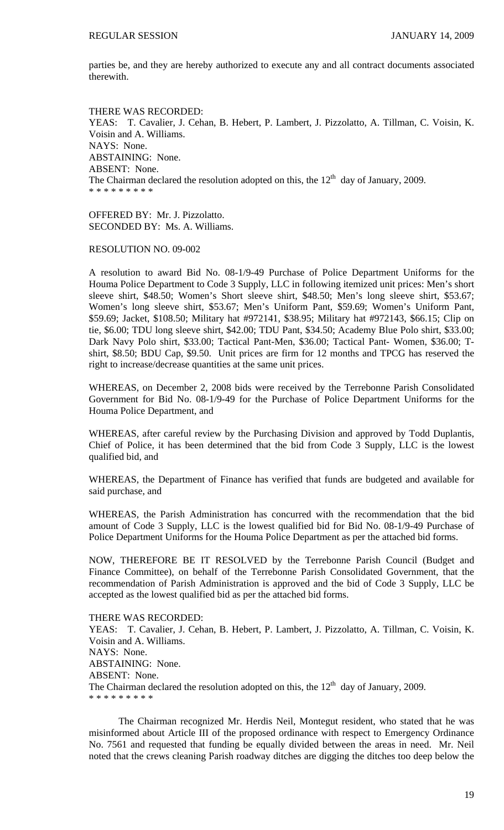parties be, and they are hereby authorized to execute any and all contract documents associated therewith.

THERE WAS RECORDED: YEAS: T. Cavalier, J. Cehan, B. Hebert, P. Lambert, J. Pizzolatto, A. Tillman, C. Voisin, K. Voisin and A. Williams. NAYS: None. ABSTAINING: None. ABSENT: None. The Chairman declared the resolution adopted on this, the  $12<sup>th</sup>$  day of January, 2009. \* \* \* \* \* \* \* \* \*

OFFERED BY: Mr. J. Pizzolatto. SECONDED BY: Ms. A. Williams.

RESOLUTION NO. 09-002

A resolution to award Bid No. 08-1/9-49 Purchase of Police Department Uniforms for the Houma Police Department to Code 3 Supply, LLC in following itemized unit prices: Men's short sleeve shirt, \$48.50; Women's Short sleeve shirt, \$48.50; Men's long sleeve shirt, \$53.67; Women's long sleeve shirt, \$53.67; Men's Uniform Pant, \$59.69; Women's Uniform Pant, \$59.69; Jacket, \$108.50; Military hat #972141, \$38.95; Military hat #972143, \$66.15; Clip on tie, \$6.00; TDU long sleeve shirt, \$42.00; TDU Pant, \$34.50; Academy Blue Polo shirt, \$33.00; Dark Navy Polo shirt, \$33.00; Tactical Pant-Men, \$36.00; Tactical Pant- Women, \$36.00; Tshirt, \$8.50; BDU Cap, \$9.50. Unit prices are firm for 12 months and TPCG has reserved the right to increase/decrease quantities at the same unit prices.

WHEREAS, on December 2, 2008 bids were received by the Terrebonne Parish Consolidated Government for Bid No. 08-1/9-49 for the Purchase of Police Department Uniforms for the Houma Police Department, and

WHEREAS, after careful review by the Purchasing Division and approved by Todd Duplantis, Chief of Police, it has been determined that the bid from Code 3 Supply, LLC is the lowest qualified bid, and

WHEREAS, the Department of Finance has verified that funds are budgeted and available for said purchase, and

WHEREAS, the Parish Administration has concurred with the recommendation that the bid amount of Code 3 Supply, LLC is the lowest qualified bid for Bid No. 08-1/9-49 Purchase of Police Department Uniforms for the Houma Police Department as per the attached bid forms.

NOW, THEREFORE BE IT RESOLVED by the Terrebonne Parish Council (Budget and Finance Committee), on behalf of the Terrebonne Parish Consolidated Government, that the recommendation of Parish Administration is approved and the bid of Code 3 Supply, LLC be accepted as the lowest qualified bid as per the attached bid forms.

THERE WAS RECORDED: YEAS: T. Cavalier, J. Cehan, B. Hebert, P. Lambert, J. Pizzolatto, A. Tillman, C. Voisin, K. Voisin and A. Williams. NAYS: None. ABSTAINING: None. ABSENT: None. The Chairman declared the resolution adopted on this, the  $12<sup>th</sup>$  day of January, 2009. \* \* \* \* \* \* \* \* \*

 The Chairman recognized Mr. Herdis Neil, Montegut resident, who stated that he was misinformed about Article III of the proposed ordinance with respect to Emergency Ordinance No. 7561 and requested that funding be equally divided between the areas in need. Mr. Neil noted that the crews cleaning Parish roadway ditches are digging the ditches too deep below the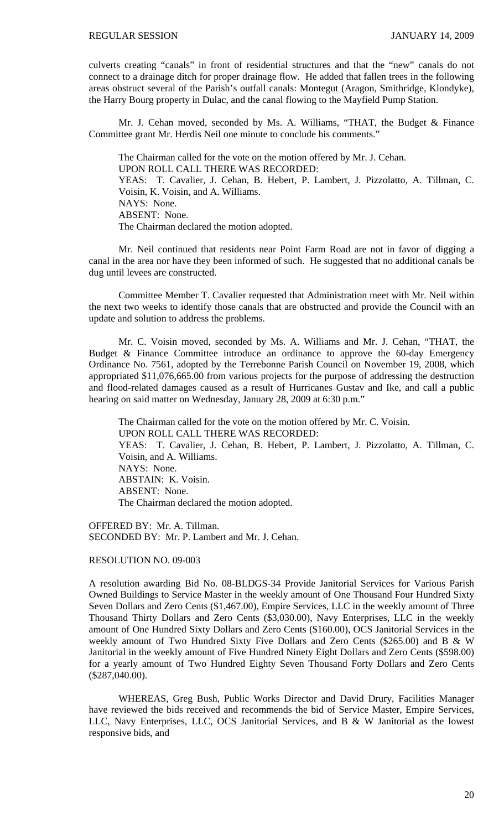culverts creating "canals" in front of residential structures and that the "new" canals do not connect to a drainage ditch for proper drainage flow. He added that fallen trees in the following areas obstruct several of the Parish's outfall canals: Montegut (Aragon, Smithridge, Klondyke), the Harry Bourg property in Dulac, and the canal flowing to the Mayfield Pump Station.

 Mr. J. Cehan moved, seconded by Ms. A. Williams, "THAT, the Budget & Finance Committee grant Mr. Herdis Neil one minute to conclude his comments."

 The Chairman called for the vote on the motion offered by Mr. J. Cehan. UPON ROLL CALL THERE WAS RECORDED: YEAS: T. Cavalier, J. Cehan, B. Hebert, P. Lambert, J. Pizzolatto, A. Tillman, C. Voisin, K. Voisin, and A. Williams. NAYS: None. ABSENT: None. The Chairman declared the motion adopted.

 Mr. Neil continued that residents near Point Farm Road are not in favor of digging a canal in the area nor have they been informed of such. He suggested that no additional canals be dug until levees are constructed.

 Committee Member T. Cavalier requested that Administration meet with Mr. Neil within the next two weeks to identify those canals that are obstructed and provide the Council with an update and solution to address the problems.

 Mr. C. Voisin moved, seconded by Ms. A. Williams and Mr. J. Cehan, "THAT, the Budget & Finance Committee introduce an ordinance to approve the 60-day Emergency Ordinance No. 7561, adopted by the Terrebonne Parish Council on November 19, 2008, which appropriated \$11,076,665.00 from various projects for the purpose of addressing the destruction and flood-related damages caused as a result of Hurricanes Gustav and Ike, and call a public hearing on said matter on Wednesday, January 28, 2009 at 6:30 p.m."

The Chairman called for the vote on the motion offered by Mr. C. Voisin. UPON ROLL CALL THERE WAS RECORDED: YEAS: T. Cavalier, J. Cehan, B. Hebert, P. Lambert, J. Pizzolatto, A. Tillman, C. Voisin, and A. Williams. NAYS: None. ABSTAIN: K. Voisin. ABSENT: None. The Chairman declared the motion adopted.

OFFERED BY: Mr. A. Tillman. SECONDED BY: Mr. P. Lambert and Mr. J. Cehan.

### RESOLUTION NO. 09-003

A resolution awarding Bid No. 08-BLDGS-34 Provide Janitorial Services for Various Parish Owned Buildings to Service Master in the weekly amount of One Thousand Four Hundred Sixty Seven Dollars and Zero Cents (\$1,467.00), Empire Services, LLC in the weekly amount of Three Thousand Thirty Dollars and Zero Cents (\$3,030.00), Navy Enterprises, LLC in the weekly amount of One Hundred Sixty Dollars and Zero Cents (\$160.00), OCS Janitorial Services in the weekly amount of Two Hundred Sixty Five Dollars and Zero Cents (\$265.00) and B & W Janitorial in the weekly amount of Five Hundred Ninety Eight Dollars and Zero Cents (\$598.00) for a yearly amount of Two Hundred Eighty Seven Thousand Forty Dollars and Zero Cents (\$287,040.00).

WHEREAS, Greg Bush, Public Works Director and David Drury, Facilities Manager have reviewed the bids received and recommends the bid of Service Master, Empire Services, LLC, Navy Enterprises, LLC, OCS Janitorial Services, and B & W Janitorial as the lowest responsive bids, and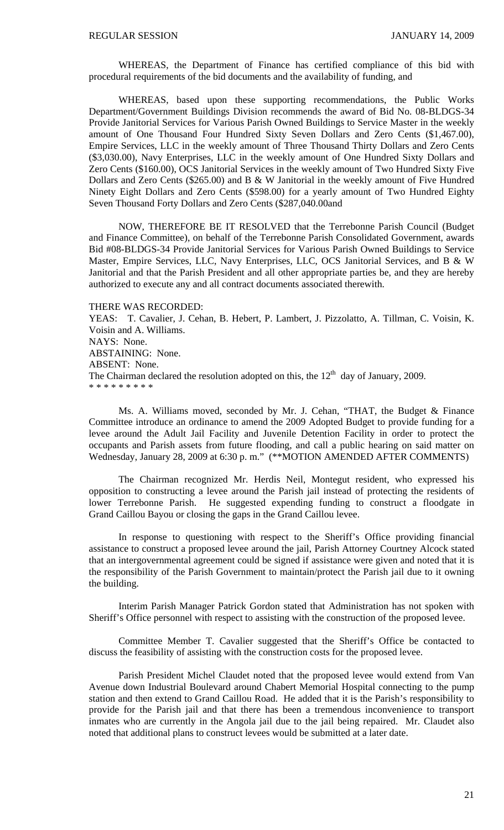WHEREAS, the Department of Finance has certified compliance of this bid with procedural requirements of the bid documents and the availability of funding, and

 WHEREAS, based upon these supporting recommendations, the Public Works Department/Government Buildings Division recommends the award of Bid No. 08-BLDGS-34 Provide Janitorial Services for Various Parish Owned Buildings to Service Master in the weekly amount of One Thousand Four Hundred Sixty Seven Dollars and Zero Cents (\$1,467.00), Empire Services, LLC in the weekly amount of Three Thousand Thirty Dollars and Zero Cents (\$3,030.00), Navy Enterprises, LLC in the weekly amount of One Hundred Sixty Dollars and Zero Cents (\$160.00), OCS Janitorial Services in the weekly amount of Two Hundred Sixty Five Dollars and Zero Cents (\$265.00) and B & W Janitorial in the weekly amount of Five Hundred Ninety Eight Dollars and Zero Cents (\$598.00) for a yearly amount of Two Hundred Eighty Seven Thousand Forty Dollars and Zero Cents (\$287,040.00and

 NOW, THEREFORE BE IT RESOLVED that the Terrebonne Parish Council (Budget and Finance Committee), on behalf of the Terrebonne Parish Consolidated Government, awards Bid #08-BLDGS-34 Provide Janitorial Services for Various Parish Owned Buildings to Service Master, Empire Services, LLC, Navy Enterprises, LLC, OCS Janitorial Services, and B & W Janitorial and that the Parish President and all other appropriate parties be, and they are hereby authorized to execute any and all contract documents associated therewith.

THERE WAS RECORDED:

YEAS: T. Cavalier, J. Cehan, B. Hebert, P. Lambert, J. Pizzolatto, A. Tillman, C. Voisin, K. Voisin and A. Williams. NAYS: None. ABSTAINING: None. ABSENT: None. The Chairman declared the resolution adopted on this, the  $12<sup>th</sup>$  day of January, 2009. \* \* \* \* \* \* \* \* \*

 Ms. A. Williams moved, seconded by Mr. J. Cehan, "THAT, the Budget & Finance Committee introduce an ordinance to amend the 2009 Adopted Budget to provide funding for a levee around the Adult Jail Facility and Juvenile Detention Facility in order to protect the occupants and Parish assets from future flooding, and call a public hearing on said matter on Wednesday, January 28, 2009 at 6:30 p. m." (\*\*MOTION AMENDED AFTER COMMENTS)

 The Chairman recognized Mr. Herdis Neil, Montegut resident, who expressed his opposition to constructing a levee around the Parish jail instead of protecting the residents of lower Terrebonne Parish. He suggested expending funding to construct a floodgate in Grand Caillou Bayou or closing the gaps in the Grand Caillou levee.

 In response to questioning with respect to the Sheriff's Office providing financial assistance to construct a proposed levee around the jail, Parish Attorney Courtney Alcock stated that an intergovernmental agreement could be signed if assistance were given and noted that it is the responsibility of the Parish Government to maintain/protect the Parish jail due to it owning the building.

 Interim Parish Manager Patrick Gordon stated that Administration has not spoken with Sheriff's Office personnel with respect to assisting with the construction of the proposed levee.

 Committee Member T. Cavalier suggested that the Sheriff's Office be contacted to discuss the feasibility of assisting with the construction costs for the proposed levee.

 Parish President Michel Claudet noted that the proposed levee would extend from Van Avenue down Industrial Boulevard around Chabert Memorial Hospital connecting to the pump station and then extend to Grand Caillou Road. He added that it is the Parish's responsibility to provide for the Parish jail and that there has been a tremendous inconvenience to transport inmates who are currently in the Angola jail due to the jail being repaired. Mr. Claudet also noted that additional plans to construct levees would be submitted at a later date.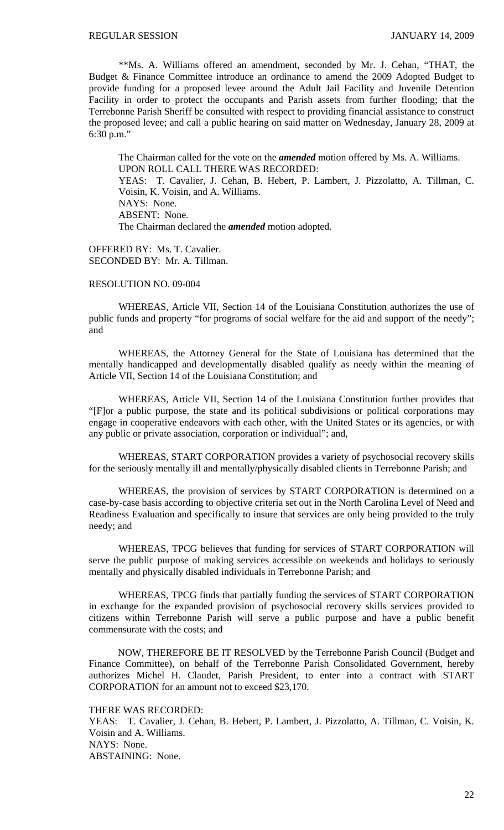\*\*Ms. A. Williams offered an amendment, seconded by Mr. J. Cehan, "THAT, the Budget & Finance Committee introduce an ordinance to amend the 2009 Adopted Budget to provide funding for a proposed levee around the Adult Jail Facility and Juvenile Detention Facility in order to protect the occupants and Parish assets from further flooding; that the Terrebonne Parish Sheriff be consulted with respect to providing financial assistance to construct the proposed levee; and call a public hearing on said matter on Wednesday, January 28, 2009 at 6:30 p.m."

The Chairman called for the vote on the *amended* motion offered by Ms. A. Williams. UPON ROLL CALL THERE WAS RECORDED: YEAS: T. Cavalier, J. Cehan, B. Hebert, P. Lambert, J. Pizzolatto, A. Tillman, C. Voisin, K. Voisin, and A. Williams. NAYS: None. ABSENT: None. The Chairman declared the *amended* motion adopted.

OFFERED BY: Ms. T. Cavalier. SECONDED BY: Mr. A. Tillman.

# RESOLUTION NO. 09-004

WHEREAS, Article VII, Section 14 of the Louisiana Constitution authorizes the use of public funds and property "for programs of social welfare for the aid and support of the needy"; and

WHEREAS, the Attorney General for the State of Louisiana has determined that the mentally handicapped and developmentally disabled qualify as needy within the meaning of Article VII, Section 14 of the Louisiana Constitution; and

 WHEREAS, Article VII, Section 14 of the Louisiana Constitution further provides that "[F]or a public purpose, the state and its political subdivisions or political corporations may engage in cooperative endeavors with each other, with the United States or its agencies, or with any public or private association, corporation or individual"; and,

 WHEREAS, START CORPORATION provides a variety of psychosocial recovery skills for the seriously mentally ill and mentally/physically disabled clients in Terrebonne Parish; and

WHEREAS, the provision of services by START CORPORATION is determined on a case-by-case basis according to objective criteria set out in the North Carolina Level of Need and Readiness Evaluation and specifically to insure that services are only being provided to the truly needy; and

WHEREAS, TPCG believes that funding for services of START CORPORATION will serve the public purpose of making services accessible on weekends and holidays to seriously mentally and physically disabled individuals in Terrebonne Parish; and

WHEREAS, TPCG finds that partially funding the services of START CORPORATION in exchange for the expanded provision of psychosocial recovery skills services provided to citizens within Terrebonne Parish will serve a public purpose and have a public benefit commensurate with the costs; and

NOW, THEREFORE BE IT RESOLVED by the Terrebonne Parish Council (Budget and Finance Committee), on behalf of the Terrebonne Parish Consolidated Government, hereby authorizes Michel H. Claudet, Parish President, to enter into a contract with START CORPORATION for an amount not to exceed \$23,170.

THERE WAS RECORDED:

YEAS: T. Cavalier, J. Cehan, B. Hebert, P. Lambert, J. Pizzolatto, A. Tillman, C. Voisin, K. Voisin and A. Williams. NAYS: None. ABSTAINING: None.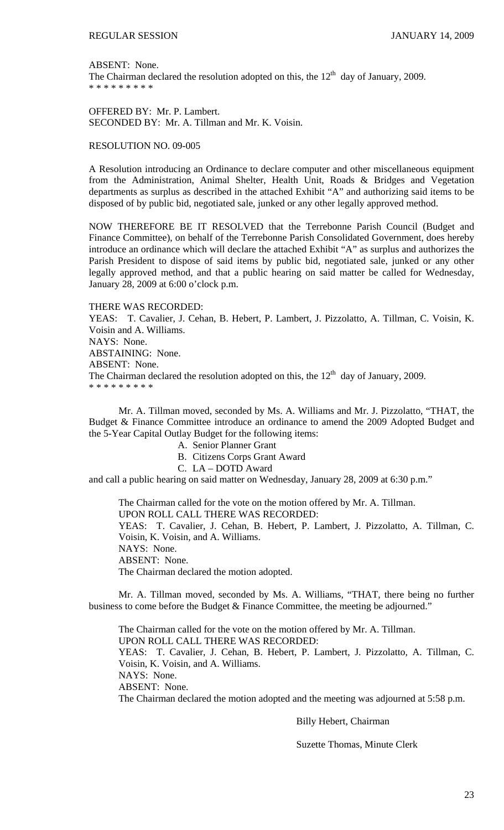ABSENT: None.

The Chairman declared the resolution adopted on this, the  $12<sup>th</sup>$  day of January, 2009. \* \* \* \* \* \* \* \* \*

OFFERED BY: Mr. P. Lambert. SECONDED BY: Mr. A. Tillman and Mr. K. Voisin.

RESOLUTION NO. 09-005

A Resolution introducing an Ordinance to declare computer and other miscellaneous equipment from the Administration, Animal Shelter, Health Unit, Roads & Bridges and Vegetation departments as surplus as described in the attached Exhibit "A" and authorizing said items to be disposed of by public bid, negotiated sale, junked or any other legally approved method.

NOW THEREFORE BE IT RESOLVED that the Terrebonne Parish Council (Budget and Finance Committee), on behalf of the Terrebonne Parish Consolidated Government, does hereby introduce an ordinance which will declare the attached Exhibit "A" as surplus and authorizes the Parish President to dispose of said items by public bid, negotiated sale, junked or any other legally approved method, and that a public hearing on said matter be called for Wednesday, January 28, 2009 at 6:00 o'clock p.m.

THERE WAS RECORDED:

YEAS: T. Cavalier, J. Cehan, B. Hebert, P. Lambert, J. Pizzolatto, A. Tillman, C. Voisin, K. Voisin and A. Williams. NAYS: None. ABSTAINING: None. ABSENT: None. The Chairman declared the resolution adopted on this, the  $12<sup>th</sup>$  day of January, 2009. \* \* \* \* \* \* \* \* \*

 Mr. A. Tillman moved, seconded by Ms. A. Williams and Mr. J. Pizzolatto, "THAT, the Budget & Finance Committee introduce an ordinance to amend the 2009 Adopted Budget and the 5-Year Capital Outlay Budget for the following items:

- A. Senior Planner Grant
- B. Citizens Corps Grant Award
- C. LA DOTD Award

and call a public hearing on said matter on Wednesday, January 28, 2009 at 6:30 p.m."

The Chairman called for the vote on the motion offered by Mr. A. Tillman. UPON ROLL CALL THERE WAS RECORDED:

YEAS: T. Cavalier, J. Cehan, B. Hebert, P. Lambert, J. Pizzolatto, A. Tillman, C. Voisin, K. Voisin, and A. Williams.

NAYS: None.

ABSENT: None.

The Chairman declared the motion adopted.

 Mr. A. Tillman moved, seconded by Ms. A. Williams, "THAT, there being no further business to come before the Budget & Finance Committee, the meeting be adjourned."

The Chairman called for the vote on the motion offered by Mr. A. Tillman.

UPON ROLL CALL THERE WAS RECORDED:

YEAS: T. Cavalier, J. Cehan, B. Hebert, P. Lambert, J. Pizzolatto, A. Tillman, C. Voisin, K. Voisin, and A. Williams.

NAYS: None.

ABSENT: None.

The Chairman declared the motion adopted and the meeting was adjourned at 5:58 p.m.

### Billy Hebert, Chairman

Suzette Thomas, Minute Clerk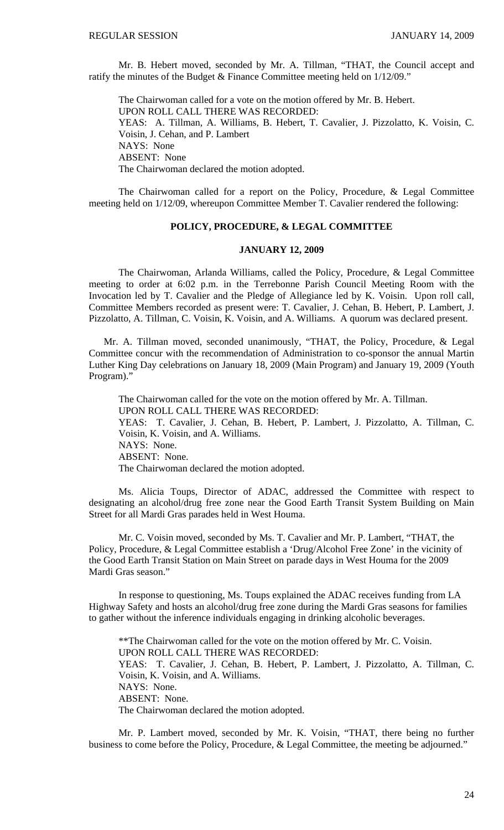Mr. B. Hebert moved, seconded by Mr. A. Tillman, "THAT, the Council accept and ratify the minutes of the Budget & Finance Committee meeting held on 1/12/09."

 The Chairwoman called for a vote on the motion offered by Mr. B. Hebert. UPON ROLL CALL THERE WAS RECORDED: YEAS: A. Tillman, A. Williams, B. Hebert, T. Cavalier, J. Pizzolatto, K. Voisin, C. Voisin, J. Cehan, and P. Lambert NAYS: None ABSENT: None The Chairwoman declared the motion adopted.

 The Chairwoman called for a report on the Policy, Procedure, & Legal Committee meeting held on 1/12/09, whereupon Committee Member T. Cavalier rendered the following:

# **POLICY, PROCEDURE, & LEGAL COMMITTEE**

### **JANUARY 12, 2009**

 The Chairwoman, Arlanda Williams, called the Policy, Procedure, & Legal Committee meeting to order at 6:02 p.m. in the Terrebonne Parish Council Meeting Room with the Invocation led by T. Cavalier and the Pledge of Allegiance led by K. Voisin. Upon roll call, Committee Members recorded as present were: T. Cavalier, J. Cehan, B. Hebert, P. Lambert, J. Pizzolatto, A. Tillman, C. Voisin, K. Voisin, and A. Williams. A quorum was declared present.

 Mr. A. Tillman moved, seconded unanimously, "THAT, the Policy, Procedure, & Legal Committee concur with the recommendation of Administration to co-sponsor the annual Martin Luther King Day celebrations on January 18, 2009 (Main Program) and January 19, 2009 (Youth Program)."

 The Chairwoman called for the vote on the motion offered by Mr. A. Tillman. UPON ROLL CALL THERE WAS RECORDED: YEAS: T. Cavalier, J. Cehan, B. Hebert, P. Lambert, J. Pizzolatto, A. Tillman, C. Voisin, K. Voisin, and A. Williams. NAYS: None. ABSENT: None. The Chairwoman declared the motion adopted.

 Ms. Alicia Toups, Director of ADAC, addressed the Committee with respect to designating an alcohol/drug free zone near the Good Earth Transit System Building on Main Street for all Mardi Gras parades held in West Houma.

Mr. C. Voisin moved, seconded by Ms. T. Cavalier and Mr. P. Lambert, "THAT, the Policy, Procedure, & Legal Committee establish a 'Drug/Alcohol Free Zone' in the vicinity of the Good Earth Transit Station on Main Street on parade days in West Houma for the 2009 Mardi Gras season."

 In response to questioning, Ms. Toups explained the ADAC receives funding from LA Highway Safety and hosts an alcohol/drug free zone during the Mardi Gras seasons for families to gather without the inference individuals engaging in drinking alcoholic beverages.

\*\*The Chairwoman called for the vote on the motion offered by Mr. C. Voisin. UPON ROLL CALL THERE WAS RECORDED: YEAS: T. Cavalier, J. Cehan, B. Hebert, P. Lambert, J. Pizzolatto, A. Tillman, C. Voisin, K. Voisin, and A. Williams. NAYS: None. ABSENT: None. The Chairwoman declared the motion adopted.

 Mr. P. Lambert moved, seconded by Mr. K. Voisin, "THAT, there being no further business to come before the Policy, Procedure, & Legal Committee, the meeting be adjourned."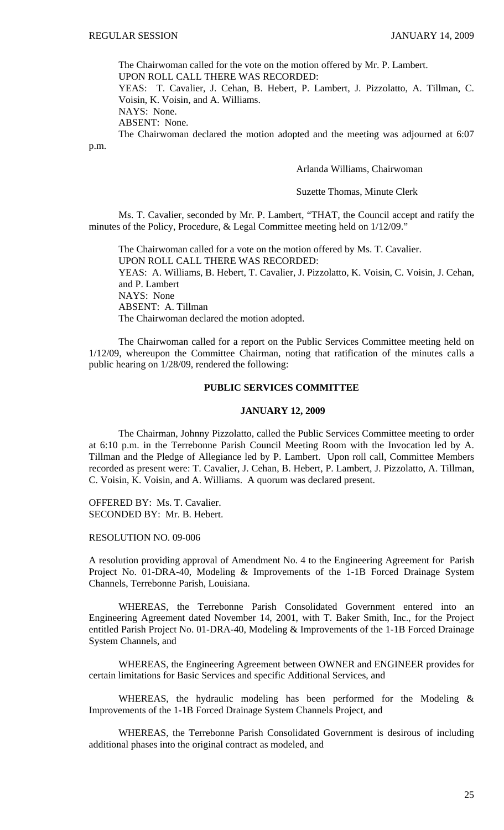The Chairwoman called for the vote on the motion offered by Mr. P. Lambert.

UPON ROLL CALL THERE WAS RECORDED:

YEAS: T. Cavalier, J. Cehan, B. Hebert, P. Lambert, J. Pizzolatto, A. Tillman, C. Voisin, K. Voisin, and A. Williams.

NAYS: None.

ABSENT: None.

 The Chairwoman declared the motion adopted and the meeting was adjourned at 6:07 p.m.

Arlanda Williams, Chairwoman

Suzette Thomas, Minute Clerk

Ms. T. Cavalier, seconded by Mr. P. Lambert, "THAT, the Council accept and ratify the minutes of the Policy, Procedure, & Legal Committee meeting held on 1/12/09."

 The Chairwoman called for a vote on the motion offered by Ms. T. Cavalier. UPON ROLL CALL THERE WAS RECORDED: YEAS: A. Williams, B. Hebert, T. Cavalier, J. Pizzolatto, K. Voisin, C. Voisin, J. Cehan, and P. Lambert NAYS: None ABSENT: A. Tillman The Chairwoman declared the motion adopted.

 The Chairwoman called for a report on the Public Services Committee meeting held on 1/12/09, whereupon the Committee Chairman, noting that ratification of the minutes calls a public hearing on 1/28/09, rendered the following:

# **PUBLIC SERVICES COMMITTEE**

### **JANUARY 12, 2009**

 The Chairman, Johnny Pizzolatto, called the Public Services Committee meeting to order at 6:10 p.m. in the Terrebonne Parish Council Meeting Room with the Invocation led by A. Tillman and the Pledge of Allegiance led by P. Lambert. Upon roll call, Committee Members recorded as present were: T. Cavalier, J. Cehan, B. Hebert, P. Lambert, J. Pizzolatto, A. Tillman, C. Voisin, K. Voisin, and A. Williams. A quorum was declared present.

OFFERED BY: Ms. T. Cavalier. SECONDED BY: Mr. B. Hebert.

RESOLUTION NO. 09-006

A resolution providing approval of Amendment No. 4 to the Engineering Agreement for Parish Project No. 01-DRA-40, Modeling & Improvements of the 1-1B Forced Drainage System Channels, Terrebonne Parish, Louisiana.

WHEREAS, the Terrebonne Parish Consolidated Government entered into an Engineering Agreement dated November 14, 2001, with T. Baker Smith, Inc., for the Project entitled Parish Project No. 01-DRA-40, Modeling & Improvements of the 1-1B Forced Drainage System Channels, and

WHEREAS, the Engineering Agreement between OWNER and ENGINEER provides for certain limitations for Basic Services and specific Additional Services, and

WHEREAS, the hydraulic modeling has been performed for the Modeling & Improvements of the 1-1B Forced Drainage System Channels Project, and

WHEREAS, the Terrebonne Parish Consolidated Government is desirous of including additional phases into the original contract as modeled, and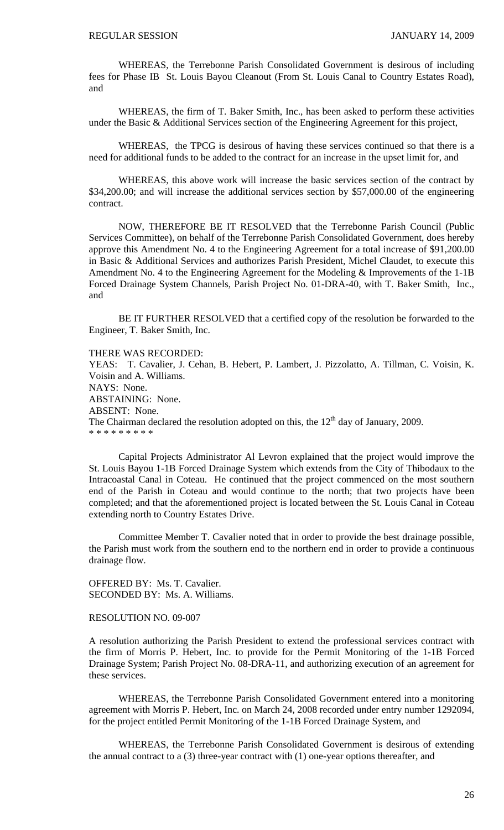WHEREAS, the Terrebonne Parish Consolidated Government is desirous of including fees for Phase IB St. Louis Bayou Cleanout (From St. Louis Canal to Country Estates Road), and

WHEREAS, the firm of T. Baker Smith, Inc., has been asked to perform these activities under the Basic & Additional Services section of the Engineering Agreement for this project,

WHEREAS, the TPCG is desirous of having these services continued so that there is a need for additional funds to be added to the contract for an increase in the upset limit for, and

WHEREAS, this above work will increase the basic services section of the contract by \$34,200.00; and will increase the additional services section by \$57,000.00 of the engineering contract.

NOW, THEREFORE BE IT RESOLVED that the Terrebonne Parish Council (Public Services Committee), on behalf of the Terrebonne Parish Consolidated Government, does hereby approve this Amendment No. 4 to the Engineering Agreement for a total increase of \$91,200.00 in Basic & Additional Services and authorizes Parish President, Michel Claudet, to execute this Amendment No. 4 to the Engineering Agreement for the Modeling & Improvements of the 1-1B Forced Drainage System Channels, Parish Project No. 01-DRA-40, with T. Baker Smith, Inc., and

BE IT FURTHER RESOLVED that a certified copy of the resolution be forwarded to the Engineer, T. Baker Smith, Inc.

# THERE WAS RECORDED:

YEAS: T. Cavalier, J. Cehan, B. Hebert, P. Lambert, J. Pizzolatto, A. Tillman, C. Voisin, K. Voisin and A. Williams. NAYS: None. ABSTAINING: None. ABSENT: None. The Chairman declared the resolution adopted on this, the  $12<sup>th</sup>$  day of January, 2009. \* \* \* \* \* \* \* \* \*

 Capital Projects Administrator Al Levron explained that the project would improve the St. Louis Bayou 1-1B Forced Drainage System which extends from the City of Thibodaux to the Intracoastal Canal in Coteau. He continued that the project commenced on the most southern end of the Parish in Coteau and would continue to the north; that two projects have been completed; and that the aforementioned project is located between the St. Louis Canal in Coteau extending north to Country Estates Drive.

 Committee Member T. Cavalier noted that in order to provide the best drainage possible, the Parish must work from the southern end to the northern end in order to provide a continuous drainage flow.

OFFERED BY: Ms. T. Cavalier. SECONDED BY: Ms. A. Williams.

### RESOLUTION NO. 09-007

A resolution authorizing the Parish President to extend the professional services contract with the firm of Morris P. Hebert, Inc. to provide for the Permit Monitoring of the 1-1B Forced Drainage System; Parish Project No. 08-DRA-11, and authorizing execution of an agreement for these services.

 WHEREAS, the Terrebonne Parish Consolidated Government entered into a monitoring agreement with Morris P. Hebert, Inc. on March 24, 2008 recorded under entry number 1292094, for the project entitled Permit Monitoring of the 1-1B Forced Drainage System, and

 WHEREAS, the Terrebonne Parish Consolidated Government is desirous of extending the annual contract to a (3) three-year contract with (1) one-year options thereafter, and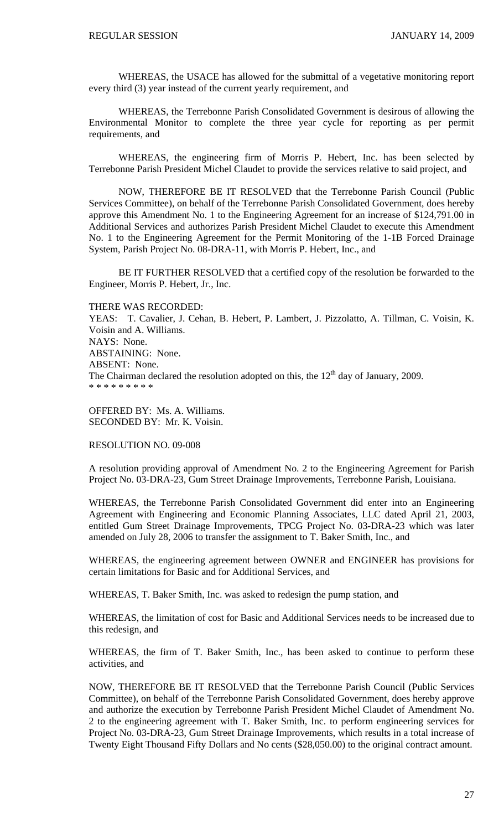WHEREAS, the USACE has allowed for the submittal of a vegetative monitoring report every third (3) year instead of the current yearly requirement, and

 WHEREAS, the Terrebonne Parish Consolidated Government is desirous of allowing the Environmental Monitor to complete the three year cycle for reporting as per permit requirements, and

 WHEREAS, the engineering firm of Morris P. Hebert, Inc. has been selected by Terrebonne Parish President Michel Claudet to provide the services relative to said project, and

NOW, THEREFORE BE IT RESOLVED that the Terrebonne Parish Council (Public Services Committee), on behalf of the Terrebonne Parish Consolidated Government, does hereby approve this Amendment No. 1 to the Engineering Agreement for an increase of \$124,791.00 in Additional Services and authorizes Parish President Michel Claudet to execute this Amendment No. 1 to the Engineering Agreement for the Permit Monitoring of the 1-1B Forced Drainage System, Parish Project No. 08-DRA-11, with Morris P. Hebert, Inc., and

BE IT FURTHER RESOLVED that a certified copy of the resolution be forwarded to the Engineer, Morris P. Hebert, Jr., Inc.

THERE WAS RECORDED: YEAS: T. Cavalier, J. Cehan, B. Hebert, P. Lambert, J. Pizzolatto, A. Tillman, C. Voisin, K. Voisin and A. Williams. NAYS: None. ABSTAINING: None. ABSENT: None. The Chairman declared the resolution adopted on this, the  $12<sup>th</sup>$  day of January, 2009. \* \* \* \* \* \* \* \* \*

OFFERED BY: Ms. A. Williams. SECONDED BY: Mr. K. Voisin.

RESOLUTION NO. 09-008

A resolution providing approval of Amendment No. 2 to the Engineering Agreement for Parish Project No. 03-DRA-23, Gum Street Drainage Improvements, Terrebonne Parish, Louisiana.

WHEREAS, the Terrebonne Parish Consolidated Government did enter into an Engineering Agreement with Engineering and Economic Planning Associates, LLC dated April 21, 2003, entitled Gum Street Drainage Improvements, TPCG Project No. 03-DRA-23 which was later amended on July 28, 2006 to transfer the assignment to T. Baker Smith, Inc., and

WHEREAS, the engineering agreement between OWNER and ENGINEER has provisions for certain limitations for Basic and for Additional Services, and

WHEREAS, T. Baker Smith, Inc. was asked to redesign the pump station, and

WHEREAS, the limitation of cost for Basic and Additional Services needs to be increased due to this redesign, and

WHEREAS, the firm of T. Baker Smith, Inc., has been asked to continue to perform these activities, and

NOW, THEREFORE BE IT RESOLVED that the Terrebonne Parish Council (Public Services Committee), on behalf of the Terrebonne Parish Consolidated Government, does hereby approve and authorize the execution by Terrebonne Parish President Michel Claudet of Amendment No. 2 to the engineering agreement with T. Baker Smith, Inc. to perform engineering services for Project No. 03-DRA-23, Gum Street Drainage Improvements, which results in a total increase of Twenty Eight Thousand Fifty Dollars and No cents (\$28,050.00) to the original contract amount.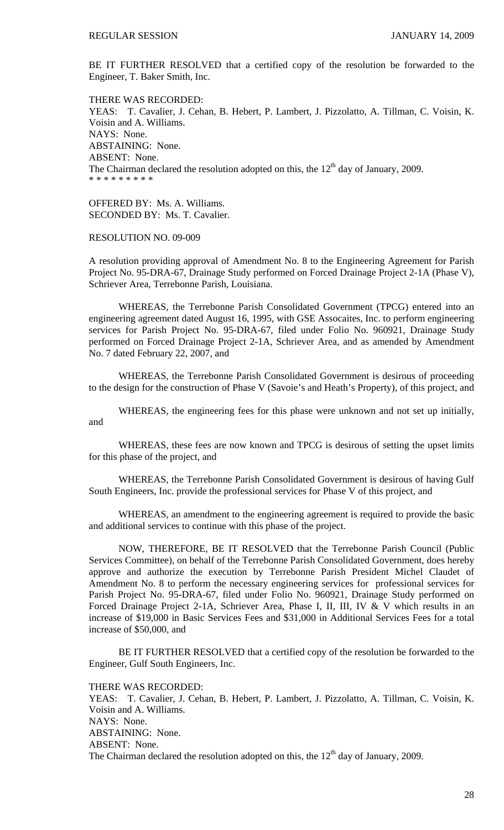BE IT FURTHER RESOLVED that a certified copy of the resolution be forwarded to the Engineer, T. Baker Smith, Inc.

THERE WAS RECORDED: YEAS: T. Cavalier, J. Cehan, B. Hebert, P. Lambert, J. Pizzolatto, A. Tillman, C. Voisin, K. Voisin and A. Williams. NAYS: None. ABSTAINING: None. ABSENT: None. The Chairman declared the resolution adopted on this, the  $12<sup>th</sup>$  day of January, 2009. \* \* \* \* \* \* \* \* \*

OFFERED BY: Ms. A. Williams. SECONDED BY: Ms. T. Cavalier.

RESOLUTION NO. 09-009

A resolution providing approval of Amendment No. 8 to the Engineering Agreement for Parish Project No. 95-DRA-67, Drainage Study performed on Forced Drainage Project 2-1A (Phase V), Schriever Area, Terrebonne Parish, Louisiana.

 WHEREAS, the Terrebonne Parish Consolidated Government (TPCG) entered into an engineering agreement dated August 16, 1995, with GSE Assocaites, Inc. to perform engineering services for Parish Project No. 95-DRA-67, filed under Folio No. 960921, Drainage Study performed on Forced Drainage Project 2-1A, Schriever Area, and as amended by Amendment No. 7 dated February 22, 2007, and

 WHEREAS, the Terrebonne Parish Consolidated Government is desirous of proceeding to the design for the construction of Phase V (Savoie's and Heath's Property), of this project, and

 WHEREAS, the engineering fees for this phase were unknown and not set up initially, and

 WHEREAS, these fees are now known and TPCG is desirous of setting the upset limits for this phase of the project, and

 WHEREAS, the Terrebonne Parish Consolidated Government is desirous of having Gulf South Engineers, Inc. provide the professional services for Phase V of this project, and

 WHEREAS, an amendment to the engineering agreement is required to provide the basic and additional services to continue with this phase of the project.

 NOW, THEREFORE, BE IT RESOLVED that the Terrebonne Parish Council (Public Services Committee), on behalf of the Terrebonne Parish Consolidated Government, does hereby approve and authorize the execution by Terrebonne Parish President Michel Claudet of Amendment No. 8 to perform the necessary engineering services for professional services for Parish Project No. 95-DRA-67, filed under Folio No. 960921, Drainage Study performed on Forced Drainage Project 2-1A, Schriever Area, Phase I, II, III, IV & V which results in an increase of \$19,000 in Basic Services Fees and \$31,000 in Additional Services Fees for a total increase of \$50,000, and

 BE IT FURTHER RESOLVED that a certified copy of the resolution be forwarded to the Engineer, Gulf South Engineers, Inc.

THERE WAS RECORDED: YEAS: T. Cavalier, J. Cehan, B. Hebert, P. Lambert, J. Pizzolatto, A. Tillman, C. Voisin, K. Voisin and A. Williams. NAYS: None. ABSTAINING: None. ABSENT: None. The Chairman declared the resolution adopted on this, the  $12<sup>th</sup>$  day of January, 2009.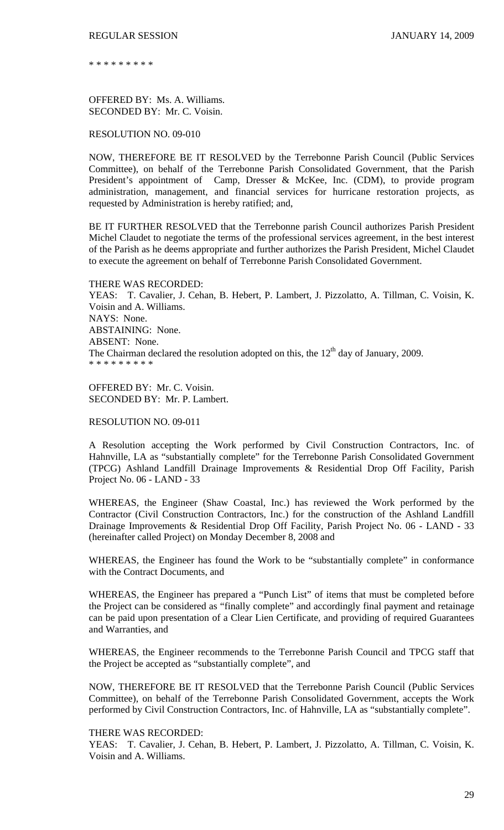\* \* \* \* \* \* \* \* \*

OFFERED BY: Ms. A. Williams. SECONDED BY: Mr. C. Voisin.

# RESOLUTION NO. 09-010

NOW, THEREFORE BE IT RESOLVED by the Terrebonne Parish Council (Public Services Committee), on behalf of the Terrebonne Parish Consolidated Government, that the Parish President's appointment of Camp, Dresser & McKee, Inc. (CDM), to provide program administration, management, and financial services for hurricane restoration projects, as requested by Administration is hereby ratified; and,

BE IT FURTHER RESOLVED that the Terrebonne parish Council authorizes Parish President Michel Claudet to negotiate the terms of the professional services agreement, in the best interest of the Parish as he deems appropriate and further authorizes the Parish President, Michel Claudet to execute the agreement on behalf of Terrebonne Parish Consolidated Government.

THERE WAS RECORDED: YEAS: T. Cavalier, J. Cehan, B. Hebert, P. Lambert, J. Pizzolatto, A. Tillman, C. Voisin, K. Voisin and A. Williams. NAYS: None. ABSTAINING: None. ABSENT: None. The Chairman declared the resolution adopted on this, the  $12<sup>th</sup>$  day of January, 2009. \* \* \* \* \* \* \* \* \*

OFFERED BY: Mr. C. Voisin. SECONDED BY: Mr. P. Lambert.

# RESOLUTION NO. 09-011

A Resolution accepting the Work performed by Civil Construction Contractors, Inc. of Hahnville, LA as "substantially complete" for the Terrebonne Parish Consolidated Government (TPCG) Ashland Landfill Drainage Improvements & Residential Drop Off Facility, Parish Project No. 06 - LAND - 33

WHEREAS, the Engineer (Shaw Coastal, Inc.) has reviewed the Work performed by the Contractor (Civil Construction Contractors, Inc.) for the construction of the Ashland Landfill Drainage Improvements & Residential Drop Off Facility, Parish Project No. 06 - LAND - 33 (hereinafter called Project) on Monday December 8, 2008 and

WHEREAS, the Engineer has found the Work to be "substantially complete" in conformance with the Contract Documents, and

WHEREAS, the Engineer has prepared a "Punch List" of items that must be completed before the Project can be considered as "finally complete" and accordingly final payment and retainage can be paid upon presentation of a Clear Lien Certificate, and providing of required Guarantees and Warranties, and

WHEREAS, the Engineer recommends to the Terrebonne Parish Council and TPCG staff that the Project be accepted as "substantially complete", and

NOW, THEREFORE BE IT RESOLVED that the Terrebonne Parish Council (Public Services Committee), on behalf of the Terrebonne Parish Consolidated Government, accepts the Work performed by Civil Construction Contractors, Inc. of Hahnville, LA as "substantially complete".

#### THERE WAS RECORDED:

YEAS: T. Cavalier, J. Cehan, B. Hebert, P. Lambert, J. Pizzolatto, A. Tillman, C. Voisin, K. Voisin and A. Williams.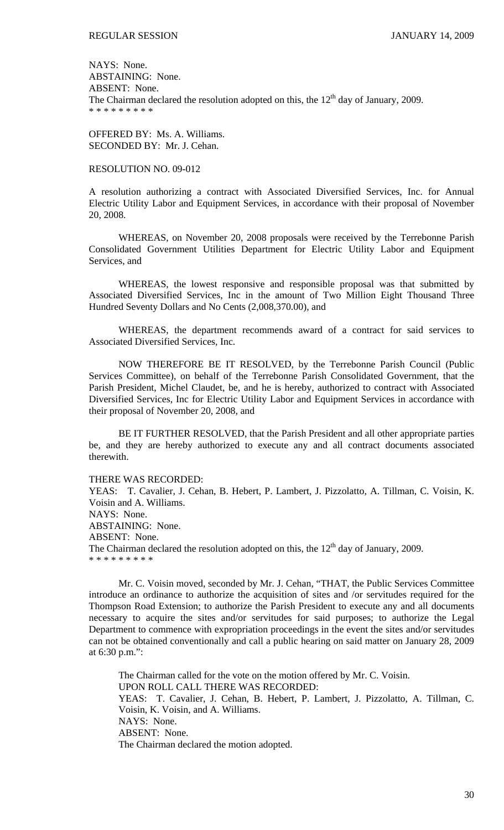NAYS: None. ABSTAINING: None. ABSENT: None. The Chairman declared the resolution adopted on this, the  $12<sup>th</sup>$  day of January, 2009. \* \* \* \* \* \* \* \* \*

OFFERED BY: Ms. A. Williams. SECONDED BY: Mr. J. Cehan.

## RESOLUTION NO. 09-012

A resolution authorizing a contract with Associated Diversified Services, Inc. for Annual Electric Utility Labor and Equipment Services, in accordance with their proposal of November 20, 2008.

 WHEREAS, on November 20, 2008 proposals were received by the Terrebonne Parish Consolidated Government Utilities Department for Electric Utility Labor and Equipment Services, and

 WHEREAS, the lowest responsive and responsible proposal was that submitted by Associated Diversified Services, Inc in the amount of Two Million Eight Thousand Three Hundred Seventy Dollars and No Cents (2,008,370.00), and

 WHEREAS, the department recommends award of a contract for said services to Associated Diversified Services, Inc.

NOW THEREFORE BE IT RESOLVED, by the Terrebonne Parish Council (Public Services Committee), on behalf of the Terrebonne Parish Consolidated Government, that the Parish President, Michel Claudet, be, and he is hereby, authorized to contract with Associated Diversified Services, Inc for Electric Utility Labor and Equipment Services in accordance with their proposal of November 20, 2008, and

BE IT FURTHER RESOLVED, that the Parish President and all other appropriate parties be, and they are hereby authorized to execute any and all contract documents associated therewith.

#### THERE WAS RECORDED:

YEAS: T. Cavalier, J. Cehan, B. Hebert, P. Lambert, J. Pizzolatto, A. Tillman, C. Voisin, K. Voisin and A. Williams. NAYS: None. ABSTAINING: None. ABSENT: None. The Chairman declared the resolution adopted on this, the  $12<sup>th</sup>$  day of January, 2009. \* \* \* \* \* \* \* \* \*

 Mr. C. Voisin moved, seconded by Mr. J. Cehan, "THAT, the Public Services Committee introduce an ordinance to authorize the acquisition of sites and /or servitudes required for the Thompson Road Extension; to authorize the Parish President to execute any and all documents necessary to acquire the sites and/or servitudes for said purposes; to authorize the Legal Department to commence with expropriation proceedings in the event the sites and/or servitudes can not be obtained conventionally and call a public hearing on said matter on January 28, 2009 at 6:30 p.m.":

 The Chairman called for the vote on the motion offered by Mr. C. Voisin. UPON ROLL CALL THERE WAS RECORDED: YEAS: T. Cavalier, J. Cehan, B. Hebert, P. Lambert, J. Pizzolatto, A. Tillman, C. Voisin, K. Voisin, and A. Williams. NAYS: None. ABSENT: None. The Chairman declared the motion adopted.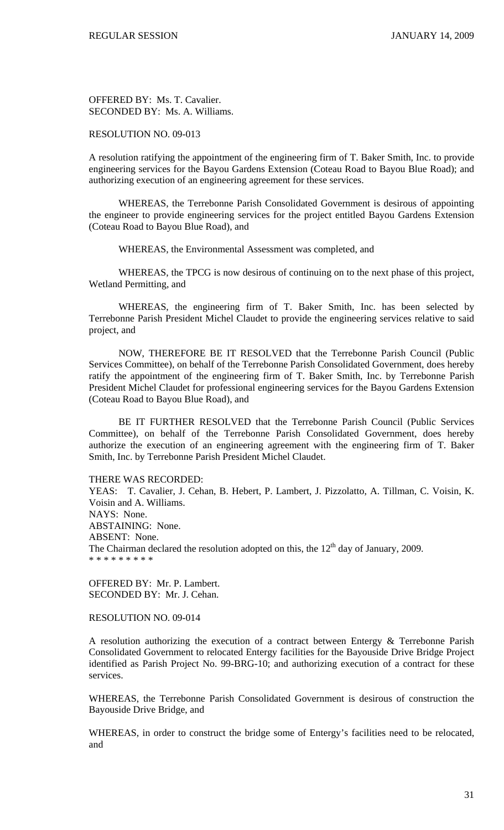OFFERED BY: Ms. T. Cavalier. SECONDED BY: Ms. A. Williams.

# RESOLUTION NO. 09-013

A resolution ratifying the appointment of the engineering firm of T. Baker Smith, Inc. to provide engineering services for the Bayou Gardens Extension (Coteau Road to Bayou Blue Road); and authorizing execution of an engineering agreement for these services.

 WHEREAS, the Terrebonne Parish Consolidated Government is desirous of appointing the engineer to provide engineering services for the project entitled Bayou Gardens Extension (Coteau Road to Bayou Blue Road), and

WHEREAS, the Environmental Assessment was completed, and

 WHEREAS, the TPCG is now desirous of continuing on to the next phase of this project, Wetland Permitting, and

 WHEREAS, the engineering firm of T. Baker Smith, Inc. has been selected by Terrebonne Parish President Michel Claudet to provide the engineering services relative to said project, and

 NOW, THEREFORE BE IT RESOLVED that the Terrebonne Parish Council (Public Services Committee), on behalf of the Terrebonne Parish Consolidated Government, does hereby ratify the appointment of the engineering firm of T. Baker Smith, Inc. by Terrebonne Parish President Michel Claudet for professional engineering services for the Bayou Gardens Extension (Coteau Road to Bayou Blue Road), and

 BE IT FURTHER RESOLVED that the Terrebonne Parish Council (Public Services Committee), on behalf of the Terrebonne Parish Consolidated Government, does hereby authorize the execution of an engineering agreement with the engineering firm of T. Baker Smith, Inc. by Terrebonne Parish President Michel Claudet.

THERE WAS RECORDED:

YEAS: T. Cavalier, J. Cehan, B. Hebert, P. Lambert, J. Pizzolatto, A. Tillman, C. Voisin, K. Voisin and A. Williams. NAYS: None. ABSTAINING: None. ABSENT: None. The Chairman declared the resolution adopted on this, the  $12<sup>th</sup>$  day of January, 2009. \* \* \* \* \* \* \* \* \*

OFFERED BY: Mr. P. Lambert. SECONDED BY: Mr. J. Cehan.

RESOLUTION NO. 09-014

A resolution authorizing the execution of a contract between Entergy & Terrebonne Parish Consolidated Government to relocated Entergy facilities for the Bayouside Drive Bridge Project identified as Parish Project No. 99-BRG-10; and authorizing execution of a contract for these services.

WHEREAS, the Terrebonne Parish Consolidated Government is desirous of construction the Bayouside Drive Bridge, and

WHEREAS, in order to construct the bridge some of Entergy's facilities need to be relocated, and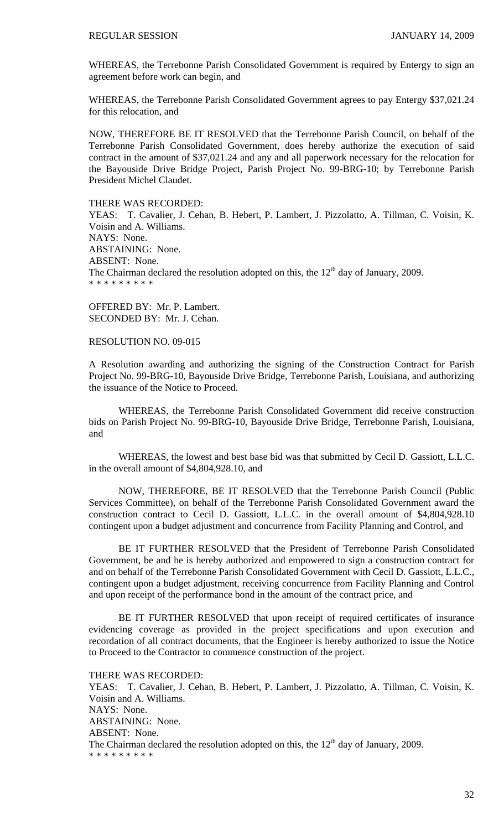WHEREAS, the Terrebonne Parish Consolidated Government is required by Entergy to sign an agreement before work can begin, and

WHEREAS, the Terrebonne Parish Consolidated Government agrees to pay Entergy \$37,021.24 for this relocation, and

NOW, THEREFORE BE IT RESOLVED that the Terrebonne Parish Council, on behalf of the Terrebonne Parish Consolidated Government, does hereby authorize the execution of said contract in the amount of \$37,021.24 and any and all paperwork necessary for the relocation for the Bayouside Drive Bridge Project, Parish Project No. 99-BRG-10; by Terrebonne Parish President Michel Claudet.

### THERE WAS RECORDED:

YEAS: T. Cavalier, J. Cehan, B. Hebert, P. Lambert, J. Pizzolatto, A. Tillman, C. Voisin, K. Voisin and A. Williams. NAYS: None. ABSTAINING: None. ABSENT: None. The Chairman declared the resolution adopted on this, the  $12<sup>th</sup>$  day of January, 2009. \* \* \* \* \* \* \* \* \*

OFFERED BY: Mr. P. Lambert. SECONDED BY: Mr. J. Cehan.

RESOLUTION NO. 09-015

A Resolution awarding and authorizing the signing of the Construction Contract for Parish Project No. 99-BRG-10, Bayouside Drive Bridge, Terrebonne Parish, Louisiana, and authorizing the issuance of the Notice to Proceed.

 WHEREAS, the Terrebonne Parish Consolidated Government did receive construction bids on Parish Project No. 99-BRG-10, Bayouside Drive Bridge, Terrebonne Parish, Louisiana, and

 WHEREAS, the lowest and best base bid was that submitted by Cecil D. Gassiott, L.L.C. in the overall amount of \$4,804,928.10, and

 NOW, THEREFORE, BE IT RESOLVED that the Terrebonne Parish Council (Public Services Committee), on behalf of the Terrebonne Parish Consolidated Government award the construction contract to Cecil D. Gassiott, L.L.C. in the overall amount of \$4,804,928.10 contingent upon a budget adjustment and concurrence from Facility Planning and Control, and

 BE IT FURTHER RESOLVED that the President of Terrebonne Parish Consolidated Government, be and he is hereby authorized and empowered to sign a construction contract for and on behalf of the Terrebonne Parish Consolidated Government with Cecil D. Gassiott, L.L.C., contingent upon a budget adjustment, receiving concurrence from Facility Planning and Control and upon receipt of the performance bond in the amount of the contract price, and

 BE IT FURTHER RESOLVED that upon receipt of required certificates of insurance evidencing coverage as provided in the project specifications and upon execution and recordation of all contract documents, that the Engineer is hereby authorized to issue the Notice to Proceed to the Contractor to commence construction of the project.

THERE WAS RECORDED:

YEAS: T. Cavalier, J. Cehan, B. Hebert, P. Lambert, J. Pizzolatto, A. Tillman, C. Voisin, K. Voisin and A. Williams. NAYS: None. ABSTAINING: None. ABSENT: None. The Chairman declared the resolution adopted on this, the  $12<sup>th</sup>$  day of January, 2009. \* \* \* \* \* \* \* \* \*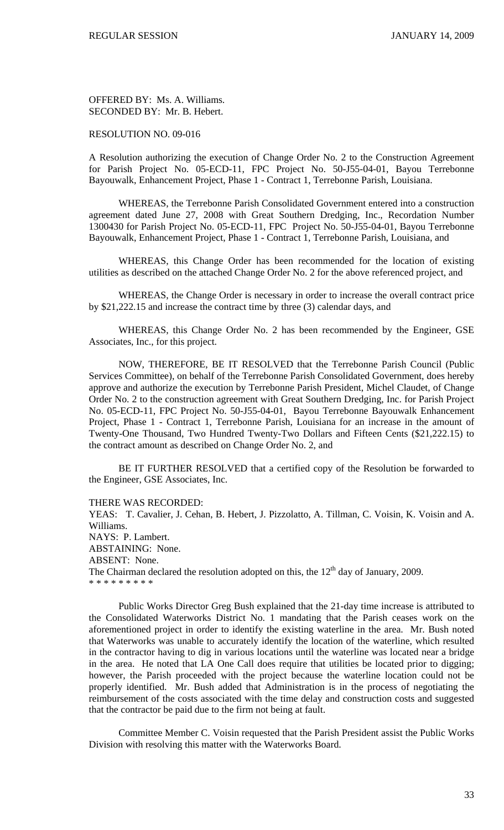OFFERED BY: Ms. A. Williams. SECONDED BY: Mr. B. Hebert.

### RESOLUTION NO. 09-016

A Resolution authorizing the execution of Change Order No. 2 to the Construction Agreement for Parish Project No. 05-ECD-11, FPC Project No. 50-J55-04-01, Bayou Terrebonne Bayouwalk, Enhancement Project, Phase 1 - Contract 1, Terrebonne Parish, Louisiana.

 WHEREAS, the Terrebonne Parish Consolidated Government entered into a construction agreement dated June 27, 2008 with Great Southern Dredging, Inc., Recordation Number 1300430 for Parish Project No. 05-ECD-11, FPC Project No. 50-J55-04-01, Bayou Terrebonne Bayouwalk, Enhancement Project, Phase 1 - Contract 1, Terrebonne Parish, Louisiana, and

 WHEREAS, this Change Order has been recommended for the location of existing utilities as described on the attached Change Order No. 2 for the above referenced project, and

 WHEREAS, the Change Order is necessary in order to increase the overall contract price by \$21,222.15 and increase the contract time by three (3) calendar days, and

 WHEREAS, this Change Order No. 2 has been recommended by the Engineer, GSE Associates, Inc., for this project.

 NOW, THEREFORE, BE IT RESOLVED that the Terrebonne Parish Council (Public Services Committee), on behalf of the Terrebonne Parish Consolidated Government, does hereby approve and authorize the execution by Terrebonne Parish President, Michel Claudet, of Change Order No. 2 to the construction agreement with Great Southern Dredging, Inc. for Parish Project No. 05-ECD-11, FPC Project No. 50-J55-04-01, Bayou Terrebonne Bayouwalk Enhancement Project, Phase 1 - Contract 1, Terrebonne Parish, Louisiana for an increase in the amount of Twenty-One Thousand, Two Hundred Twenty-Two Dollars and Fifteen Cents (\$21,222.15) to the contract amount as described on Change Order No. 2, and

 BE IT FURTHER RESOLVED that a certified copy of the Resolution be forwarded to the Engineer, GSE Associates, Inc.

THERE WAS RECORDED:

YEAS: T. Cavalier, J. Cehan, B. Hebert, J. Pizzolatto, A. Tillman, C. Voisin, K. Voisin and A. Williams. NAYS: P. Lambert. ABSTAINING: None. ABSENT: None. The Chairman declared the resolution adopted on this, the  $12<sup>th</sup>$  day of January, 2009. \* \* \* \* \* \* \* \* \*

 Public Works Director Greg Bush explained that the 21-day time increase is attributed to the Consolidated Waterworks District No. 1 mandating that the Parish ceases work on the aforementioned project in order to identify the existing waterline in the area. Mr. Bush noted that Waterworks was unable to accurately identify the location of the waterline, which resulted in the contractor having to dig in various locations until the waterline was located near a bridge in the area. He noted that LA One Call does require that utilities be located prior to digging; however, the Parish proceeded with the project because the waterline location could not be properly identified. Mr. Bush added that Administration is in the process of negotiating the reimbursement of the costs associated with the time delay and construction costs and suggested that the contractor be paid due to the firm not being at fault.

 Committee Member C. Voisin requested that the Parish President assist the Public Works Division with resolving this matter with the Waterworks Board.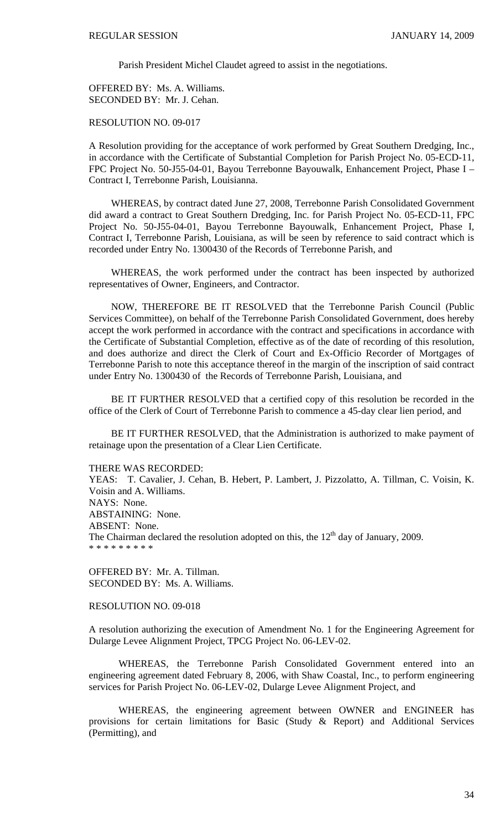Parish President Michel Claudet agreed to assist in the negotiations.

OFFERED BY: Ms. A. Williams. SECONDED BY: Mr. J. Cehan.

# RESOLUTION NO. 09-017

 A Resolution providing for the acceptance of work performed by Great Southern Dredging, Inc., in accordance with the Certificate of Substantial Completion for Parish Project No. 05-ECD-11, FPC Project No. 50-J55-04-01, Bayou Terrebonne Bayouwalk, Enhancement Project, Phase I – Contract I, Terrebonne Parish, Louisianna.

 WHEREAS, by contract dated June 27, 2008, Terrebonne Parish Consolidated Government did award a contract to Great Southern Dredging, Inc. for Parish Project No. 05-ECD-11, FPC Project No. 50-J55-04-01, Bayou Terrebonne Bayouwalk, Enhancement Project, Phase I, Contract I, Terrebonne Parish, Louisiana, as will be seen by reference to said contract which is recorded under Entry No. 1300430 of the Records of Terrebonne Parish, and

WHEREAS, the work performed under the contract has been inspected by authorized representatives of Owner, Engineers, and Contractor.

 NOW, THEREFORE BE IT RESOLVED that the Terrebonne Parish Council (Public Services Committee), on behalf of the Terrebonne Parish Consolidated Government, does hereby accept the work performed in accordance with the contract and specifications in accordance with the Certificate of Substantial Completion, effective as of the date of recording of this resolution, and does authorize and direct the Clerk of Court and Ex-Officio Recorder of Mortgages of Terrebonne Parish to note this acceptance thereof in the margin of the inscription of said contract under Entry No. 1300430 of the Records of Terrebonne Parish, Louisiana, and

 BE IT FURTHER RESOLVED that a certified copy of this resolution be recorded in the office of the Clerk of Court of Terrebonne Parish to commence a 45-day clear lien period, and

 BE IT FURTHER RESOLVED, that the Administration is authorized to make payment of retainage upon the presentation of a Clear Lien Certificate.

#### THERE WAS RECORDED:

YEAS: T. Cavalier, J. Cehan, B. Hebert, P. Lambert, J. Pizzolatto, A. Tillman, C. Voisin, K. Voisin and A. Williams. NAYS: None. ABSTAINING: None. ABSENT: None. The Chairman declared the resolution adopted on this, the  $12<sup>th</sup>$  day of January, 2009. \* \* \* \* \* \* \* \* \*

OFFERED BY: Mr. A. Tillman. SECONDED BY: Ms. A. Williams.

### RESOLUTION NO. 09-018

A resolution authorizing the execution of Amendment No. 1 for the Engineering Agreement for Dularge Levee Alignment Project, TPCG Project No. 06-LEV-02.

 WHEREAS, the Terrebonne Parish Consolidated Government entered into an engineering agreement dated February 8, 2006, with Shaw Coastal, Inc., to perform engineering services for Parish Project No. 06-LEV-02, Dularge Levee Alignment Project, and

 WHEREAS, the engineering agreement between OWNER and ENGINEER has provisions for certain limitations for Basic (Study & Report) and Additional Services (Permitting), and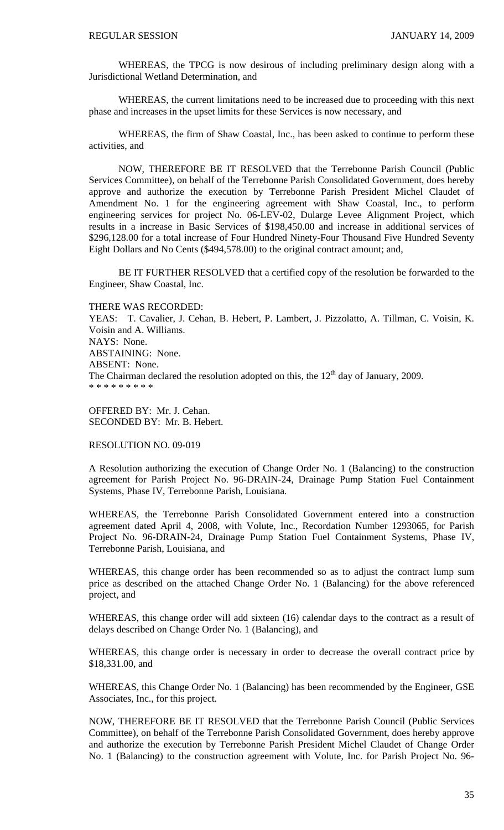WHEREAS, the TPCG is now desirous of including preliminary design along with a Jurisdictional Wetland Determination, and

 WHEREAS, the current limitations need to be increased due to proceeding with this next phase and increases in the upset limits for these Services is now necessary, and

 WHEREAS, the firm of Shaw Coastal, Inc., has been asked to continue to perform these activities, and

 NOW, THEREFORE BE IT RESOLVED that the Terrebonne Parish Council (Public Services Committee), on behalf of the Terrebonne Parish Consolidated Government, does hereby approve and authorize the execution by Terrebonne Parish President Michel Claudet of Amendment No. 1 for the engineering agreement with Shaw Coastal, Inc., to perform engineering services for project No. 06-LEV-02, Dularge Levee Alignment Project, which results in a increase in Basic Services of \$198,450.00 and increase in additional services of \$296,128.00 for a total increase of Four Hundred Ninety-Four Thousand Five Hundred Seventy Eight Dollars and No Cents (\$494,578.00) to the original contract amount; and,

 BE IT FURTHER RESOLVED that a certified copy of the resolution be forwarded to the Engineer, Shaw Coastal, Inc.

THERE WAS RECORDED: YEAS: T. Cavalier, J. Cehan, B. Hebert, P. Lambert, J. Pizzolatto, A. Tillman, C. Voisin, K. Voisin and A. Williams. NAYS: None. ABSTAINING: None. ABSENT: None. The Chairman declared the resolution adopted on this, the  $12<sup>th</sup>$  day of January, 2009. \* \* \* \* \* \* \* \* \*

OFFERED BY: Mr. J. Cehan. SECONDED BY: Mr. B. Hebert.

RESOLUTION NO. 09-019

A Resolution authorizing the execution of Change Order No. 1 (Balancing) to the construction agreement for Parish Project No. 96-DRAIN-24, Drainage Pump Station Fuel Containment Systems, Phase IV, Terrebonne Parish, Louisiana.

WHEREAS, the Terrebonne Parish Consolidated Government entered into a construction agreement dated April 4, 2008, with Volute, Inc., Recordation Number 1293065, for Parish Project No. 96-DRAIN-24, Drainage Pump Station Fuel Containment Systems, Phase IV, Terrebonne Parish, Louisiana, and

WHEREAS, this change order has been recommended so as to adjust the contract lump sum price as described on the attached Change Order No. 1 (Balancing) for the above referenced project, and

WHEREAS, this change order will add sixteen (16) calendar days to the contract as a result of delays described on Change Order No. 1 (Balancing), and

WHEREAS, this change order is necessary in order to decrease the overall contract price by \$18,331.00, and

WHEREAS, this Change Order No. 1 (Balancing) has been recommended by the Engineer, GSE Associates, Inc., for this project.

NOW, THEREFORE BE IT RESOLVED that the Terrebonne Parish Council (Public Services Committee), on behalf of the Terrebonne Parish Consolidated Government, does hereby approve and authorize the execution by Terrebonne Parish President Michel Claudet of Change Order No. 1 (Balancing) to the construction agreement with Volute, Inc. for Parish Project No. 96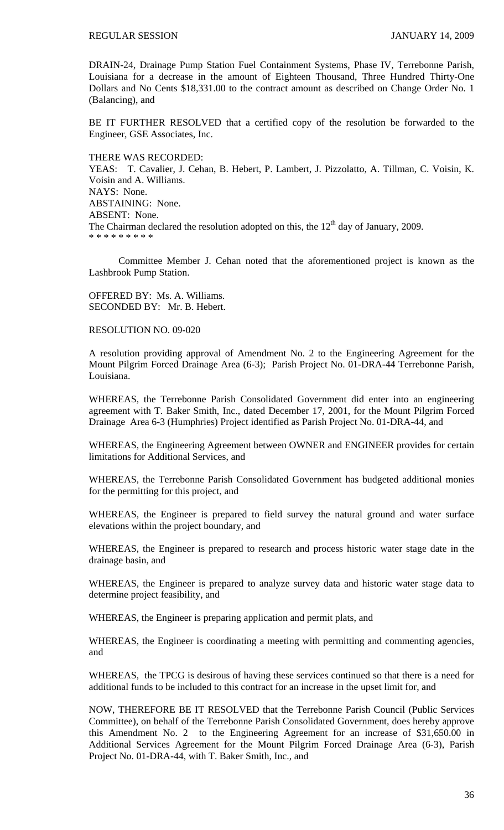DRAIN-24, Drainage Pump Station Fuel Containment Systems, Phase IV, Terrebonne Parish, Louisiana for a decrease in the amount of Eighteen Thousand, Three Hundred Thirty-One Dollars and No Cents \$18,331.00 to the contract amount as described on Change Order No. 1 (Balancing), and

BE IT FURTHER RESOLVED that a certified copy of the resolution be forwarded to the Engineer, GSE Associates, Inc.

#### THERE WAS RECORDED:

YEAS: T. Cavalier, J. Cehan, B. Hebert, P. Lambert, J. Pizzolatto, A. Tillman, C. Voisin, K. Voisin and A. Williams. NAYS: None. ABSTAINING: None. ABSENT: None. The Chairman declared the resolution adopted on this, the  $12<sup>th</sup>$  day of January, 2009. \* \* \* \* \* \* \* \* \*

 Committee Member J. Cehan noted that the aforementioned project is known as the Lashbrook Pump Station.

OFFERED BY: Ms. A. Williams. SECONDED BY: Mr. B. Hebert.

# RESOLUTION NO. 09-020

A resolution providing approval of Amendment No. 2 to the Engineering Agreement for the Mount Pilgrim Forced Drainage Area (6-3); Parish Project No. 01-DRA-44 Terrebonne Parish, Louisiana.

WHEREAS, the Terrebonne Parish Consolidated Government did enter into an engineering agreement with T. Baker Smith, Inc., dated December 17, 2001, for the Mount Pilgrim Forced Drainage Area 6-3 (Humphries) Project identified as Parish Project No. 01-DRA-44, and

WHEREAS, the Engineering Agreement between OWNER and ENGINEER provides for certain limitations for Additional Services, and

WHEREAS, the Terrebonne Parish Consolidated Government has budgeted additional monies for the permitting for this project, and

WHEREAS, the Engineer is prepared to field survey the natural ground and water surface elevations within the project boundary, and

WHEREAS, the Engineer is prepared to research and process historic water stage date in the drainage basin, and

WHEREAS, the Engineer is prepared to analyze survey data and historic water stage data to determine project feasibility, and

WHEREAS, the Engineer is preparing application and permit plats, and

WHEREAS, the Engineer is coordinating a meeting with permitting and commenting agencies, and

WHEREAS, the TPCG is desirous of having these services continued so that there is a need for additional funds to be included to this contract for an increase in the upset limit for, and

NOW, THEREFORE BE IT RESOLVED that the Terrebonne Parish Council (Public Services Committee), on behalf of the Terrebonne Parish Consolidated Government, does hereby approve this Amendment No. 2 to the Engineering Agreement for an increase of \$31,650.00 in Additional Services Agreement for the Mount Pilgrim Forced Drainage Area (6-3), Parish Project No. 01-DRA-44, with T. Baker Smith, Inc., and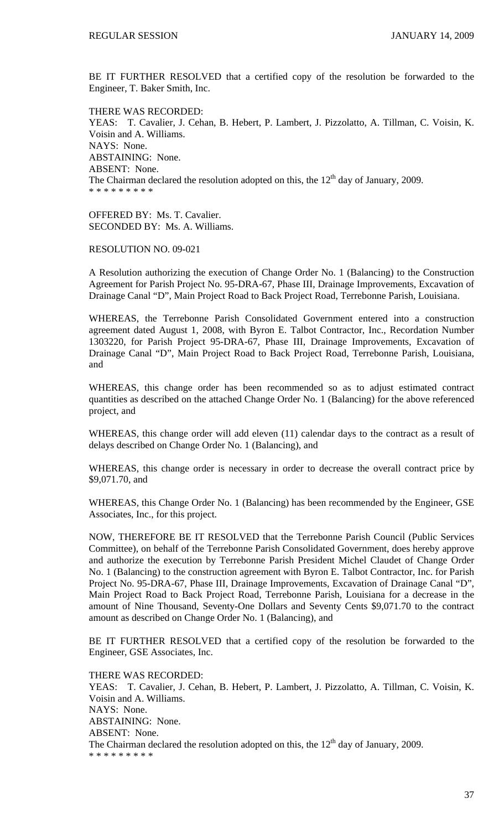BE IT FURTHER RESOLVED that a certified copy of the resolution be forwarded to the Engineer, T. Baker Smith, Inc.

THERE WAS RECORDED: YEAS: T. Cavalier, J. Cehan, B. Hebert, P. Lambert, J. Pizzolatto, A. Tillman, C. Voisin, K. Voisin and A. Williams. NAYS: None. ABSTAINING: None. ABSENT: None. The Chairman declared the resolution adopted on this, the  $12<sup>th</sup>$  day of January, 2009. \* \* \* \* \* \* \* \* \*

OFFERED BY: Ms. T. Cavalier. SECONDED BY: Ms. A. Williams.

RESOLUTION NO. 09-021

A Resolution authorizing the execution of Change Order No. 1 (Balancing) to the Construction Agreement for Parish Project No. 95-DRA-67, Phase III, Drainage Improvements, Excavation of Drainage Canal "D", Main Project Road to Back Project Road, Terrebonne Parish, Louisiana.

WHEREAS, the Terrebonne Parish Consolidated Government entered into a construction agreement dated August 1, 2008, with Byron E. Talbot Contractor, Inc., Recordation Number 1303220, for Parish Project 95-DRA-67, Phase III, Drainage Improvements, Excavation of Drainage Canal "D", Main Project Road to Back Project Road, Terrebonne Parish, Louisiana, and

WHEREAS, this change order has been recommended so as to adjust estimated contract quantities as described on the attached Change Order No. 1 (Balancing) for the above referenced project, and

WHEREAS, this change order will add eleven (11) calendar days to the contract as a result of delays described on Change Order No. 1 (Balancing), and

WHEREAS, this change order is necessary in order to decrease the overall contract price by \$9,071.70, and

WHEREAS, this Change Order No. 1 (Balancing) has been recommended by the Engineer, GSE Associates, Inc., for this project.

NOW, THEREFORE BE IT RESOLVED that the Terrebonne Parish Council (Public Services Committee), on behalf of the Terrebonne Parish Consolidated Government, does hereby approve and authorize the execution by Terrebonne Parish President Michel Claudet of Change Order No. 1 (Balancing) to the construction agreement with Byron E. Talbot Contractor, Inc. for Parish Project No. 95-DRA-67, Phase III, Drainage Improvements, Excavation of Drainage Canal "D", Main Project Road to Back Project Road, Terrebonne Parish, Louisiana for a decrease in the amount of Nine Thousand, Seventy-One Dollars and Seventy Cents \$9,071.70 to the contract amount as described on Change Order No. 1 (Balancing), and

BE IT FURTHER RESOLVED that a certified copy of the resolution be forwarded to the Engineer, GSE Associates, Inc.

THERE WAS RECORDED: YEAS: T. Cavalier, J. Cehan, B. Hebert, P. Lambert, J. Pizzolatto, A. Tillman, C. Voisin, K. Voisin and A. Williams. NAYS: None. ABSTAINING: None. ABSENT: None. The Chairman declared the resolution adopted on this, the  $12<sup>th</sup>$  day of January, 2009. \* \* \* \* \* \* \* \* \*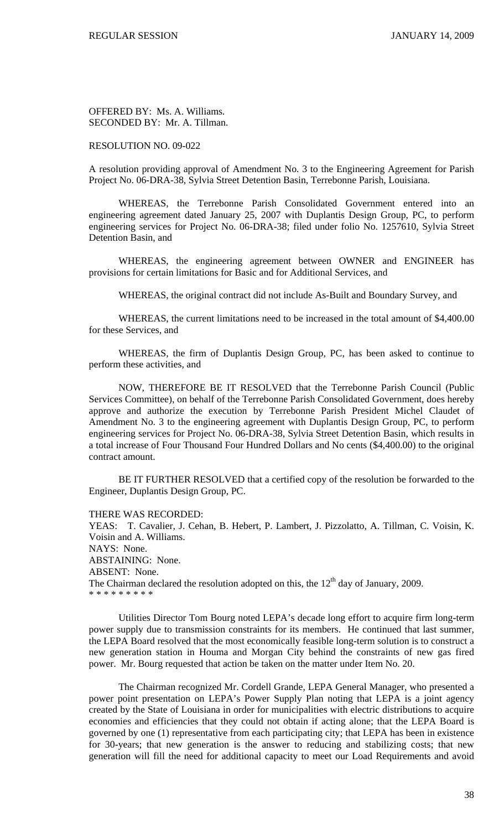OFFERED BY: Ms. A. Williams. SECONDED BY: Mr. A. Tillman.

### RESOLUTION NO. 09-022

A resolution providing approval of Amendment No. 3 to the Engineering Agreement for Parish Project No. 06-DRA-38, Sylvia Street Detention Basin, Terrebonne Parish, Louisiana.

 WHEREAS, the Terrebonne Parish Consolidated Government entered into an engineering agreement dated January 25, 2007 with Duplantis Design Group, PC, to perform engineering services for Project No. 06-DRA-38; filed under folio No. 1257610, Sylvia Street Detention Basin, and

 WHEREAS, the engineering agreement between OWNER and ENGINEER has provisions for certain limitations for Basic and for Additional Services, and

WHEREAS, the original contract did not include As-Built and Boundary Survey, and

 WHEREAS, the current limitations need to be increased in the total amount of \$4,400.00 for these Services, and

 WHEREAS, the firm of Duplantis Design Group, PC, has been asked to continue to perform these activities, and

 NOW, THEREFORE BE IT RESOLVED that the Terrebonne Parish Council (Public Services Committee), on behalf of the Terrebonne Parish Consolidated Government, does hereby approve and authorize the execution by Terrebonne Parish President Michel Claudet of Amendment No. 3 to the engineering agreement with Duplantis Design Group, PC, to perform engineering services for Project No. 06-DRA-38, Sylvia Street Detention Basin, which results in a total increase of Four Thousand Four Hundred Dollars and No cents (\$4,400.00) to the original contract amount.

 BE IT FURTHER RESOLVED that a certified copy of the resolution be forwarded to the Engineer, Duplantis Design Group, PC.

THERE WAS RECORDED:

YEAS: T. Cavalier, J. Cehan, B. Hebert, P. Lambert, J. Pizzolatto, A. Tillman, C. Voisin, K. Voisin and A. Williams. NAYS: None. ABSTAINING: None. ABSENT: None. The Chairman declared the resolution adopted on this, the  $12<sup>th</sup>$  day of January, 2009. \* \* \* \* \* \* \* \* \*

 Utilities Director Tom Bourg noted LEPA's decade long effort to acquire firm long-term power supply due to transmission constraints for its members. He continued that last summer, the LEPA Board resolved that the most economically feasible long-term solution is to construct a new generation station in Houma and Morgan City behind the constraints of new gas fired power. Mr. Bourg requested that action be taken on the matter under Item No. 20.

 The Chairman recognized Mr. Cordell Grande, LEPA General Manager, who presented a power point presentation on LEPA's Power Supply Plan noting that LEPA is a joint agency created by the State of Louisiana in order for municipalities with electric distributions to acquire economies and efficiencies that they could not obtain if acting alone; that the LEPA Board is governed by one (1) representative from each participating city; that LEPA has been in existence for 30-years; that new generation is the answer to reducing and stabilizing costs; that new generation will fill the need for additional capacity to meet our Load Requirements and avoid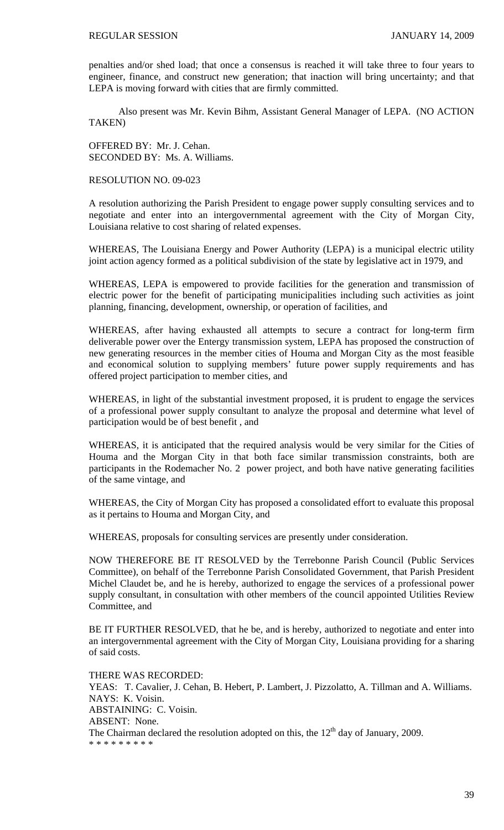penalties and/or shed load; that once a consensus is reached it will take three to four years to engineer, finance, and construct new generation; that inaction will bring uncertainty; and that LEPA is moving forward with cities that are firmly committed.

Also present was Mr. Kevin Bihm, Assistant General Manager of LEPA. (NO ACTION TAKEN)

OFFERED BY: Mr. J. Cehan. SECONDED BY: Ms. A. Williams.

## RESOLUTION NO. 09-023

A resolution authorizing the Parish President to engage power supply consulting services and to negotiate and enter into an intergovernmental agreement with the City of Morgan City, Louisiana relative to cost sharing of related expenses.

WHEREAS, The Louisiana Energy and Power Authority (LEPA) is a municipal electric utility joint action agency formed as a political subdivision of the state by legislative act in 1979, and

WHEREAS, LEPA is empowered to provide facilities for the generation and transmission of electric power for the benefit of participating municipalities including such activities as joint planning, financing, development, ownership, or operation of facilities, and

WHEREAS, after having exhausted all attempts to secure a contract for long-term firm deliverable power over the Entergy transmission system, LEPA has proposed the construction of new generating resources in the member cities of Houma and Morgan City as the most feasible and economical solution to supplying members' future power supply requirements and has offered project participation to member cities, and

WHEREAS, in light of the substantial investment proposed, it is prudent to engage the services of a professional power supply consultant to analyze the proposal and determine what level of participation would be of best benefit , and

WHEREAS, it is anticipated that the required analysis would be very similar for the Cities of Houma and the Morgan City in that both face similar transmission constraints, both are participants in the Rodemacher No. 2 power project, and both have native generating facilities of the same vintage, and

WHEREAS, the City of Morgan City has proposed a consolidated effort to evaluate this proposal as it pertains to Houma and Morgan City, and

WHEREAS, proposals for consulting services are presently under consideration.

NOW THEREFORE BE IT RESOLVED by the Terrebonne Parish Council (Public Services Committee), on behalf of the Terrebonne Parish Consolidated Government, that Parish President Michel Claudet be, and he is hereby, authorized to engage the services of a professional power supply consultant, in consultation with other members of the council appointed Utilities Review Committee, and

BE IT FURTHER RESOLVED, that he be, and is hereby, authorized to negotiate and enter into an intergovernmental agreement with the City of Morgan City, Louisiana providing for a sharing of said costs.

THERE WAS RECORDED: YEAS: T. Cavalier, J. Cehan, B. Hebert, P. Lambert, J. Pizzolatto, A. Tillman and A. Williams. NAYS: K. Voisin. ABSTAINING: C. Voisin. ABSENT: None. The Chairman declared the resolution adopted on this, the  $12<sup>th</sup>$  day of January, 2009. \* \* \* \* \* \* \* \* \*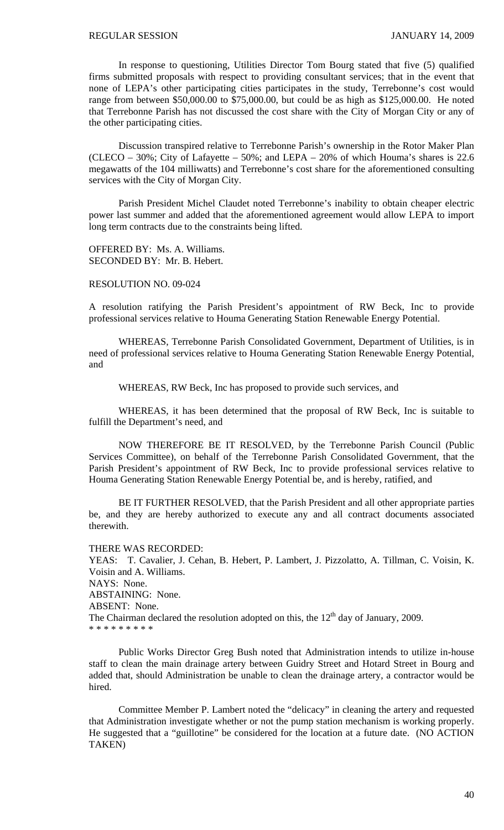In response to questioning, Utilities Director Tom Bourg stated that five (5) qualified firms submitted proposals with respect to providing consultant services; that in the event that none of LEPA's other participating cities participates in the study, Terrebonne's cost would range from between \$50,000.00 to \$75,000.00, but could be as high as \$125,000.00. He noted that Terrebonne Parish has not discussed the cost share with the City of Morgan City or any of the other participating cities.

 Discussion transpired relative to Terrebonne Parish's ownership in the Rotor Maker Plan (CLECO – 30%; City of Lafayette – 50%; and LEPA – 20% of which Houma's shares is 22.6 megawatts of the 104 milliwatts) and Terrebonne's cost share for the aforementioned consulting services with the City of Morgan City.

 Parish President Michel Claudet noted Terrebonne's inability to obtain cheaper electric power last summer and added that the aforementioned agreement would allow LEPA to import long term contracts due to the constraints being lifted.

OFFERED BY: Ms. A. Williams. SECONDED BY: Mr. B. Hebert.

# RESOLUTION NO. 09-024

A resolution ratifying the Parish President's appointment of RW Beck, Inc to provide professional services relative to Houma Generating Station Renewable Energy Potential.

 WHEREAS, Terrebonne Parish Consolidated Government, Department of Utilities, is in need of professional services relative to Houma Generating Station Renewable Energy Potential, and

WHEREAS, RW Beck, Inc has proposed to provide such services, and

 WHEREAS, it has been determined that the proposal of RW Beck, Inc is suitable to fulfill the Department's need, and

 NOW THEREFORE BE IT RESOLVED, by the Terrebonne Parish Council (Public Services Committee), on behalf of the Terrebonne Parish Consolidated Government, that the Parish President's appointment of RW Beck, Inc to provide professional services relative to Houma Generating Station Renewable Energy Potential be, and is hereby, ratified, and

BE IT FURTHER RESOLVED, that the Parish President and all other appropriate parties be, and they are hereby authorized to execute any and all contract documents associated therewith.

THERE WAS RECORDED:

YEAS: T. Cavalier, J. Cehan, B. Hebert, P. Lambert, J. Pizzolatto, A. Tillman, C. Voisin, K. Voisin and A. Williams. NAYS: None. ABSTAINING: None. ABSENT: None. The Chairman declared the resolution adopted on this, the  $12<sup>th</sup>$  day of January, 2009. \* \* \* \* \* \* \* \* \*

Public Works Director Greg Bush noted that Administration intends to utilize in-house staff to clean the main drainage artery between Guidry Street and Hotard Street in Bourg and added that, should Administration be unable to clean the drainage artery, a contractor would be hired.

Committee Member P. Lambert noted the "delicacy" in cleaning the artery and requested that Administration investigate whether or not the pump station mechanism is working properly. He suggested that a "guillotine" be considered for the location at a future date. (NO ACTION TAKEN)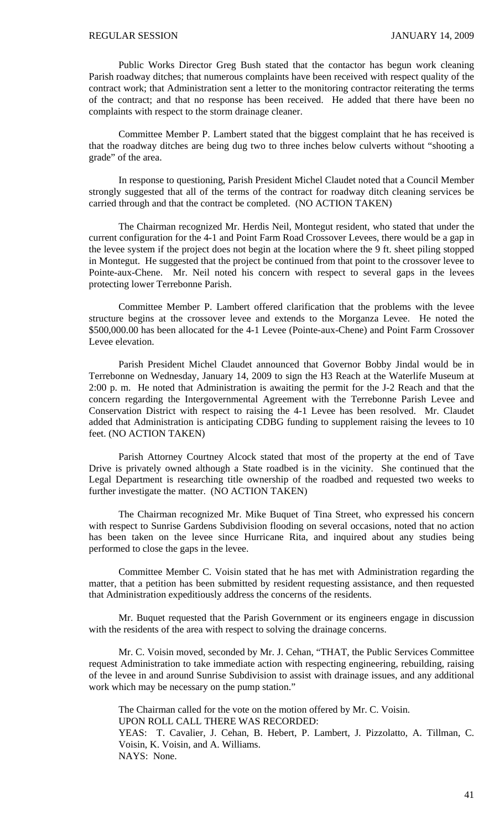Public Works Director Greg Bush stated that the contactor has begun work cleaning Parish roadway ditches; that numerous complaints have been received with respect quality of the contract work; that Administration sent a letter to the monitoring contractor reiterating the terms of the contract; and that no response has been received. He added that there have been no complaints with respect to the storm drainage cleaner.

 Committee Member P. Lambert stated that the biggest complaint that he has received is that the roadway ditches are being dug two to three inches below culverts without "shooting a grade" of the area.

 In response to questioning, Parish President Michel Claudet noted that a Council Member strongly suggested that all of the terms of the contract for roadway ditch cleaning services be carried through and that the contract be completed. (NO ACTION TAKEN)

 The Chairman recognized Mr. Herdis Neil, Montegut resident, who stated that under the current configuration for the 4-1 and Point Farm Road Crossover Levees, there would be a gap in the levee system if the project does not begin at the location where the 9 ft. sheet piling stopped in Montegut. He suggested that the project be continued from that point to the crossover levee to Pointe-aux-Chene. Mr. Neil noted his concern with respect to several gaps in the levees protecting lower Terrebonne Parish.

 Committee Member P. Lambert offered clarification that the problems with the levee structure begins at the crossover levee and extends to the Morganza Levee. He noted the \$500,000.00 has been allocated for the 4-1 Levee (Pointe-aux-Chene) and Point Farm Crossover Levee elevation.

 Parish President Michel Claudet announced that Governor Bobby Jindal would be in Terrebonne on Wednesday, January 14, 2009 to sign the H3 Reach at the Waterlife Museum at 2:00 p. m. He noted that Administration is awaiting the permit for the J-2 Reach and that the concern regarding the Intergovernmental Agreement with the Terrebonne Parish Levee and Conservation District with respect to raising the 4-1 Levee has been resolved. Mr. Claudet added that Administration is anticipating CDBG funding to supplement raising the levees to 10 feet. (NO ACTION TAKEN)

 Parish Attorney Courtney Alcock stated that most of the property at the end of Tave Drive is privately owned although a State roadbed is in the vicinity. She continued that the Legal Department is researching title ownership of the roadbed and requested two weeks to further investigate the matter. (NO ACTION TAKEN)

 The Chairman recognized Mr. Mike Buquet of Tina Street, who expressed his concern with respect to Sunrise Gardens Subdivision flooding on several occasions, noted that no action has been taken on the levee since Hurricane Rita, and inquired about any studies being performed to close the gaps in the levee.

 Committee Member C. Voisin stated that he has met with Administration regarding the matter, that a petition has been submitted by resident requesting assistance, and then requested that Administration expeditiously address the concerns of the residents.

 Mr. Buquet requested that the Parish Government or its engineers engage in discussion with the residents of the area with respect to solving the drainage concerns.

 Mr. C. Voisin moved, seconded by Mr. J. Cehan, "THAT, the Public Services Committee request Administration to take immediate action with respecting engineering, rebuilding, raising of the levee in and around Sunrise Subdivision to assist with drainage issues, and any additional work which may be necessary on the pump station."

 The Chairman called for the vote on the motion offered by Mr. C. Voisin. UPON ROLL CALL THERE WAS RECORDED: YEAS: T. Cavalier, J. Cehan, B. Hebert, P. Lambert, J. Pizzolatto, A. Tillman, C. Voisin, K. Voisin, and A. Williams. NAYS: None.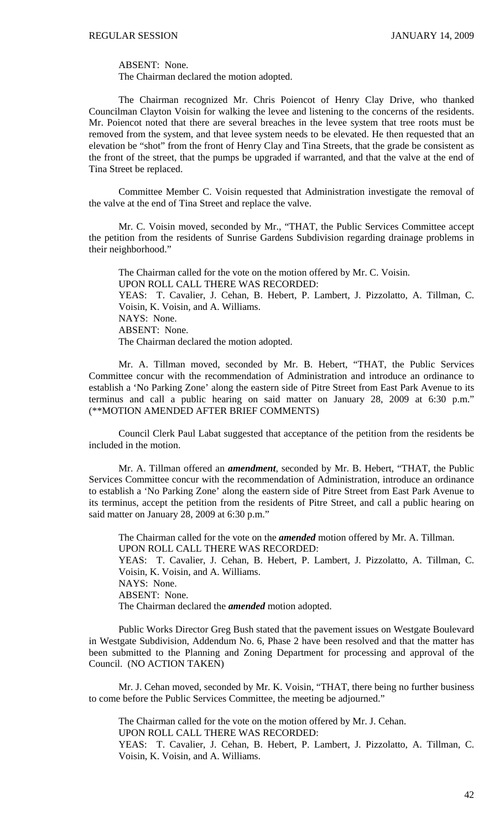ABSENT: None.

The Chairman declared the motion adopted.

 The Chairman recognized Mr. Chris Poiencot of Henry Clay Drive, who thanked Councilman Clayton Voisin for walking the levee and listening to the concerns of the residents. Mr. Poiencot noted that there are several breaches in the levee system that tree roots must be removed from the system, and that levee system needs to be elevated. He then requested that an elevation be "shot" from the front of Henry Clay and Tina Streets, that the grade be consistent as the front of the street, that the pumps be upgraded if warranted, and that the valve at the end of Tina Street be replaced.

 Committee Member C. Voisin requested that Administration investigate the removal of the valve at the end of Tina Street and replace the valve.

Mr. C. Voisin moved, seconded by Mr., "THAT, the Public Services Committee accept the petition from the residents of Sunrise Gardens Subdivision regarding drainage problems in their neighborhood."

 The Chairman called for the vote on the motion offered by Mr. C. Voisin. UPON ROLL CALL THERE WAS RECORDED: YEAS: T. Cavalier, J. Cehan, B. Hebert, P. Lambert, J. Pizzolatto, A. Tillman, C. Voisin, K. Voisin, and A. Williams. NAYS: None. ABSENT: None. The Chairman declared the motion adopted.

 Mr. A. Tillman moved, seconded by Mr. B. Hebert, "THAT, the Public Services Committee concur with the recommendation of Administration and introduce an ordinance to establish a 'No Parking Zone' along the eastern side of Pitre Street from East Park Avenue to its terminus and call a public hearing on said matter on January 28, 2009 at 6:30 p.m." (\*\*MOTION AMENDED AFTER BRIEF COMMENTS)

 Council Clerk Paul Labat suggested that acceptance of the petition from the residents be included in the motion.

 Mr. A. Tillman offered an *amendment*, seconded by Mr. B. Hebert, "THAT, the Public Services Committee concur with the recommendation of Administration, introduce an ordinance to establish a 'No Parking Zone' along the eastern side of Pitre Street from East Park Avenue to its terminus, accept the petition from the residents of Pitre Street, and call a public hearing on said matter on January 28, 2009 at 6:30 p.m."

 The Chairman called for the vote on the *amended* motion offered by Mr. A. Tillman. UPON ROLL CALL THERE WAS RECORDED: YEAS: T. Cavalier, J. Cehan, B. Hebert, P. Lambert, J. Pizzolatto, A. Tillman, C. Voisin, K. Voisin, and A. Williams. NAYS: None.

ABSENT: None.

The Chairman declared the *amended* motion adopted.

 Public Works Director Greg Bush stated that the pavement issues on Westgate Boulevard in Westgate Subdivision, Addendum No. 6, Phase 2 have been resolved and that the matter has been submitted to the Planning and Zoning Department for processing and approval of the Council. (NO ACTION TAKEN)

 Mr. J. Cehan moved, seconded by Mr. K. Voisin, "THAT, there being no further business to come before the Public Services Committee, the meeting be adjourned."

 The Chairman called for the vote on the motion offered by Mr. J. Cehan. UPON ROLL CALL THERE WAS RECORDED:

YEAS: T. Cavalier, J. Cehan, B. Hebert, P. Lambert, J. Pizzolatto, A. Tillman, C. Voisin, K. Voisin, and A. Williams.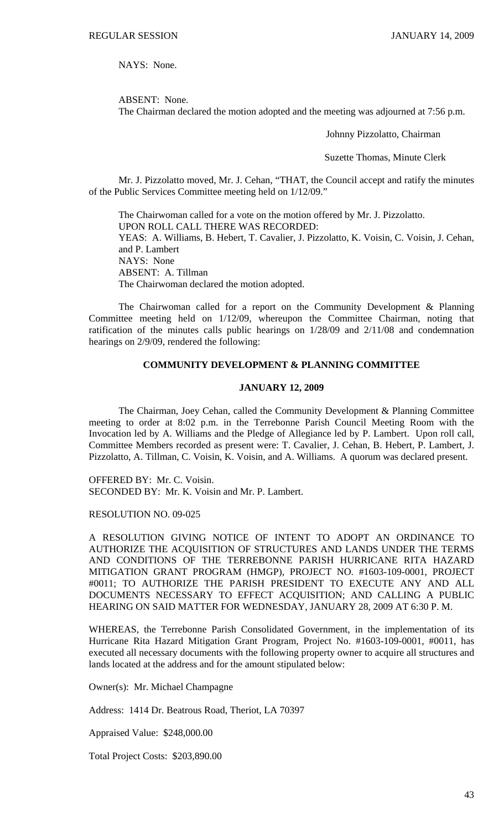NAYS: None.

ABSENT: None.

The Chairman declared the motion adopted and the meeting was adjourned at 7:56 p.m.

Johnny Pizzolatto, Chairman

Suzette Thomas, Minute Clerk

Mr. J. Pizzolatto moved, Mr. J. Cehan, "THAT, the Council accept and ratify the minutes of the Public Services Committee meeting held on 1/12/09."

 The Chairwoman called for a vote on the motion offered by Mr. J. Pizzolatto. UPON ROLL CALL THERE WAS RECORDED: YEAS: A. Williams, B. Hebert, T. Cavalier, J. Pizzolatto, K. Voisin, C. Voisin, J. Cehan, and P. Lambert NAYS: None ABSENT: A. Tillman The Chairwoman declared the motion adopted.

 The Chairwoman called for a report on the Community Development & Planning Committee meeting held on 1/12/09, whereupon the Committee Chairman, noting that ratification of the minutes calls public hearings on 1/28/09 and 2/11/08 and condemnation hearings on 2/9/09, rendered the following:

# **COMMUNITY DEVELOPMENT & PLANNING COMMITTEE**

## **JANUARY 12, 2009**

 The Chairman, Joey Cehan, called the Community Development & Planning Committee meeting to order at 8:02 p.m. in the Terrebonne Parish Council Meeting Room with the Invocation led by A. Williams and the Pledge of Allegiance led by P. Lambert. Upon roll call, Committee Members recorded as present were: T. Cavalier, J. Cehan, B. Hebert, P. Lambert, J. Pizzolatto, A. Tillman, C. Voisin, K. Voisin, and A. Williams. A quorum was declared present.

OFFERED BY: Mr. C. Voisin. SECONDED BY: Mr. K. Voisin and Mr. P. Lambert.

RESOLUTION NO. 09-025

A RESOLUTION GIVING NOTICE OF INTENT TO ADOPT AN ORDINANCE TO AUTHORIZE THE ACQUISITION OF STRUCTURES AND LANDS UNDER THE TERMS AND CONDITIONS OF THE TERREBONNE PARISH HURRICANE RITA HAZARD MITIGATION GRANT PROGRAM (HMGP), PROJECT NO. #1603-109-0001, PROJECT #0011; TO AUTHORIZE THE PARISH PRESIDENT TO EXECUTE ANY AND ALL DOCUMENTS NECESSARY TO EFFECT ACQUISITION; AND CALLING A PUBLIC HEARING ON SAID MATTER FOR WEDNESDAY, JANUARY 28, 2009 AT 6:30 P. M.

WHEREAS, the Terrebonne Parish Consolidated Government, in the implementation of its Hurricane Rita Hazard Mitigation Grant Program, Project No. #1603-109-0001, #0011, has executed all necessary documents with the following property owner to acquire all structures and lands located at the address and for the amount stipulated below:

Owner(s): Mr. Michael Champagne

Address: 1414 Dr. Beatrous Road, Theriot, LA 70397

Appraised Value: \$248,000.00

Total Project Costs: \$203,890.00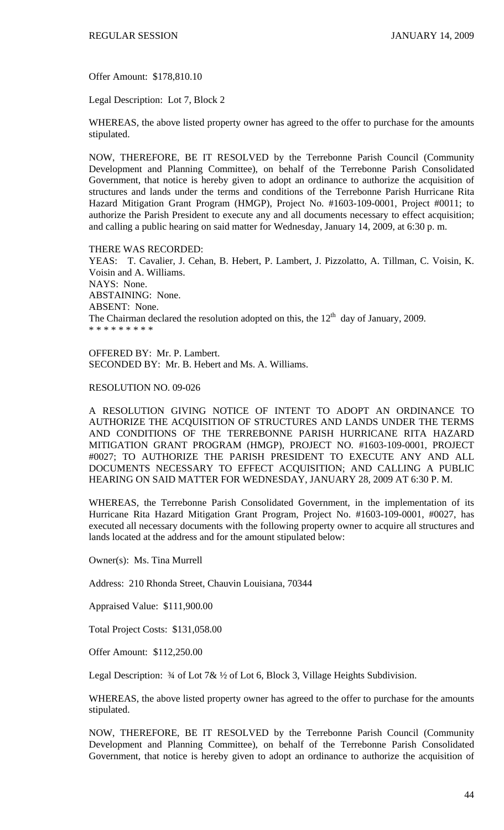Offer Amount: \$178,810.10

Legal Description: Lot 7, Block 2

WHEREAS, the above listed property owner has agreed to the offer to purchase for the amounts stipulated.

NOW, THEREFORE, BE IT RESOLVED by the Terrebonne Parish Council (Community Development and Planning Committee), on behalf of the Terrebonne Parish Consolidated Government, that notice is hereby given to adopt an ordinance to authorize the acquisition of structures and lands under the terms and conditions of the Terrebonne Parish Hurricane Rita Hazard Mitigation Grant Program (HMGP), Project No. #1603-109-0001, Project #0011; to authorize the Parish President to execute any and all documents necessary to effect acquisition; and calling a public hearing on said matter for Wednesday, January 14, 2009, at 6:30 p. m.

THERE WAS RECORDED:

YEAS: T. Cavalier, J. Cehan, B. Hebert, P. Lambert, J. Pizzolatto, A. Tillman, C. Voisin, K. Voisin and A. Williams. NAYS: None. ABSTAINING: None. ABSENT: None. The Chairman declared the resolution adopted on this, the  $12<sup>th</sup>$  day of January, 2009. \* \* \* \* \* \* \* \* \*

OFFERED BY: Mr. P. Lambert. SECONDED BY: Mr. B. Hebert and Ms. A. Williams.

## RESOLUTION NO. 09-026

A RESOLUTION GIVING NOTICE OF INTENT TO ADOPT AN ORDINANCE TO AUTHORIZE THE ACQUISITION OF STRUCTURES AND LANDS UNDER THE TERMS AND CONDITIONS OF THE TERREBONNE PARISH HURRICANE RITA HAZARD MITIGATION GRANT PROGRAM (HMGP), PROJECT NO. #1603-109-0001, PROJECT #0027; TO AUTHORIZE THE PARISH PRESIDENT TO EXECUTE ANY AND ALL DOCUMENTS NECESSARY TO EFFECT ACQUISITION; AND CALLING A PUBLIC HEARING ON SAID MATTER FOR WEDNESDAY, JANUARY 28, 2009 AT 6:30 P. M.

WHEREAS, the Terrebonne Parish Consolidated Government, in the implementation of its Hurricane Rita Hazard Mitigation Grant Program, Project No. #1603-109-0001, #0027, has executed all necessary documents with the following property owner to acquire all structures and lands located at the address and for the amount stipulated below:

Owner(s): Ms. Tina Murrell

Address: 210 Rhonda Street, Chauvin Louisiana, 70344

Appraised Value: \$111,900.00

Total Project Costs: \$131,058.00

Offer Amount: \$112,250.00

Legal Description:  $\frac{3}{4}$  of Lot 7&  $\frac{1}{2}$  of Lot 6, Block 3, Village Heights Subdivision.

WHEREAS, the above listed property owner has agreed to the offer to purchase for the amounts stipulated.

NOW, THEREFORE, BE IT RESOLVED by the Terrebonne Parish Council (Community Development and Planning Committee), on behalf of the Terrebonne Parish Consolidated Government, that notice is hereby given to adopt an ordinance to authorize the acquisition of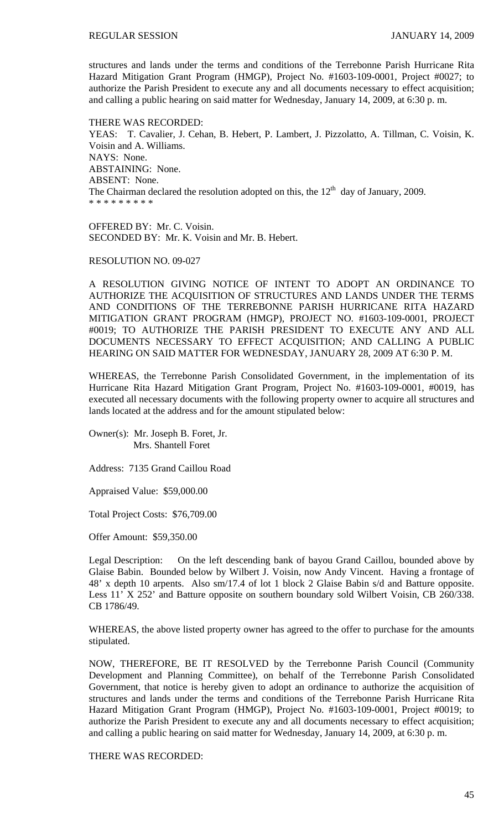structures and lands under the terms and conditions of the Terrebonne Parish Hurricane Rita Hazard Mitigation Grant Program (HMGP), Project No. #1603-109-0001, Project #0027; to authorize the Parish President to execute any and all documents necessary to effect acquisition; and calling a public hearing on said matter for Wednesday, January 14, 2009, at 6:30 p. m.

THERE WAS RECORDED: YEAS: T. Cavalier, J. Cehan, B. Hebert, P. Lambert, J. Pizzolatto, A. Tillman, C. Voisin, K. Voisin and A. Williams. NAYS: None. ABSTAINING: None. ABSENT: None. The Chairman declared the resolution adopted on this, the  $12<sup>th</sup>$  day of January, 2009. \* \* \* \* \* \* \* \* \*

OFFERED BY: Mr. C. Voisin. SECONDED BY: Mr. K. Voisin and Mr. B. Hebert.

RESOLUTION NO. 09-027

A RESOLUTION GIVING NOTICE OF INTENT TO ADOPT AN ORDINANCE TO AUTHORIZE THE ACQUISITION OF STRUCTURES AND LANDS UNDER THE TERMS AND CONDITIONS OF THE TERREBONNE PARISH HURRICANE RITA HAZARD MITIGATION GRANT PROGRAM (HMGP), PROJECT NO. #1603-109-0001, PROJECT #0019; TO AUTHORIZE THE PARISH PRESIDENT TO EXECUTE ANY AND ALL DOCUMENTS NECESSARY TO EFFECT ACQUISITION; AND CALLING A PUBLIC HEARING ON SAID MATTER FOR WEDNESDAY, JANUARY 28, 2009 AT 6:30 P. M.

WHEREAS, the Terrebonne Parish Consolidated Government, in the implementation of its Hurricane Rita Hazard Mitigation Grant Program, Project No. #1603-109-0001, #0019, has executed all necessary documents with the following property owner to acquire all structures and lands located at the address and for the amount stipulated below:

Owner(s): Mr. Joseph B. Foret, Jr. Mrs. Shantell Foret

Address: 7135 Grand Caillou Road

Appraised Value: \$59,000.00

Total Project Costs: \$76,709.00

Offer Amount: \$59,350.00

Legal Description: On the left descending bank of bayou Grand Caillou, bounded above by Glaise Babin. Bounded below by Wilbert J. Voisin, now Andy Vincent. Having a frontage of 48' x depth 10 arpents. Also sm/17.4 of lot 1 block 2 Glaise Babin s/d and Batture opposite. Less 11' X 252' and Batture opposite on southern boundary sold Wilbert Voisin, CB 260/338. CB 1786/49.

WHEREAS, the above listed property owner has agreed to the offer to purchase for the amounts stipulated.

NOW, THEREFORE, BE IT RESOLVED by the Terrebonne Parish Council (Community Development and Planning Committee), on behalf of the Terrebonne Parish Consolidated Government, that notice is hereby given to adopt an ordinance to authorize the acquisition of structures and lands under the terms and conditions of the Terrebonne Parish Hurricane Rita Hazard Mitigation Grant Program (HMGP), Project No. #1603-109-0001, Project #0019; to authorize the Parish President to execute any and all documents necessary to effect acquisition; and calling a public hearing on said matter for Wednesday, January 14, 2009, at 6:30 p. m.

THERE WAS RECORDED: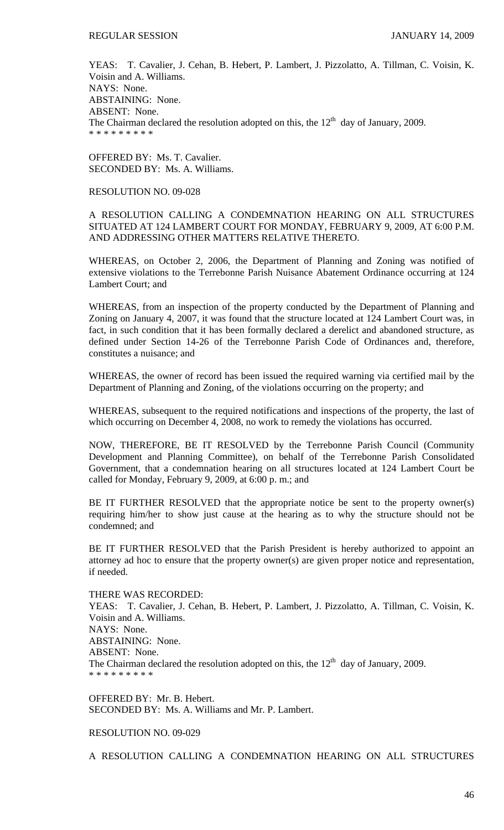YEAS: T. Cavalier, J. Cehan, B. Hebert, P. Lambert, J. Pizzolatto, A. Tillman, C. Voisin, K. Voisin and A. Williams. NAYS: None. ABSTAINING: None. ABSENT: None. The Chairman declared the resolution adopted on this, the  $12<sup>th</sup>$  day of January, 2009. \* \* \* \* \* \* \* \* \*

OFFERED BY: Ms. T. Cavalier. SECONDED BY: Ms. A. Williams.

## RESOLUTION NO. 09-028

A RESOLUTION CALLING A CONDEMNATION HEARING ON ALL STRUCTURES SITUATED AT 124 LAMBERT COURT FOR MONDAY, FEBRUARY 9, 2009, AT 6:00 P.M. AND ADDRESSING OTHER MATTERS RELATIVE THERETO.

WHEREAS, on October 2, 2006, the Department of Planning and Zoning was notified of extensive violations to the Terrebonne Parish Nuisance Abatement Ordinance occurring at 124 Lambert Court; and

WHEREAS, from an inspection of the property conducted by the Department of Planning and Zoning on January 4, 2007, it was found that the structure located at 124 Lambert Court was, in fact, in such condition that it has been formally declared a derelict and abandoned structure, as defined under Section 14-26 of the Terrebonne Parish Code of Ordinances and, therefore, constitutes a nuisance; and

WHEREAS, the owner of record has been issued the required warning via certified mail by the Department of Planning and Zoning, of the violations occurring on the property; and

WHEREAS, subsequent to the required notifications and inspections of the property, the last of which occurring on December 4, 2008, no work to remedy the violations has occurred.

NOW, THEREFORE, BE IT RESOLVED by the Terrebonne Parish Council (Community Development and Planning Committee), on behalf of the Terrebonne Parish Consolidated Government, that a condemnation hearing on all structures located at 124 Lambert Court be called for Monday, February 9, 2009, at 6:00 p. m.; and

BE IT FURTHER RESOLVED that the appropriate notice be sent to the property owner(s) requiring him/her to show just cause at the hearing as to why the structure should not be condemned; and

BE IT FURTHER RESOLVED that the Parish President is hereby authorized to appoint an attorney ad hoc to ensure that the property owner(s) are given proper notice and representation, if needed.

### THERE WAS RECORDED:

YEAS: T. Cavalier, J. Cehan, B. Hebert, P. Lambert, J. Pizzolatto, A. Tillman, C. Voisin, K. Voisin and A. Williams. NAYS: None. ABSTAINING: None. ABSENT: None. The Chairman declared the resolution adopted on this, the  $12<sup>th</sup>$  day of January, 2009. \* \* \* \* \* \* \* \* \*

OFFERED BY: Mr. B. Hebert. SECONDED BY: Ms. A. Williams and Mr. P. Lambert.

#### RESOLUTION NO. 09-029

A RESOLUTION CALLING A CONDEMNATION HEARING ON ALL STRUCTURES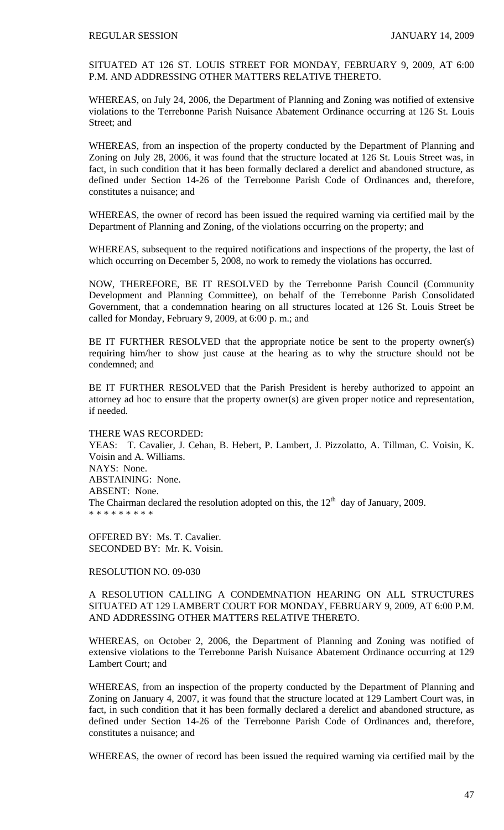SITUATED AT 126 ST. LOUIS STREET FOR MONDAY, FEBRUARY 9, 2009, AT 6:00 P.M. AND ADDRESSING OTHER MATTERS RELATIVE THERETO.

WHEREAS, on July 24, 2006, the Department of Planning and Zoning was notified of extensive violations to the Terrebonne Parish Nuisance Abatement Ordinance occurring at 126 St. Louis Street: and

WHEREAS, from an inspection of the property conducted by the Department of Planning and Zoning on July 28, 2006, it was found that the structure located at 126 St. Louis Street was, in fact, in such condition that it has been formally declared a derelict and abandoned structure, as defined under Section 14-26 of the Terrebonne Parish Code of Ordinances and, therefore, constitutes a nuisance; and

WHEREAS, the owner of record has been issued the required warning via certified mail by the Department of Planning and Zoning, of the violations occurring on the property; and

WHEREAS, subsequent to the required notifications and inspections of the property, the last of which occurring on December 5, 2008, no work to remedy the violations has occurred.

NOW, THEREFORE, BE IT RESOLVED by the Terrebonne Parish Council (Community Development and Planning Committee), on behalf of the Terrebonne Parish Consolidated Government, that a condemnation hearing on all structures located at 126 St. Louis Street be called for Monday, February 9, 2009, at 6:00 p. m.; and

BE IT FURTHER RESOLVED that the appropriate notice be sent to the property owner(s) requiring him/her to show just cause at the hearing as to why the structure should not be condemned; and

BE IT FURTHER RESOLVED that the Parish President is hereby authorized to appoint an attorney ad hoc to ensure that the property owner(s) are given proper notice and representation, if needed.

THERE WAS RECORDED:

YEAS: T. Cavalier, J. Cehan, B. Hebert, P. Lambert, J. Pizzolatto, A. Tillman, C. Voisin, K. Voisin and A. Williams. NAYS: None. ABSTAINING: None. ABSENT: None. The Chairman declared the resolution adopted on this, the  $12<sup>th</sup>$  day of January, 2009. \* \* \* \* \* \* \* \* \*

OFFERED BY: Ms. T. Cavalier. SECONDED BY: Mr. K. Voisin.

RESOLUTION NO. 09-030

A RESOLUTION CALLING A CONDEMNATION HEARING ON ALL STRUCTURES SITUATED AT 129 LAMBERT COURT FOR MONDAY, FEBRUARY 9, 2009, AT 6:00 P.M. AND ADDRESSING OTHER MATTERS RELATIVE THERETO.

WHEREAS, on October 2, 2006, the Department of Planning and Zoning was notified of extensive violations to the Terrebonne Parish Nuisance Abatement Ordinance occurring at 129 Lambert Court; and

WHEREAS, from an inspection of the property conducted by the Department of Planning and Zoning on January 4, 2007, it was found that the structure located at 129 Lambert Court was, in fact, in such condition that it has been formally declared a derelict and abandoned structure, as defined under Section 14-26 of the Terrebonne Parish Code of Ordinances and, therefore, constitutes a nuisance; and

WHEREAS, the owner of record has been issued the required warning via certified mail by the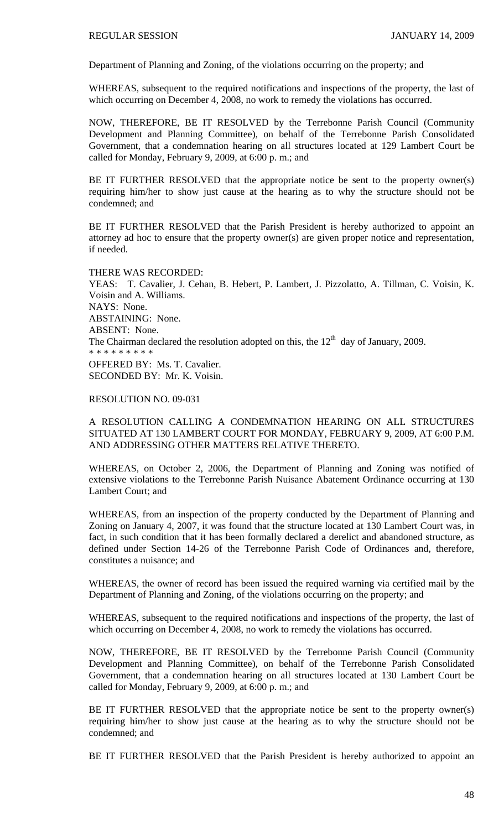Department of Planning and Zoning, of the violations occurring on the property; and

WHEREAS, subsequent to the required notifications and inspections of the property, the last of which occurring on December 4, 2008, no work to remedy the violations has occurred.

NOW, THEREFORE, BE IT RESOLVED by the Terrebonne Parish Council (Community Development and Planning Committee), on behalf of the Terrebonne Parish Consolidated Government, that a condemnation hearing on all structures located at 129 Lambert Court be called for Monday, February 9, 2009, at 6:00 p. m.; and

BE IT FURTHER RESOLVED that the appropriate notice be sent to the property owner(s) requiring him/her to show just cause at the hearing as to why the structure should not be condemned; and

BE IT FURTHER RESOLVED that the Parish President is hereby authorized to appoint an attorney ad hoc to ensure that the property owner(s) are given proper notice and representation, if needed.

### THERE WAS RECORDED:

YEAS: T. Cavalier, J. Cehan, B. Hebert, P. Lambert, J. Pizzolatto, A. Tillman, C. Voisin, K. Voisin and A. Williams. NAYS: None. ABSTAINING: None. ABSENT: None. The Chairman declared the resolution adopted on this, the  $12<sup>th</sup>$  day of January, 2009. \* \* \* \* \* \* \* \* \* OFFERED BY: Ms. T. Cavalier. SECONDED BY: Mr. K. Voisin.

### RESOLUTION NO. 09-031

A RESOLUTION CALLING A CONDEMNATION HEARING ON ALL STRUCTURES SITUATED AT 130 LAMBERT COURT FOR MONDAY, FEBRUARY 9, 2009, AT 6:00 P.M. AND ADDRESSING OTHER MATTERS RELATIVE THERETO.

WHEREAS, on October 2, 2006, the Department of Planning and Zoning was notified of extensive violations to the Terrebonne Parish Nuisance Abatement Ordinance occurring at 130 Lambert Court; and

WHEREAS, from an inspection of the property conducted by the Department of Planning and Zoning on January 4, 2007, it was found that the structure located at 130 Lambert Court was, in fact, in such condition that it has been formally declared a derelict and abandoned structure, as defined under Section 14-26 of the Terrebonne Parish Code of Ordinances and, therefore, constitutes a nuisance; and

WHEREAS, the owner of record has been issued the required warning via certified mail by the Department of Planning and Zoning, of the violations occurring on the property; and

WHEREAS, subsequent to the required notifications and inspections of the property, the last of which occurring on December 4, 2008, no work to remedy the violations has occurred.

NOW, THEREFORE, BE IT RESOLVED by the Terrebonne Parish Council (Community Development and Planning Committee), on behalf of the Terrebonne Parish Consolidated Government, that a condemnation hearing on all structures located at 130 Lambert Court be called for Monday, February 9, 2009, at 6:00 p. m.; and

BE IT FURTHER RESOLVED that the appropriate notice be sent to the property owner(s) requiring him/her to show just cause at the hearing as to why the structure should not be condemned; and

BE IT FURTHER RESOLVED that the Parish President is hereby authorized to appoint an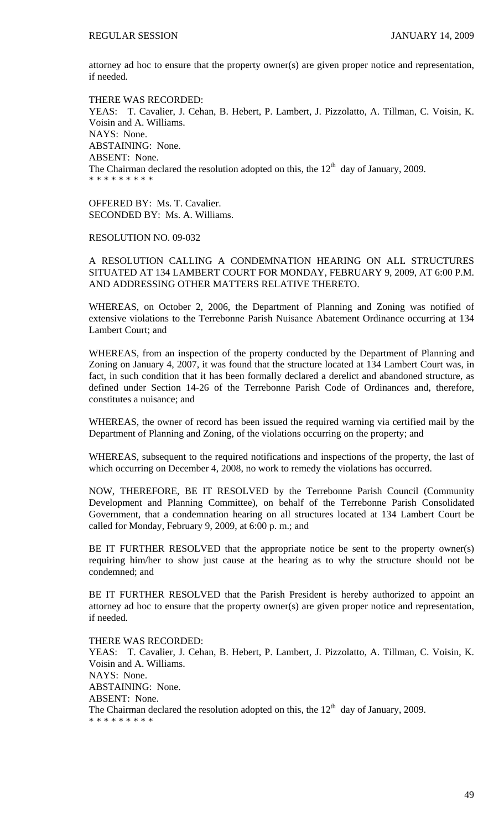attorney ad hoc to ensure that the property owner(s) are given proper notice and representation, if needed.

THERE WAS RECORDED: YEAS: T. Cavalier, J. Cehan, B. Hebert, P. Lambert, J. Pizzolatto, A. Tillman, C. Voisin, K. Voisin and A. Williams. NAYS: None. ABSTAINING: None. ABSENT: None. The Chairman declared the resolution adopted on this, the  $12<sup>th</sup>$  day of January, 2009. \* \* \* \* \* \* \* \* \*

OFFERED BY: Ms. T. Cavalier. SECONDED BY: Ms. A. Williams.

RESOLUTION NO. 09-032

A RESOLUTION CALLING A CONDEMNATION HEARING ON ALL STRUCTURES SITUATED AT 134 LAMBERT COURT FOR MONDAY, FEBRUARY 9, 2009, AT 6:00 P.M. AND ADDRESSING OTHER MATTERS RELATIVE THERETO.

WHEREAS, on October 2, 2006, the Department of Planning and Zoning was notified of extensive violations to the Terrebonne Parish Nuisance Abatement Ordinance occurring at 134 Lambert Court; and

WHEREAS, from an inspection of the property conducted by the Department of Planning and Zoning on January 4, 2007, it was found that the structure located at 134 Lambert Court was, in fact, in such condition that it has been formally declared a derelict and abandoned structure, as defined under Section 14-26 of the Terrebonne Parish Code of Ordinances and, therefore, constitutes a nuisance; and

WHEREAS, the owner of record has been issued the required warning via certified mail by the Department of Planning and Zoning, of the violations occurring on the property; and

WHEREAS, subsequent to the required notifications and inspections of the property, the last of which occurring on December 4, 2008, no work to remedy the violations has occurred.

NOW, THEREFORE, BE IT RESOLVED by the Terrebonne Parish Council (Community Development and Planning Committee), on behalf of the Terrebonne Parish Consolidated Government, that a condemnation hearing on all structures located at 134 Lambert Court be called for Monday, February 9, 2009, at 6:00 p. m.; and

BE IT FURTHER RESOLVED that the appropriate notice be sent to the property owner(s) requiring him/her to show just cause at the hearing as to why the structure should not be condemned; and

BE IT FURTHER RESOLVED that the Parish President is hereby authorized to appoint an attorney ad hoc to ensure that the property owner(s) are given proper notice and representation, if needed.

THERE WAS RECORDED: YEAS: T. Cavalier, J. Cehan, B. Hebert, P. Lambert, J. Pizzolatto, A. Tillman, C. Voisin, K. Voisin and A. Williams. NAYS: None. ABSTAINING: None. ABSENT: None. The Chairman declared the resolution adopted on this, the  $12<sup>th</sup>$  day of January, 2009. \* \* \* \* \* \* \* \* \*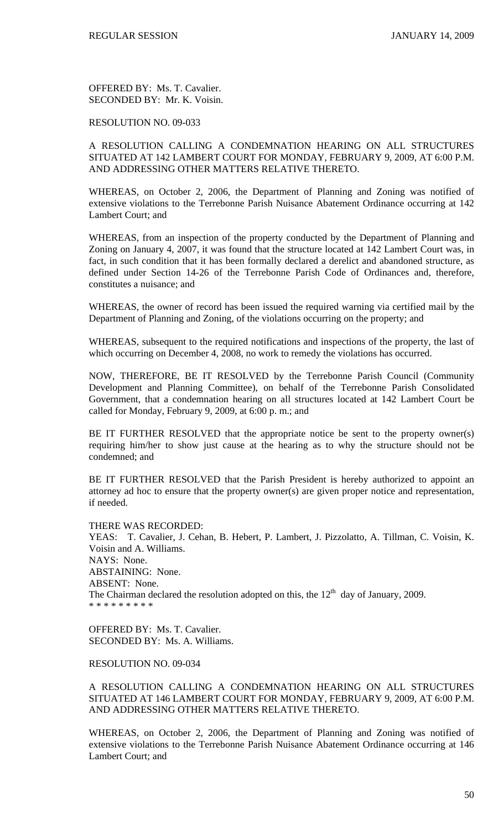OFFERED BY: Ms. T. Cavalier. SECONDED BY: Mr. K. Voisin.

## RESOLUTION NO. 09-033

# A RESOLUTION CALLING A CONDEMNATION HEARING ON ALL STRUCTURES SITUATED AT 142 LAMBERT COURT FOR MONDAY, FEBRUARY 9, 2009, AT 6:00 P.M. AND ADDRESSING OTHER MATTERS RELATIVE THERETO.

WHEREAS, on October 2, 2006, the Department of Planning and Zoning was notified of extensive violations to the Terrebonne Parish Nuisance Abatement Ordinance occurring at 142 Lambert Court; and

WHEREAS, from an inspection of the property conducted by the Department of Planning and Zoning on January 4, 2007, it was found that the structure located at 142 Lambert Court was, in fact, in such condition that it has been formally declared a derelict and abandoned structure, as defined under Section 14-26 of the Terrebonne Parish Code of Ordinances and, therefore, constitutes a nuisance; and

WHEREAS, the owner of record has been issued the required warning via certified mail by the Department of Planning and Zoning, of the violations occurring on the property; and

WHEREAS, subsequent to the required notifications and inspections of the property, the last of which occurring on December 4, 2008, no work to remedy the violations has occurred.

NOW, THEREFORE, BE IT RESOLVED by the Terrebonne Parish Council (Community Development and Planning Committee), on behalf of the Terrebonne Parish Consolidated Government, that a condemnation hearing on all structures located at 142 Lambert Court be called for Monday, February 9, 2009, at 6:00 p. m.; and

BE IT FURTHER RESOLVED that the appropriate notice be sent to the property owner(s) requiring him/her to show just cause at the hearing as to why the structure should not be condemned; and

BE IT FURTHER RESOLVED that the Parish President is hereby authorized to appoint an attorney ad hoc to ensure that the property owner(s) are given proper notice and representation, if needed.

#### THERE WAS RECORDED:

YEAS: T. Cavalier, J. Cehan, B. Hebert, P. Lambert, J. Pizzolatto, A. Tillman, C. Voisin, K. Voisin and A. Williams. NAYS: None. ABSTAINING: None. ABSENT: None. The Chairman declared the resolution adopted on this, the  $12<sup>th</sup>$  day of January, 2009. \* \* \* \* \* \* \* \* \*

OFFERED BY: Ms. T. Cavalier. SECONDED BY: Ms. A. Williams.

#### RESOLUTION NO. 09-034

A RESOLUTION CALLING A CONDEMNATION HEARING ON ALL STRUCTURES SITUATED AT 146 LAMBERT COURT FOR MONDAY, FEBRUARY 9, 2009, AT 6:00 P.M. AND ADDRESSING OTHER MATTERS RELATIVE THERETO.

WHEREAS, on October 2, 2006, the Department of Planning and Zoning was notified of extensive violations to the Terrebonne Parish Nuisance Abatement Ordinance occurring at 146 Lambert Court; and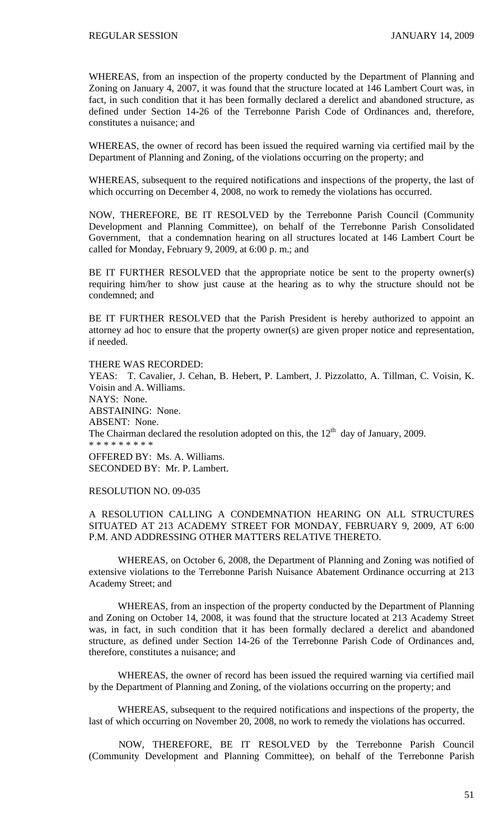WHEREAS, from an inspection of the property conducted by the Department of Planning and Zoning on January 4, 2007, it was found that the structure located at 146 Lambert Court was, in fact, in such condition that it has been formally declared a derelict and abandoned structure, as defined under Section 14-26 of the Terrebonne Parish Code of Ordinances and, therefore, constitutes a nuisance; and

WHEREAS, the owner of record has been issued the required warning via certified mail by the Department of Planning and Zoning, of the violations occurring on the property; and

WHEREAS, subsequent to the required notifications and inspections of the property, the last of which occurring on December 4, 2008, no work to remedy the violations has occurred.

NOW, THEREFORE, BE IT RESOLVED by the Terrebonne Parish Council (Community Development and Planning Committee), on behalf of the Terrebonne Parish Consolidated Government, that a condemnation hearing on all structures located at 146 Lambert Court be called for Monday, February 9, 2009, at 6:00 p. m.; and

BE IT FURTHER RESOLVED that the appropriate notice be sent to the property owner(s) requiring him/her to show just cause at the hearing as to why the structure should not be condemned; and

BE IT FURTHER RESOLVED that the Parish President is hereby authorized to appoint an attorney ad hoc to ensure that the property owner(s) are given proper notice and representation, if needed.

THERE WAS RECORDED: YEAS: T. Cavalier, J. Cehan, B. Hebert, P. Lambert, J. Pizzolatto, A. Tillman, C. Voisin, K. Voisin and A. Williams. NAYS: None. ABSTAINING: None. ABSENT: None. The Chairman declared the resolution adopted on this, the  $12<sup>th</sup>$  day of January, 2009. \* \* \* \* \* \* \* \* \* OFFERED BY: Ms. A. Williams. SECONDED BY: Mr. P. Lambert.

RESOLUTION NO. 09-035

# A RESOLUTION CALLING A CONDEMNATION HEARING ON ALL STRUCTURES SITUATED AT 213 ACADEMY STREET FOR MONDAY, FEBRUARY 9, 2009, AT 6:00 P.M. AND ADDRESSING OTHER MATTERS RELATIVE THERETO.

WHEREAS, on October 6, 2008, the Department of Planning and Zoning was notified of extensive violations to the Terrebonne Parish Nuisance Abatement Ordinance occurring at 213 Academy Street; and

WHEREAS, from an inspection of the property conducted by the Department of Planning and Zoning on October 14, 2008, it was found that the structure located at 213 Academy Street was, in fact, in such condition that it has been formally declared a derelict and abandoned structure, as defined under Section 14-26 of the Terrebonne Parish Code of Ordinances and, therefore, constitutes a nuisance; and

WHEREAS, the owner of record has been issued the required warning via certified mail by the Department of Planning and Zoning, of the violations occurring on the property; and

WHEREAS, subsequent to the required notifications and inspections of the property, the last of which occurring on November 20, 2008, no work to remedy the violations has occurred.

 NOW, THEREFORE, BE IT RESOLVED by the Terrebonne Parish Council (Community Development and Planning Committee), on behalf of the Terrebonne Parish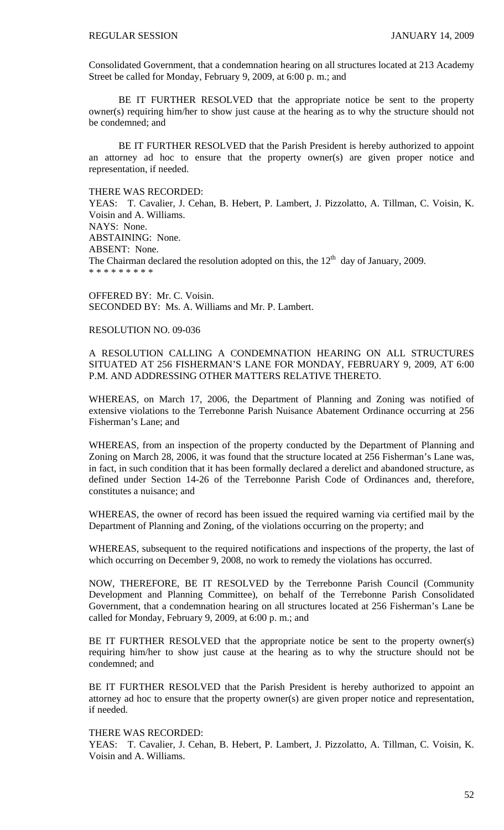Consolidated Government, that a condemnation hearing on all structures located at 213 Academy Street be called for Monday, February 9, 2009, at 6:00 p. m.; and

 BE IT FURTHER RESOLVED that the appropriate notice be sent to the property owner(s) requiring him/her to show just cause at the hearing as to why the structure should not be condemned; and

 BE IT FURTHER RESOLVED that the Parish President is hereby authorized to appoint an attorney ad hoc to ensure that the property owner(s) are given proper notice and representation, if needed.

### THERE WAS RECORDED:

YEAS: T. Cavalier, J. Cehan, B. Hebert, P. Lambert, J. Pizzolatto, A. Tillman, C. Voisin, K. Voisin and A. Williams. NAYS: None. ABSTAINING: None. ABSENT: None. The Chairman declared the resolution adopted on this, the  $12<sup>th</sup>$  day of January, 2009. \* \* \* \* \* \* \* \* \*

OFFERED BY: Mr. C. Voisin. SECONDED BY: Ms. A. Williams and Mr. P. Lambert.

### RESOLUTION NO. 09-036

A RESOLUTION CALLING A CONDEMNATION HEARING ON ALL STRUCTURES SITUATED AT 256 FISHERMAN'S LANE FOR MONDAY, FEBRUARY 9, 2009, AT 6:00 P.M. AND ADDRESSING OTHER MATTERS RELATIVE THERETO.

WHEREAS, on March 17, 2006, the Department of Planning and Zoning was notified of extensive violations to the Terrebonne Parish Nuisance Abatement Ordinance occurring at 256 Fisherman's Lane; and

WHEREAS, from an inspection of the property conducted by the Department of Planning and Zoning on March 28, 2006, it was found that the structure located at 256 Fisherman's Lane was, in fact, in such condition that it has been formally declared a derelict and abandoned structure, as defined under Section 14-26 of the Terrebonne Parish Code of Ordinances and, therefore, constitutes a nuisance; and

WHEREAS, the owner of record has been issued the required warning via certified mail by the Department of Planning and Zoning, of the violations occurring on the property; and

WHEREAS, subsequent to the required notifications and inspections of the property, the last of which occurring on December 9, 2008, no work to remedy the violations has occurred.

NOW, THEREFORE, BE IT RESOLVED by the Terrebonne Parish Council (Community Development and Planning Committee), on behalf of the Terrebonne Parish Consolidated Government, that a condemnation hearing on all structures located at 256 Fisherman's Lane be called for Monday, February 9, 2009, at 6:00 p. m.; and

BE IT FURTHER RESOLVED that the appropriate notice be sent to the property owner(s) requiring him/her to show just cause at the hearing as to why the structure should not be condemned; and

BE IT FURTHER RESOLVED that the Parish President is hereby authorized to appoint an attorney ad hoc to ensure that the property owner(s) are given proper notice and representation, if needed.

#### THERE WAS RECORDED:

YEAS: T. Cavalier, J. Cehan, B. Hebert, P. Lambert, J. Pizzolatto, A. Tillman, C. Voisin, K. Voisin and A. Williams.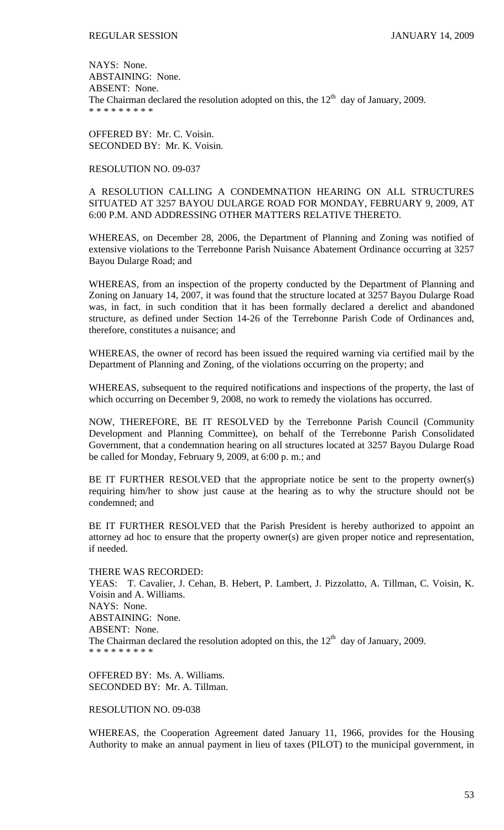NAYS: None. ABSTAINING: None. ABSENT: None. The Chairman declared the resolution adopted on this, the  $12<sup>th</sup>$  day of January, 2009. \* \* \* \* \* \* \* \* \*

OFFERED BY: Mr. C. Voisin. SECONDED BY: Mr. K. Voisin.

# RESOLUTION NO. 09-037

A RESOLUTION CALLING A CONDEMNATION HEARING ON ALL STRUCTURES SITUATED AT 3257 BAYOU DULARGE ROAD FOR MONDAY, FEBRUARY 9, 2009, AT 6:00 P.M. AND ADDRESSING OTHER MATTERS RELATIVE THERETO.

WHEREAS, on December 28, 2006, the Department of Planning and Zoning was notified of extensive violations to the Terrebonne Parish Nuisance Abatement Ordinance occurring at 3257 Bayou Dularge Road; and

WHEREAS, from an inspection of the property conducted by the Department of Planning and Zoning on January 14, 2007, it was found that the structure located at 3257 Bayou Dularge Road was, in fact, in such condition that it has been formally declared a derelict and abandoned structure, as defined under Section 14-26 of the Terrebonne Parish Code of Ordinances and, therefore, constitutes a nuisance; and

WHEREAS, the owner of record has been issued the required warning via certified mail by the Department of Planning and Zoning, of the violations occurring on the property; and

WHEREAS, subsequent to the required notifications and inspections of the property, the last of which occurring on December 9, 2008, no work to remedy the violations has occurred.

NOW, THEREFORE, BE IT RESOLVED by the Terrebonne Parish Council (Community Development and Planning Committee), on behalf of the Terrebonne Parish Consolidated Government, that a condemnation hearing on all structures located at 3257 Bayou Dularge Road be called for Monday, February 9, 2009, at 6:00 p. m.; and

BE IT FURTHER RESOLVED that the appropriate notice be sent to the property owner(s) requiring him/her to show just cause at the hearing as to why the structure should not be condemned; and

BE IT FURTHER RESOLVED that the Parish President is hereby authorized to appoint an attorney ad hoc to ensure that the property owner(s) are given proper notice and representation, if needed.

THERE WAS RECORDED:

YEAS: T. Cavalier, J. Cehan, B. Hebert, P. Lambert, J. Pizzolatto, A. Tillman, C. Voisin, K. Voisin and A. Williams. NAYS: None. ABSTAINING: None. ABSENT: None. The Chairman declared the resolution adopted on this, the  $12<sup>th</sup>$  day of January, 2009. \* \* \* \* \* \* \* \* \*

OFFERED BY: Ms. A. Williams. SECONDED BY: Mr. A. Tillman.

RESOLUTION NO. 09-038

WHEREAS, the Cooperation Agreement dated January 11, 1966, provides for the Housing Authority to make an annual payment in lieu of taxes (PILOT) to the municipal government, in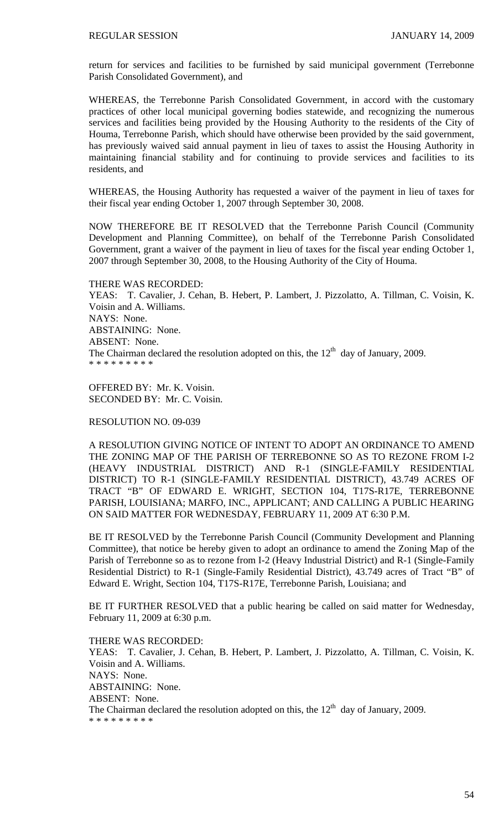return for services and facilities to be furnished by said municipal government (Terrebonne Parish Consolidated Government), and

WHEREAS, the Terrebonne Parish Consolidated Government, in accord with the customary practices of other local municipal governing bodies statewide, and recognizing the numerous services and facilities being provided by the Housing Authority to the residents of the City of Houma, Terrebonne Parish, which should have otherwise been provided by the said government, has previously waived said annual payment in lieu of taxes to assist the Housing Authority in maintaining financial stability and for continuing to provide services and facilities to its residents, and

WHEREAS, the Housing Authority has requested a waiver of the payment in lieu of taxes for their fiscal year ending October 1, 2007 through September 30, 2008.

NOW THEREFORE BE IT RESOLVED that the Terrebonne Parish Council (Community Development and Planning Committee), on behalf of the Terrebonne Parish Consolidated Government, grant a waiver of the payment in lieu of taxes for the fiscal year ending October 1, 2007 through September 30, 2008, to the Housing Authority of the City of Houma.

THERE WAS RECORDED: YEAS: T. Cavalier, J. Cehan, B. Hebert, P. Lambert, J. Pizzolatto, A. Tillman, C. Voisin, K. Voisin and A. Williams. NAYS: None. ABSTAINING: None. ABSENT: None. The Chairman declared the resolution adopted on this, the  $12<sup>th</sup>$  day of January, 2009. \* \* \* \* \* \* \* \* \*

OFFERED BY: Mr. K. Voisin. SECONDED BY: Mr. C. Voisin.

### RESOLUTION NO. 09-039

A RESOLUTION GIVING NOTICE OF INTENT TO ADOPT AN ORDINANCE TO AMEND THE ZONING MAP OF THE PARISH OF TERREBONNE SO AS TO REZONE FROM I-2 (HEAVY INDUSTRIAL DISTRICT) AND R-1 (SINGLE-FAMILY RESIDENTIAL DISTRICT) TO R-1 (SINGLE-FAMILY RESIDENTIAL DISTRICT), 43.749 ACRES OF TRACT "B" OF EDWARD E. WRIGHT, SECTION 104, T17S-R17E, TERREBONNE PARISH, LOUISIANA; MARFO, INC., APPLICANT; AND CALLING A PUBLIC HEARING ON SAID MATTER FOR WEDNESDAY, FEBRUARY 11, 2009 AT 6:30 P.M.

BE IT RESOLVED by the Terrebonne Parish Council (Community Development and Planning Committee), that notice be hereby given to adopt an ordinance to amend the Zoning Map of the Parish of Terrebonne so as to rezone from I-2 (Heavy Industrial District) and R-1 (Single-Family Residential District) to R-1 (Single-Family Residential District), 43.749 acres of Tract "B" of Edward E. Wright, Section 104, T17S-R17E, Terrebonne Parish, Louisiana; and

BE IT FURTHER RESOLVED that a public hearing be called on said matter for Wednesday, February 11, 2009 at 6:30 p.m.

THERE WAS RECORDED: YEAS: T. Cavalier, J. Cehan, B. Hebert, P. Lambert, J. Pizzolatto, A. Tillman, C. Voisin, K. Voisin and A. Williams. NAYS: None. ABSTAINING: None. ABSENT: None. The Chairman declared the resolution adopted on this, the  $12<sup>th</sup>$  day of January, 2009. \* \* \* \* \* \* \* \* \*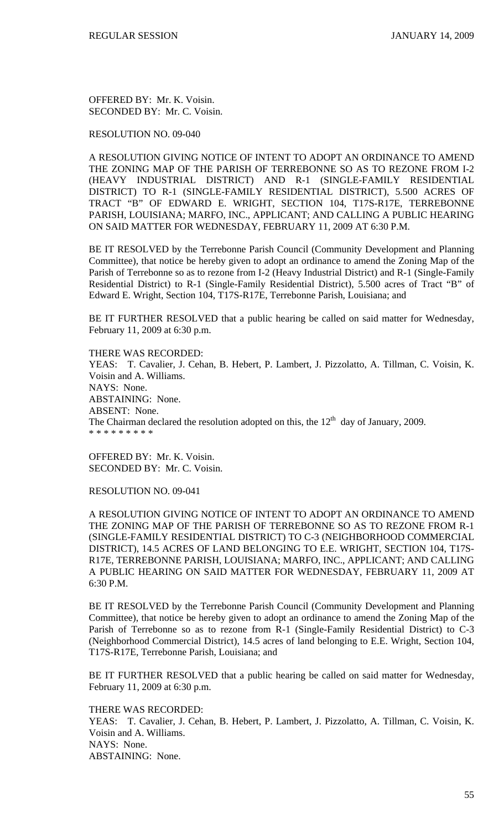OFFERED BY: Mr. K. Voisin. SECONDED BY: Mr. C. Voisin.

RESOLUTION NO. 09-040

A RESOLUTION GIVING NOTICE OF INTENT TO ADOPT AN ORDINANCE TO AMEND THE ZONING MAP OF THE PARISH OF TERREBONNE SO AS TO REZONE FROM I-2 (HEAVY INDUSTRIAL DISTRICT) AND R-1 (SINGLE-FAMILY RESIDENTIAL DISTRICT) TO R-1 (SINGLE-FAMILY RESIDENTIAL DISTRICT), 5.500 ACRES OF TRACT "B" OF EDWARD E. WRIGHT, SECTION 104, T17S-R17E, TERREBONNE PARISH, LOUISIANA; MARFO, INC., APPLICANT; AND CALLING A PUBLIC HEARING ON SAID MATTER FOR WEDNESDAY, FEBRUARY 11, 2009 AT 6:30 P.M.

BE IT RESOLVED by the Terrebonne Parish Council (Community Development and Planning Committee), that notice be hereby given to adopt an ordinance to amend the Zoning Map of the Parish of Terrebonne so as to rezone from I-2 (Heavy Industrial District) and R-1 (Single-Family Residential District) to R-1 (Single-Family Residential District), 5.500 acres of Tract "B" of Edward E. Wright, Section 104, T17S-R17E, Terrebonne Parish, Louisiana; and

BE IT FURTHER RESOLVED that a public hearing be called on said matter for Wednesday, February 11, 2009 at 6:30 p.m.

THERE WAS RECORDED:

YEAS: T. Cavalier, J. Cehan, B. Hebert, P. Lambert, J. Pizzolatto, A. Tillman, C. Voisin, K. Voisin and A. Williams. NAYS: None. ABSTAINING: None. ABSENT: None. The Chairman declared the resolution adopted on this, the  $12<sup>th</sup>$  day of January, 2009. \* \* \* \* \* \* \* \* \*

OFFERED BY: Mr. K. Voisin. SECONDED BY: Mr. C. Voisin.

RESOLUTION NO. 09-041

A RESOLUTION GIVING NOTICE OF INTENT TO ADOPT AN ORDINANCE TO AMEND THE ZONING MAP OF THE PARISH OF TERREBONNE SO AS TO REZONE FROM R-1 (SINGLE-FAMILY RESIDENTIAL DISTRICT) TO C-3 (NEIGHBORHOOD COMMERCIAL DISTRICT), 14.5 ACRES OF LAND BELONGING TO E.E. WRIGHT, SECTION 104, T17S-R17E, TERREBONNE PARISH, LOUISIANA; MARFO, INC., APPLICANT; AND CALLING A PUBLIC HEARING ON SAID MATTER FOR WEDNESDAY, FEBRUARY 11, 2009 AT 6:30 P.M.

BE IT RESOLVED by the Terrebonne Parish Council (Community Development and Planning Committee), that notice be hereby given to adopt an ordinance to amend the Zoning Map of the Parish of Terrebonne so as to rezone from R-1 (Single-Family Residential District) to C-3 (Neighborhood Commercial District), 14.5 acres of land belonging to E.E. Wright, Section 104, T17S-R17E, Terrebonne Parish, Louisiana; and

BE IT FURTHER RESOLVED that a public hearing be called on said matter for Wednesday, February 11, 2009 at 6:30 p.m.

THERE WAS RECORDED:

YEAS: T. Cavalier, J. Cehan, B. Hebert, P. Lambert, J. Pizzolatto, A. Tillman, C. Voisin, K. Voisin and A. Williams. NAYS: None. ABSTAINING: None.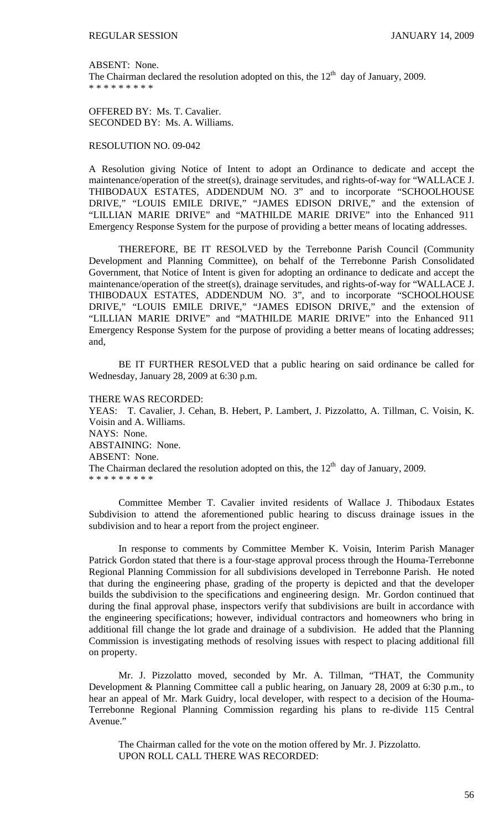ABSENT: None.

The Chairman declared the resolution adopted on this, the  $12<sup>th</sup>$  day of January, 2009. \* \* \* \* \* \* \* \* \*

OFFERED BY: Ms. T. Cavalier. SECONDED BY: Ms. A. Williams.

RESOLUTION NO. 09-042

A Resolution giving Notice of Intent to adopt an Ordinance to dedicate and accept the maintenance/operation of the street(s), drainage servitudes, and rights-of-way for "WALLACE J. THIBODAUX ESTATES, ADDENDUM NO. 3" and to incorporate "SCHOOLHOUSE DRIVE," "LOUIS EMILE DRIVE," "JAMES EDISON DRIVE," and the extension of "LILLIAN MARIE DRIVE" and "MATHILDE MARIE DRIVE" into the Enhanced 911 Emergency Response System for the purpose of providing a better means of locating addresses.

THEREFORE, BE IT RESOLVED by the Terrebonne Parish Council (Community Development and Planning Committee), on behalf of the Terrebonne Parish Consolidated Government, that Notice of Intent is given for adopting an ordinance to dedicate and accept the maintenance/operation of the street(s), drainage servitudes, and rights-of-way for "WALLACE J. THIBODAUX ESTATES, ADDENDUM NO. 3", and to incorporate "SCHOOLHOUSE DRIVE," "LOUIS EMILE DRIVE," "JAMES EDISON DRIVE," and the extension of "LILLIAN MARIE DRIVE" and "MATHILDE MARIE DRIVE" into the Enhanced 911 Emergency Response System for the purpose of providing a better means of locating addresses; and,

 BE IT FURTHER RESOLVED that a public hearing on said ordinance be called for Wednesday, January 28, 2009 at 6:30 p.m.

THERE WAS RECORDED:

YEAS: T. Cavalier, J. Cehan, B. Hebert, P. Lambert, J. Pizzolatto, A. Tillman, C. Voisin, K. Voisin and A. Williams. NAYS: None. ABSTAINING: None. ABSENT: None. The Chairman declared the resolution adopted on this, the  $12<sup>th</sup>$  day of January, 2009. \* \* \* \* \* \* \* \* \*

 Committee Member T. Cavalier invited residents of Wallace J. Thibodaux Estates Subdivision to attend the aforementioned public hearing to discuss drainage issues in the subdivision and to hear a report from the project engineer.

 In response to comments by Committee Member K. Voisin, Interim Parish Manager Patrick Gordon stated that there is a four-stage approval process through the Houma-Terrebonne Regional Planning Commission for all subdivisions developed in Terrebonne Parish. He noted that during the engineering phase, grading of the property is depicted and that the developer builds the subdivision to the specifications and engineering design. Mr. Gordon continued that during the final approval phase, inspectors verify that subdivisions are built in accordance with the engineering specifications; however, individual contractors and homeowners who bring in additional fill change the lot grade and drainage of a subdivision. He added that the Planning Commission is investigating methods of resolving issues with respect to placing additional fill on property.

 Mr. J. Pizzolatto moved, seconded by Mr. A. Tillman, "THAT, the Community Development & Planning Committee call a public hearing, on January 28, 2009 at 6:30 p.m., to hear an appeal of Mr. Mark Guidry, local developer, with respect to a decision of the Houma-Terrebonne Regional Planning Commission regarding his plans to re-divide 115 Central Avenue."

The Chairman called for the vote on the motion offered by Mr. J. Pizzolatto. UPON ROLL CALL THERE WAS RECORDED: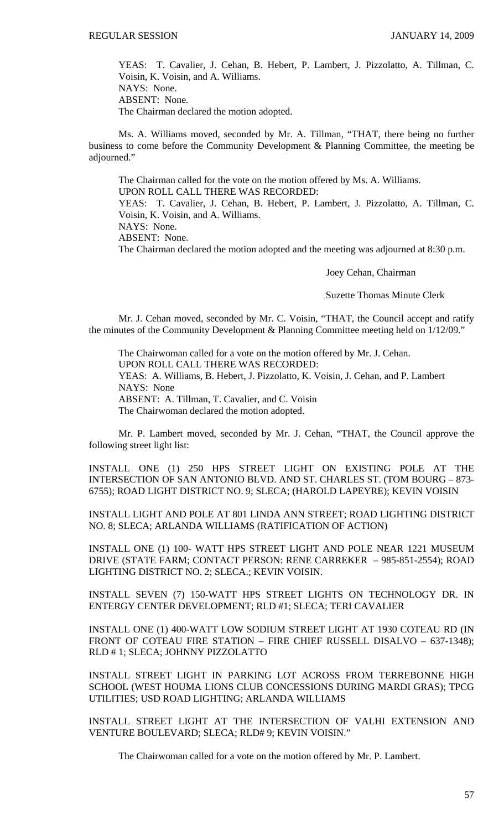YEAS: T. Cavalier, J. Cehan, B. Hebert, P. Lambert, J. Pizzolatto, A. Tillman, C. Voisin, K. Voisin, and A. Williams. NAYS: None. ABSENT: None. The Chairman declared the motion adopted.

 Ms. A. Williams moved, seconded by Mr. A. Tillman, "THAT, there being no further business to come before the Community Development & Planning Committee, the meeting be adjourned."

 The Chairman called for the vote on the motion offered by Ms. A. Williams. UPON ROLL CALL THERE WAS RECORDED: YEAS: T. Cavalier, J. Cehan, B. Hebert, P. Lambert, J. Pizzolatto, A. Tillman, C. Voisin, K. Voisin, and A. Williams. NAYS: None. ABSENT: None.

The Chairman declared the motion adopted and the meeting was adjourned at 8:30 p.m.

Joey Cehan, Chairman

Suzette Thomas Minute Clerk

Mr. J. Cehan moved, seconded by Mr. C. Voisin, "THAT, the Council accept and ratify the minutes of the Community Development & Planning Committee meeting held on 1/12/09."

 The Chairwoman called for a vote on the motion offered by Mr. J. Cehan. UPON ROLL CALL THERE WAS RECORDED: YEAS: A. Williams, B. Hebert, J. Pizzolatto, K. Voisin, J. Cehan, and P. Lambert NAYS: None ABSENT: A. Tillman, T. Cavalier, and C. Voisin The Chairwoman declared the motion adopted.

 Mr. P. Lambert moved, seconded by Mr. J. Cehan, "THAT, the Council approve the following street light list:

INSTALL ONE (1) 250 HPS STREET LIGHT ON EXISTING POLE AT THE INTERSECTION OF SAN ANTONIO BLVD. AND ST. CHARLES ST. (TOM BOURG – 873- 6755); ROAD LIGHT DISTRICT NO. 9; SLECA; (HAROLD LAPEYRE); KEVIN VOISIN

INSTALL LIGHT AND POLE AT 801 LINDA ANN STREET; ROAD LIGHTING DISTRICT NO. 8; SLECA; ARLANDA WILLIAMS (RATIFICATION OF ACTION)

INSTALL ONE (1) 100- WATT HPS STREET LIGHT AND POLE NEAR 1221 MUSEUM DRIVE (STATE FARM; CONTACT PERSON: RENE CARREKER – 985-851-2554); ROAD LIGHTING DISTRICT NO. 2; SLECA.; KEVIN VOISIN.

INSTALL SEVEN (7) 150-WATT HPS STREET LIGHTS ON TECHNOLOGY DR. IN ENTERGY CENTER DEVELOPMENT; RLD #1; SLECA; TERI CAVALIER

INSTALL ONE (1) 400-WATT LOW SODIUM STREET LIGHT AT 1930 COTEAU RD (IN FRONT OF COTEAU FIRE STATION – FIRE CHIEF RUSSELL DISALVO – 637-1348); RLD # 1; SLECA; JOHNNY PIZZOLATTO

INSTALL STREET LIGHT IN PARKING LOT ACROSS FROM TERREBONNE HIGH SCHOOL (WEST HOUMA LIONS CLUB CONCESSIONS DURING MARDI GRAS); TPCG UTILITIES; USD ROAD LIGHTING; ARLANDA WILLIAMS

INSTALL STREET LIGHT AT THE INTERSECTION OF VALHI EXTENSION AND VENTURE BOULEVARD; SLECA; RLD# 9; KEVIN VOISIN."

The Chairwoman called for a vote on the motion offered by Mr. P. Lambert.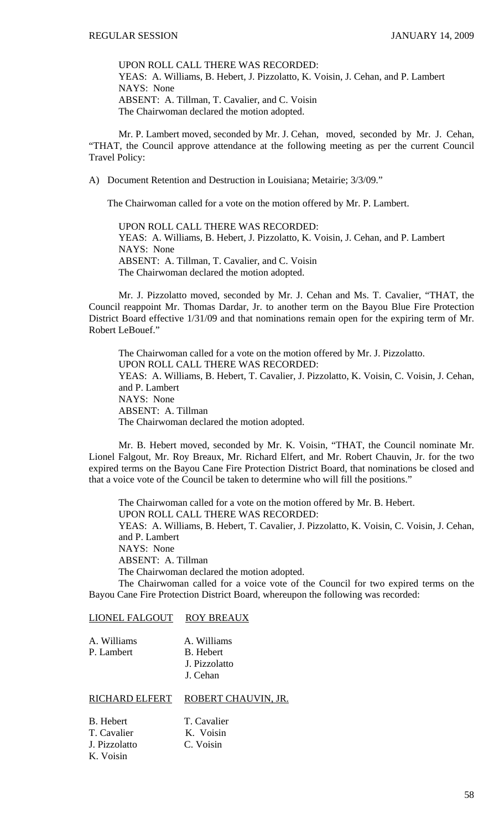UPON ROLL CALL THERE WAS RECORDED: YEAS: A. Williams, B. Hebert, J. Pizzolatto, K. Voisin, J. Cehan, and P. Lambert NAYS: None ABSENT: A. Tillman, T. Cavalier, and C. Voisin The Chairwoman declared the motion adopted.

 Mr. P. Lambert moved, seconded by Mr. J. Cehan, moved, seconded by Mr. J. Cehan, "THAT, the Council approve attendance at the following meeting as per the current Council Travel Policy:

A) Document Retention and Destruction in Louisiana; Metairie; 3/3/09."

The Chairwoman called for a vote on the motion offered by Mr. P. Lambert.

UPON ROLL CALL THERE WAS RECORDED: YEAS: A. Williams, B. Hebert, J. Pizzolatto, K. Voisin, J. Cehan, and P. Lambert NAYS: None ABSENT: A. Tillman, T. Cavalier, and C. Voisin The Chairwoman declared the motion adopted.

 Mr. J. Pizzolatto moved, seconded by Mr. J. Cehan and Ms. T. Cavalier, "THAT, the Council reappoint Mr. Thomas Dardar, Jr. to another term on the Bayou Blue Fire Protection District Board effective 1/31/09 and that nominations remain open for the expiring term of Mr. Robert LeBouef."

 The Chairwoman called for a vote on the motion offered by Mr. J. Pizzolatto. UPON ROLL CALL THERE WAS RECORDED: YEAS: A. Williams, B. Hebert, T. Cavalier, J. Pizzolatto, K. Voisin, C. Voisin, J. Cehan, and P. Lambert NAYS: None ABSENT: A. Tillman The Chairwoman declared the motion adopted.

 Mr. B. Hebert moved, seconded by Mr. K. Voisin, "THAT, the Council nominate Mr. Lionel Falgout, Mr. Roy Breaux, Mr. Richard Elfert, and Mr. Robert Chauvin, Jr. for the two expired terms on the Bayou Cane Fire Protection District Board, that nominations be closed and that a voice vote of the Council be taken to determine who will fill the positions."

 The Chairwoman called for a vote on the motion offered by Mr. B. Hebert. UPON ROLL CALL THERE WAS RECORDED: YEAS: A. Williams, B. Hebert, T. Cavalier, J. Pizzolatto, K. Voisin, C. Voisin, J. Cehan, and P. Lambert NAYS: None ABSENT: A. Tillman The Chairwoman declared the motion adopted. The Chairwoman called for a voice vote of the Council for two expired terms on the Bayou Cane Fire Protection District Board, whereupon the following was recorded:

### LIONEL FALGOUT ROY BREAUX

| A. Williams | A. Williams   |
|-------------|---------------|
| P. Lambert  | B. Hebert     |
|             | J. Pizzolatto |
|             | J. Cehan      |

# RICHARD ELFERT ROBERT CHAUVIN, JR.

| B. Hebert     | T. Cavalier |
|---------------|-------------|
| T. Cavalier   | K. Voisin   |
| J. Pizzolatto | C. Voisin   |
| K. Voisin     |             |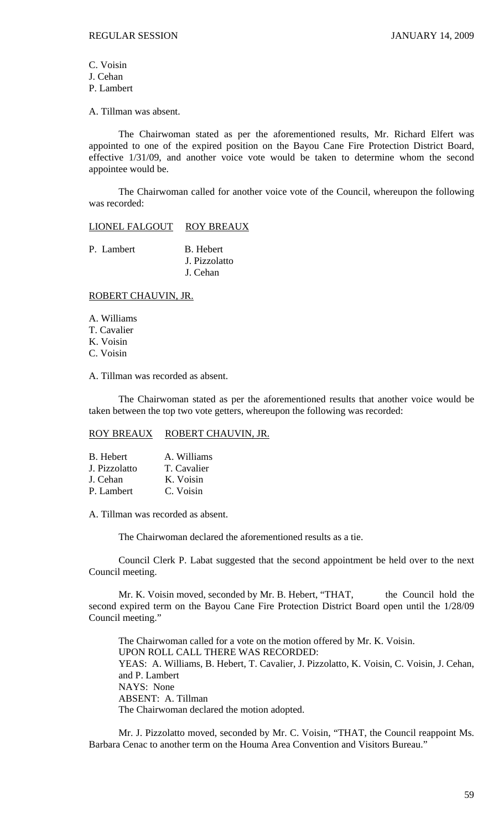C. Voisin J. Cehan P. Lambert

A. Tillman was absent.

 The Chairwoman stated as per the aforementioned results, Mr. Richard Elfert was appointed to one of the expired position on the Bayou Cane Fire Protection District Board, effective 1/31/09, and another voice vote would be taken to determine whom the second appointee would be.

 The Chairwoman called for another voice vote of the Council, whereupon the following was recorded:

LIONEL FALGOUT ROY BREAUX

P. Lambert B. Hebert J. Pizzolatto J. Cehan

## ROBERT CHAUVIN, JR.

A. Williams T. Cavalier K. Voisin C. Voisin

A. Tillman was recorded as absent.

 The Chairwoman stated as per the aforementioned results that another voice would be taken between the top two vote getters, whereupon the following was recorded:

### ROY BREAUX ROBERT CHAUVIN, JR.

| B. Hebert     | A. Williams |
|---------------|-------------|
| J. Pizzolatto | T. Cavalier |
| J. Cehan      | K. Voisin   |
| P. Lambert    | C. Voisin   |

A. Tillman was recorded as absent.

The Chairwoman declared the aforementioned results as a tie.

Council Clerk P. Labat suggested that the second appointment be held over to the next Council meeting.

Mr. K. Voisin moved, seconded by Mr. B. Hebert, "THAT, the Council hold the second expired term on the Bayou Cane Fire Protection District Board open until the 1/28/09 Council meeting."

The Chairwoman called for a vote on the motion offered by Mr. K. Voisin. UPON ROLL CALL THERE WAS RECORDED: YEAS: A. Williams, B. Hebert, T. Cavalier, J. Pizzolatto, K. Voisin, C. Voisin, J. Cehan, and P. Lambert NAYS: None ABSENT: A. Tillman The Chairwoman declared the motion adopted.

Mr. J. Pizzolatto moved, seconded by Mr. C. Voisin, "THAT, the Council reappoint Ms. Barbara Cenac to another term on the Houma Area Convention and Visitors Bureau."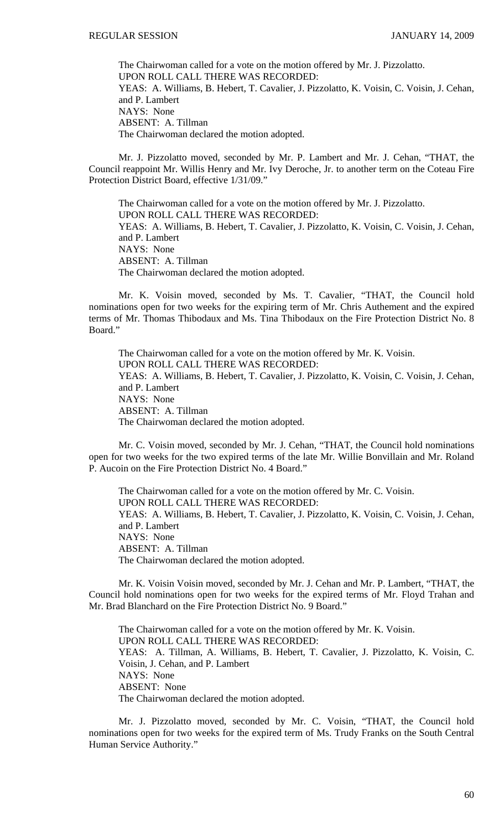The Chairwoman called for a vote on the motion offered by Mr. J. Pizzolatto. UPON ROLL CALL THERE WAS RECORDED: YEAS: A. Williams, B. Hebert, T. Cavalier, J. Pizzolatto, K. Voisin, C. Voisin, J. Cehan, and P. Lambert NAYS: None ABSENT: A. Tillman The Chairwoman declared the motion adopted.

Mr. J. Pizzolatto moved, seconded by Mr. P. Lambert and Mr. J. Cehan, "THAT, the Council reappoint Mr. Willis Henry and Mr. Ivy Deroche, Jr. to another term on the Coteau Fire Protection District Board, effective 1/31/09."

The Chairwoman called for a vote on the motion offered by Mr. J. Pizzolatto. UPON ROLL CALL THERE WAS RECORDED: YEAS: A. Williams, B. Hebert, T. Cavalier, J. Pizzolatto, K. Voisin, C. Voisin, J. Cehan, and P. Lambert NAYS: None ABSENT: A. Tillman The Chairwoman declared the motion adopted.

Mr. K. Voisin moved, seconded by Ms. T. Cavalier, "THAT, the Council hold nominations open for two weeks for the expiring term of Mr. Chris Authement and the expired terms of Mr. Thomas Thibodaux and Ms. Tina Thibodaux on the Fire Protection District No. 8 Board."

The Chairwoman called for a vote on the motion offered by Mr. K. Voisin. UPON ROLL CALL THERE WAS RECORDED: YEAS: A. Williams, B. Hebert, T. Cavalier, J. Pizzolatto, K. Voisin, C. Voisin, J. Cehan, and P. Lambert NAYS: None ABSENT: A. Tillman The Chairwoman declared the motion adopted.

Mr. C. Voisin moved, seconded by Mr. J. Cehan, "THAT, the Council hold nominations open for two weeks for the two expired terms of the late Mr. Willie Bonvillain and Mr. Roland P. Aucoin on the Fire Protection District No. 4 Board."

The Chairwoman called for a vote on the motion offered by Mr. C. Voisin. UPON ROLL CALL THERE WAS RECORDED: YEAS: A. Williams, B. Hebert, T. Cavalier, J. Pizzolatto, K. Voisin, C. Voisin, J. Cehan, and P. Lambert NAYS: None ABSENT: A. Tillman The Chairwoman declared the motion adopted.

 Mr. K. Voisin Voisin moved, seconded by Mr. J. Cehan and Mr. P. Lambert, "THAT, the Council hold nominations open for two weeks for the expired terms of Mr. Floyd Trahan and Mr. Brad Blanchard on the Fire Protection District No. 9 Board."

 The Chairwoman called for a vote on the motion offered by Mr. K. Voisin. UPON ROLL CALL THERE WAS RECORDED: YEAS: A. Tillman, A. Williams, B. Hebert, T. Cavalier, J. Pizzolatto, K. Voisin, C. Voisin, J. Cehan, and P. Lambert NAYS: None ABSENT: None The Chairwoman declared the motion adopted.

Mr. J. Pizzolatto moved, seconded by Mr. C. Voisin, "THAT, the Council hold nominations open for two weeks for the expired term of Ms. Trudy Franks on the South Central Human Service Authority."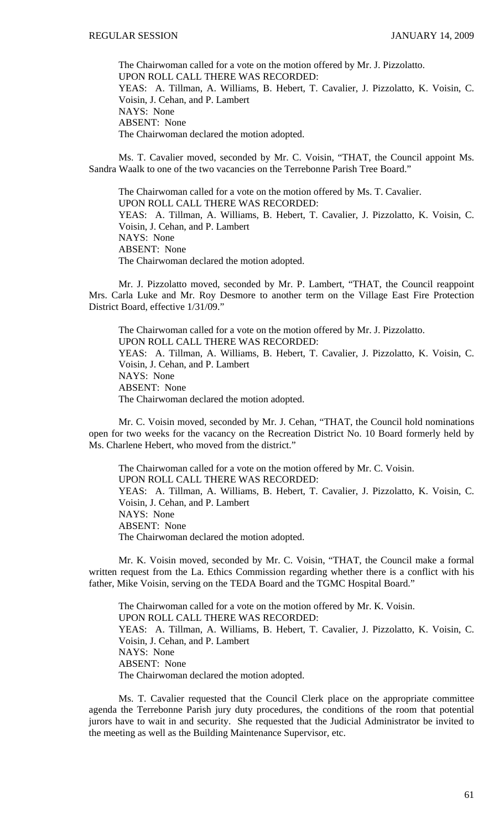The Chairwoman called for a vote on the motion offered by Mr. J. Pizzolatto. UPON ROLL CALL THERE WAS RECORDED: YEAS: A. Tillman, A. Williams, B. Hebert, T. Cavalier, J. Pizzolatto, K. Voisin, C. Voisin, J. Cehan, and P. Lambert NAYS: None ABSENT: None The Chairwoman declared the motion adopted.

Ms. T. Cavalier moved, seconded by Mr. C. Voisin, "THAT, the Council appoint Ms. Sandra Waalk to one of the two vacancies on the Terrebonne Parish Tree Board."

The Chairwoman called for a vote on the motion offered by Ms. T. Cavalier. UPON ROLL CALL THERE WAS RECORDED: YEAS: A. Tillman, A. Williams, B. Hebert, T. Cavalier, J. Pizzolatto, K. Voisin, C. Voisin, J. Cehan, and P. Lambert NAYS: None ABSENT: None The Chairwoman declared the motion adopted.

Mr. J. Pizzolatto moved, seconded by Mr. P. Lambert, "THAT, the Council reappoint Mrs. Carla Luke and Mr. Roy Desmore to another term on the Village East Fire Protection District Board, effective 1/31/09."

The Chairwoman called for a vote on the motion offered by Mr. J. Pizzolatto. UPON ROLL CALL THERE WAS RECORDED: YEAS: A. Tillman, A. Williams, B. Hebert, T. Cavalier, J. Pizzolatto, K. Voisin, C. Voisin, J. Cehan, and P. Lambert NAYS: None ABSENT: None The Chairwoman declared the motion adopted.

Mr. C. Voisin moved, seconded by Mr. J. Cehan, "THAT, the Council hold nominations open for two weeks for the vacancy on the Recreation District No. 10 Board formerly held by Ms. Charlene Hebert, who moved from the district."

The Chairwoman called for a vote on the motion offered by Mr. C. Voisin. UPON ROLL CALL THERE WAS RECORDED: YEAS: A. Tillman, A. Williams, B. Hebert, T. Cavalier, J. Pizzolatto, K. Voisin, C. Voisin, J. Cehan, and P. Lambert NAYS: None ABSENT: None The Chairwoman declared the motion adopted.

Mr. K. Voisin moved, seconded by Mr. C. Voisin, "THAT, the Council make a formal written request from the La. Ethics Commission regarding whether there is a conflict with his father, Mike Voisin, serving on the TEDA Board and the TGMC Hospital Board."

The Chairwoman called for a vote on the motion offered by Mr. K. Voisin. UPON ROLL CALL THERE WAS RECORDED: YEAS: A. Tillman, A. Williams, B. Hebert, T. Cavalier, J. Pizzolatto, K. Voisin, C. Voisin, J. Cehan, and P. Lambert NAYS: None ABSENT: None The Chairwoman declared the motion adopted.

Ms. T. Cavalier requested that the Council Clerk place on the appropriate committee agenda the Terrebonne Parish jury duty procedures, the conditions of the room that potential jurors have to wait in and security. She requested that the Judicial Administrator be invited to the meeting as well as the Building Maintenance Supervisor, etc.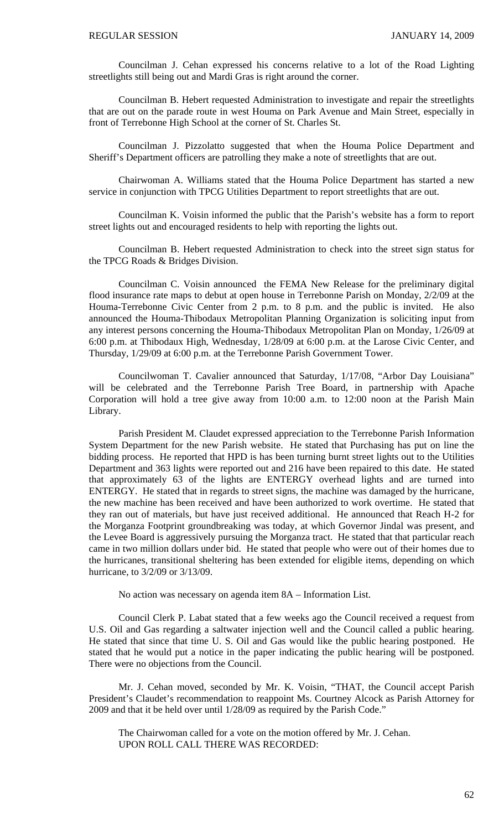Councilman J. Cehan expressed his concerns relative to a lot of the Road Lighting streetlights still being out and Mardi Gras is right around the corner.

Councilman B. Hebert requested Administration to investigate and repair the streetlights that are out on the parade route in west Houma on Park Avenue and Main Street, especially in front of Terrebonne High School at the corner of St. Charles St.

Councilman J. Pizzolatto suggested that when the Houma Police Department and Sheriff's Department officers are patrolling they make a note of streetlights that are out.

Chairwoman A. Williams stated that the Houma Police Department has started a new service in conjunction with TPCG Utilities Department to report streetlights that are out.

Councilman K. Voisin informed the public that the Parish's website has a form to report street lights out and encouraged residents to help with reporting the lights out.

Councilman B. Hebert requested Administration to check into the street sign status for the TPCG Roads & Bridges Division.

Councilman C. Voisin announced the FEMA New Release for the preliminary digital flood insurance rate maps to debut at open house in Terrebonne Parish on Monday, 2/2/09 at the Houma-Terrebonne Civic Center from 2 p.m. to 8 p.m. and the public is invited. He also announced the Houma-Thibodaux Metropolitan Planning Organization is soliciting input from any interest persons concerning the Houma-Thibodaux Metropolitan Plan on Monday, 1/26/09 at 6:00 p.m. at Thibodaux High, Wednesday, 1/28/09 at 6:00 p.m. at the Larose Civic Center, and Thursday, 1/29/09 at 6:00 p.m. at the Terrebonne Parish Government Tower.

Councilwoman T. Cavalier announced that Saturday, 1/17/08, "Arbor Day Louisiana" will be celebrated and the Terrebonne Parish Tree Board, in partnership with Apache Corporation will hold a tree give away from 10:00 a.m. to 12:00 noon at the Parish Main Library.

Parish President M. Claudet expressed appreciation to the Terrebonne Parish Information System Department for the new Parish website. He stated that Purchasing has put on line the bidding process. He reported that HPD is has been turning burnt street lights out to the Utilities Department and 363 lights were reported out and 216 have been repaired to this date. He stated that approximately 63 of the lights are ENTERGY overhead lights and are turned into ENTERGY. He stated that in regards to street signs, the machine was damaged by the hurricane, the new machine has been received and have been authorized to work overtime. He stated that they ran out of materials, but have just received additional. He announced that Reach H-2 for the Morganza Footprint groundbreaking was today, at which Governor Jindal was present, and the Levee Board is aggressively pursuing the Morganza tract. He stated that that particular reach came in two million dollars under bid. He stated that people who were out of their homes due to the hurricanes, transitional sheltering has been extended for eligible items, depending on which hurricane, to 3/2/09 or 3/13/09.

No action was necessary on agenda item 8A – Information List.

 Council Clerk P. Labat stated that a few weeks ago the Council received a request from U.S. Oil and Gas regarding a saltwater injection well and the Council called a public hearing. He stated that since that time U. S. Oil and Gas would like the public hearing postponed. He stated that he would put a notice in the paper indicating the public hearing will be postponed. There were no objections from the Council.

 Mr. J. Cehan moved, seconded by Mr. K. Voisin, "THAT, the Council accept Parish President's Claudet's recommendation to reappoint Ms. Courtney Alcock as Parish Attorney for 2009 and that it be held over until 1/28/09 as required by the Parish Code."

 The Chairwoman called for a vote on the motion offered by Mr. J. Cehan. UPON ROLL CALL THERE WAS RECORDED: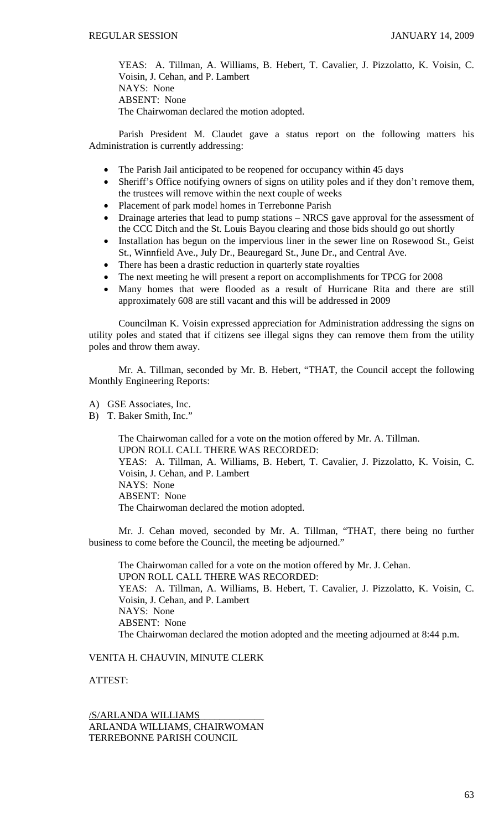YEAS: A. Tillman, A. Williams, B. Hebert, T. Cavalier, J. Pizzolatto, K. Voisin, C. Voisin, J. Cehan, and P. Lambert NAYS: None ABSENT: None The Chairwoman declared the motion adopted.

 Parish President M. Claudet gave a status report on the following matters his Administration is currently addressing:

- The Parish Jail anticipated to be reopened for occupancy within 45 days
- Sheriff's Office notifying owners of signs on utility poles and if they don't remove them, the trustees will remove within the next couple of weeks
- Placement of park model homes in Terrebonne Parish
- Drainage arteries that lead to pump stations NRCS gave approval for the assessment of the CCC Ditch and the St. Louis Bayou clearing and those bids should go out shortly
- Installation has begun on the impervious liner in the sewer line on Rosewood St., Geist St., Winnfield Ave., July Dr., Beauregard St., June Dr., and Central Ave.
- There has been a drastic reduction in quarterly state royalties
- The next meeting he will present a report on accomplishments for TPCG for 2008
- Many homes that were flooded as a result of Hurricane Rita and there are still approximately 608 are still vacant and this will be addressed in 2009

Councilman K. Voisin expressed appreciation for Administration addressing the signs on utility poles and stated that if citizens see illegal signs they can remove them from the utility poles and throw them away.

 Mr. A. Tillman, seconded by Mr. B. Hebert, "THAT, the Council accept the following Monthly Engineering Reports:

- A) GSE Associates, Inc.
- B) T. Baker Smith, Inc."

 The Chairwoman called for a vote on the motion offered by Mr. A. Tillman. UPON ROLL CALL THERE WAS RECORDED: YEAS: A. Tillman, A. Williams, B. Hebert, T. Cavalier, J. Pizzolatto, K. Voisin, C. Voisin, J. Cehan, and P. Lambert NAYS: None ABSENT: None The Chairwoman declared the motion adopted.

 Mr. J. Cehan moved, seconded by Mr. A. Tillman, "THAT, there being no further business to come before the Council, the meeting be adjourned."

 The Chairwoman called for a vote on the motion offered by Mr. J. Cehan. UPON ROLL CALL THERE WAS RECORDED: YEAS: A. Tillman, A. Williams, B. Hebert, T. Cavalier, J. Pizzolatto, K. Voisin, C. Voisin, J. Cehan, and P. Lambert NAYS: None ABSENT: None The Chairwoman declared the motion adopted and the meeting adjourned at 8:44 p.m.

# VENITA H. CHAUVIN, MINUTE CLERK

ATTEST:

/S/ARLANDA WILLIAMS\_\_\_\_\_\_\_\_\_\_\_\_\_ ARLANDA WILLIAMS, CHAIRWOMAN TERREBONNE PARISH COUNCIL